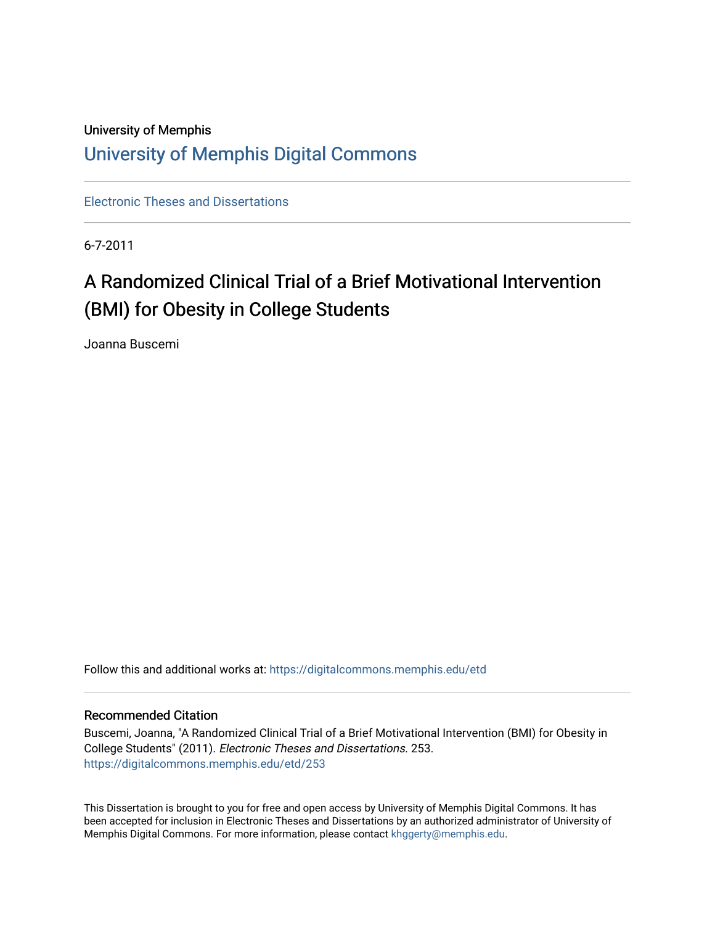# University of Memphis [University of Memphis Digital Commons](https://digitalcommons.memphis.edu/)

[Electronic Theses and Dissertations](https://digitalcommons.memphis.edu/etd)

6-7-2011

# A Randomized Clinical Trial of a Brief Motivational Intervention (BMI) for Obesity in College Students

Joanna Buscemi

Follow this and additional works at: [https://digitalcommons.memphis.edu/etd](https://digitalcommons.memphis.edu/etd?utm_source=digitalcommons.memphis.edu%2Fetd%2F253&utm_medium=PDF&utm_campaign=PDFCoverPages) 

#### Recommended Citation

Buscemi, Joanna, "A Randomized Clinical Trial of a Brief Motivational Intervention (BMI) for Obesity in College Students" (2011). Electronic Theses and Dissertations. 253. [https://digitalcommons.memphis.edu/etd/253](https://digitalcommons.memphis.edu/etd/253?utm_source=digitalcommons.memphis.edu%2Fetd%2F253&utm_medium=PDF&utm_campaign=PDFCoverPages) 

This Dissertation is brought to you for free and open access by University of Memphis Digital Commons. It has been accepted for inclusion in Electronic Theses and Dissertations by an authorized administrator of University of Memphis Digital Commons. For more information, please contact [khggerty@memphis.edu.](mailto:khggerty@memphis.edu)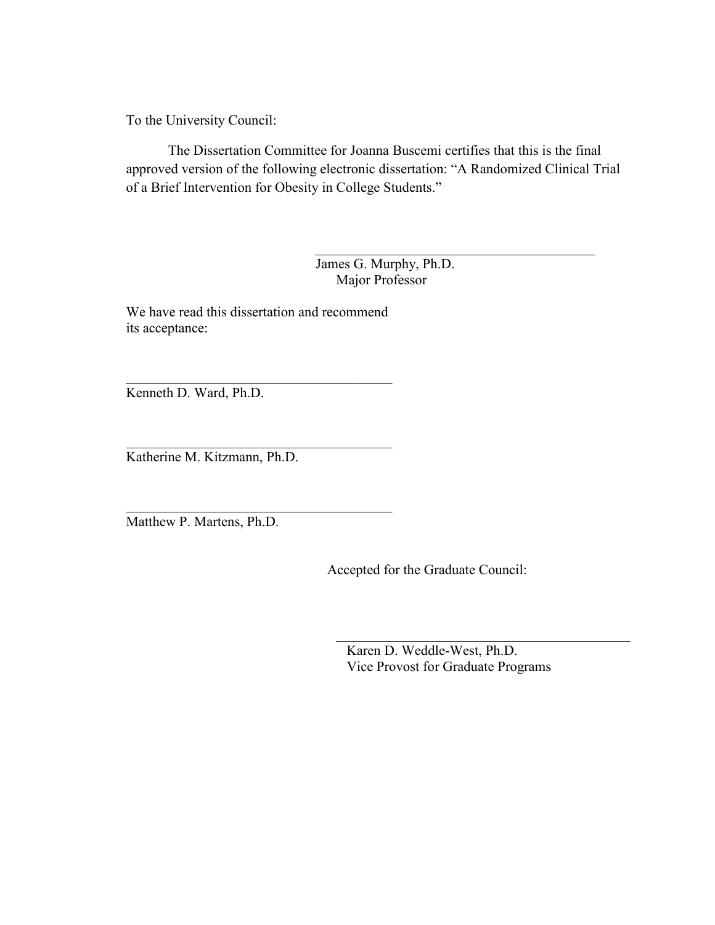To the University Council:

 The Dissertation Committee for Joanna Buscemi certifies that this is the final approved version of the following electronic dissertation: "A Randomized Clinical Trial of a Brief Intervention for Obesity in College Students."

> James G. Murphy, Ph.D. Major Professor

 $\mathcal{L}_\mathcal{L}$  , which is a set of the set of the set of the set of the set of the set of the set of the set of the set of the set of the set of the set of the set of the set of the set of the set of the set of the set of

We have read this dissertation and recommend its acceptance:

\_\_\_\_\_\_\_\_\_\_\_\_\_\_\_\_\_\_\_\_\_\_\_\_\_\_\_\_\_\_\_\_\_\_\_\_\_\_

\_\_\_\_\_\_\_\_\_\_\_\_\_\_\_\_\_\_\_\_\_\_\_\_\_\_\_\_\_\_\_\_\_\_\_\_\_\_ Kenneth D. Ward, Ph.D.

\_\_\_\_\_\_\_\_\_\_\_\_\_\_\_\_\_\_\_\_\_\_\_\_\_\_\_\_\_\_\_\_\_\_\_\_\_\_ Katherine M. Kitzmann, Ph.D.

Matthew P. Martens, Ph.D.

Accepted for the Graduate Council:

 Karen D. Weddle-West, Ph.D. Vice Provost for Graduate Programs

\_\_\_\_\_\_\_\_\_\_\_\_\_\_\_\_\_\_\_\_\_\_\_\_\_\_\_\_\_\_\_\_\_\_\_\_\_\_\_\_\_\_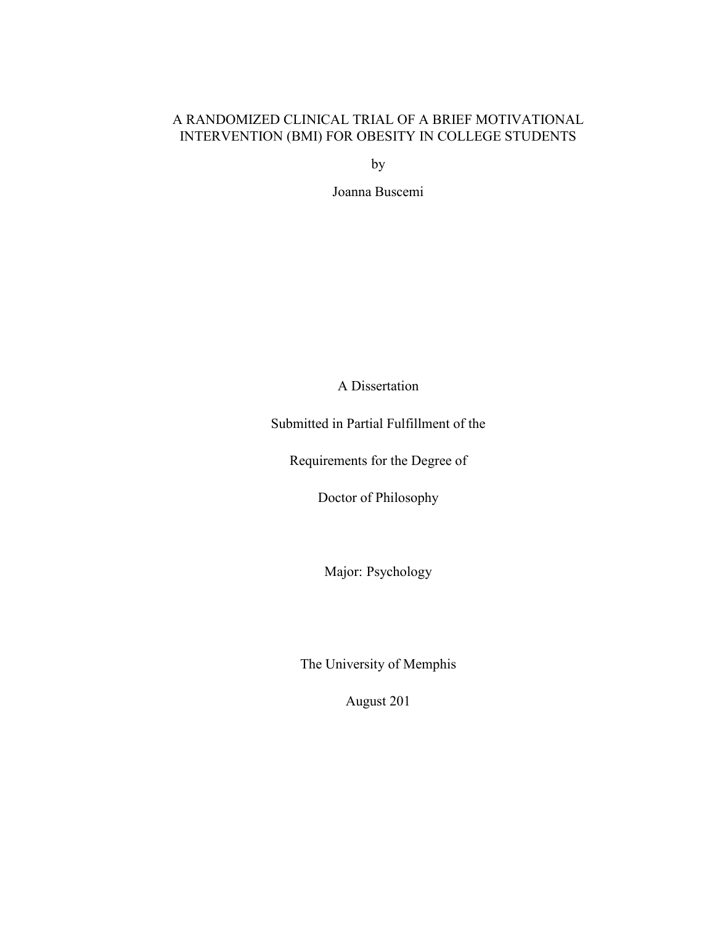# A RANDOMIZED CLINICAL TRIAL OF A BRIEF MOTIVATIONAL INTERVENTION (BMI) FOR OBESITY IN COLLEGE STUDENTS

by

Joanna Buscemi

A Dissertation

Submitted in Partial Fulfillment of the

Requirements for the Degree of

Doctor of Philosophy

Major: Psychology

The University of Memphis

August 201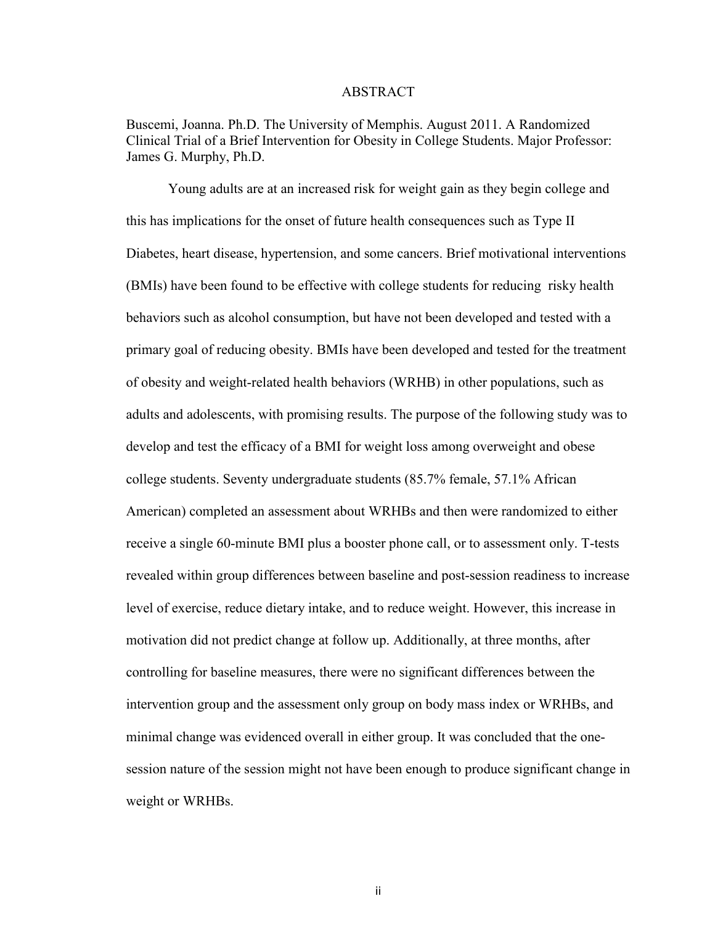#### ABSTRACT

Buscemi, Joanna. Ph.D. The University of Memphis. August 2011. A Randomized Clinical Trial of a Brief Intervention for Obesity in College Students. Major Professor: James G. Murphy, Ph.D.

Young adults are at an increased risk for weight gain as they begin college and this has implications for the onset of future health consequences such as Type II Diabetes, heart disease, hypertension, and some cancers. Brief motivational interventions (BMIs) have been found to be effective with college students for reducing risky health behaviors such as alcohol consumption, but have not been developed and tested with a primary goal of reducing obesity. BMIs have been developed and tested for the treatment of obesity and weight-related health behaviors (WRHB) in other populations, such as adults and adolescents, with promising results. The purpose of the following study was to develop and test the efficacy of a BMI for weight loss among overweight and obese college students. Seventy undergraduate students (85.7% female, 57.1% African American) completed an assessment about WRHBs and then were randomized to either receive a single 60-minute BMI plus a booster phone call, or to assessment only. T-tests revealed within group differences between baseline and post-session readiness to increase level of exercise, reduce dietary intake, and to reduce weight. However, this increase in motivation did not predict change at follow up. Additionally, at three months, after controlling for baseline measures, there were no significant differences between the intervention group and the assessment only group on body mass index or WRHBs, and minimal change was evidenced overall in either group. It was concluded that the onesession nature of the session might not have been enough to produce significant change in weight or WRHBs.

ii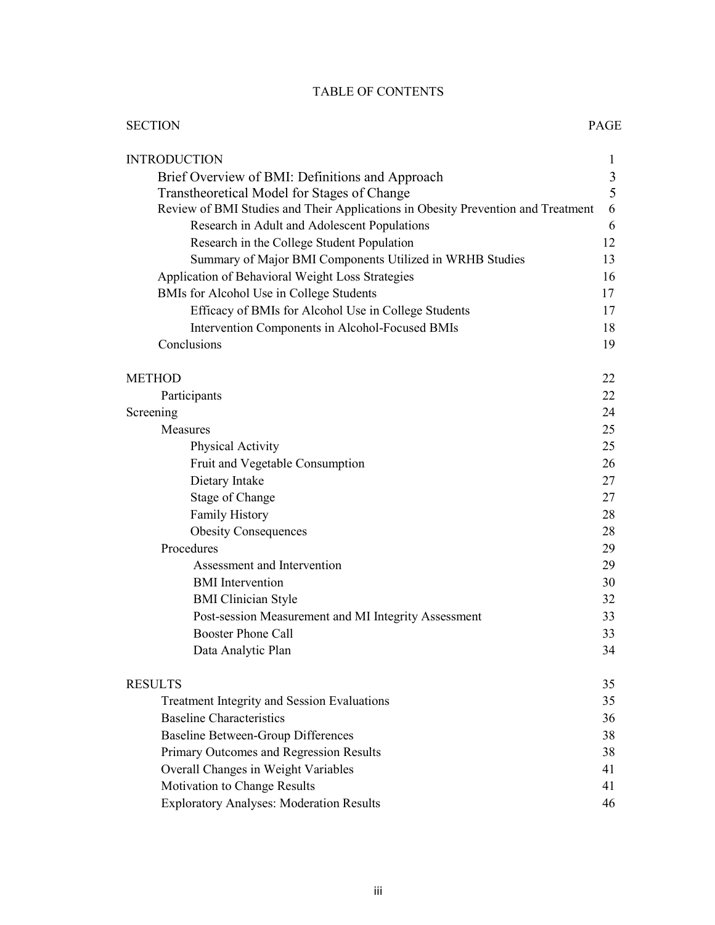# TABLE OF CONTENTS

| <b>SECTION</b>                                                                   | PAGE           |
|----------------------------------------------------------------------------------|----------------|
| <b>INTRODUCTION</b>                                                              | 1              |
| Brief Overview of BMI: Definitions and Approach                                  | $\mathfrak{Z}$ |
| Transtheoretical Model for Stages of Change                                      | 5              |
| Review of BMI Studies and Their Applications in Obesity Prevention and Treatment | 6              |
| Research in Adult and Adolescent Populations                                     | 6              |
| Research in the College Student Population                                       | 12             |
| Summary of Major BMI Components Utilized in WRHB Studies                         | 13             |
| Application of Behavioral Weight Loss Strategies                                 | 16             |
| BMIs for Alcohol Use in College Students                                         | 17             |
| Efficacy of BMIs for Alcohol Use in College Students                             | 17             |
| Intervention Components in Alcohol-Focused BMIs                                  | 18             |
| Conclusions                                                                      | 19             |
|                                                                                  |                |
| <b>METHOD</b>                                                                    | 22             |
| Participants                                                                     | 22             |
| Screening                                                                        | 24             |
| Measures                                                                         | 25             |
| <b>Physical Activity</b>                                                         | 25             |
| Fruit and Vegetable Consumption                                                  | 26             |
| Dietary Intake                                                                   | 27             |
| <b>Stage of Change</b>                                                           | 27             |
| <b>Family History</b>                                                            | 28             |
| <b>Obesity Consequences</b>                                                      | 28             |
| Procedures                                                                       | 29             |
| Assessment and Intervention                                                      | 29             |
| <b>BMI</b> Intervention                                                          | 30             |
| <b>BMI</b> Clinician Style                                                       | 32             |
| Post-session Measurement and MI Integrity Assessment                             | 33             |
| <b>Booster Phone Call</b>                                                        | 33             |
| Data Analytic Plan                                                               | 34             |
| <b>RESULTS</b>                                                                   | 35             |
| <b>Treatment Integrity and Session Evaluations</b>                               | 35             |
| <b>Baseline Characteristics</b>                                                  | 36             |
| Baseline Between-Group Differences                                               | 38             |
| Primary Outcomes and Regression Results                                          | 38             |
| Overall Changes in Weight Variables                                              | 41             |
| Motivation to Change Results                                                     | 41             |
| <b>Exploratory Analyses: Moderation Results</b>                                  | 46             |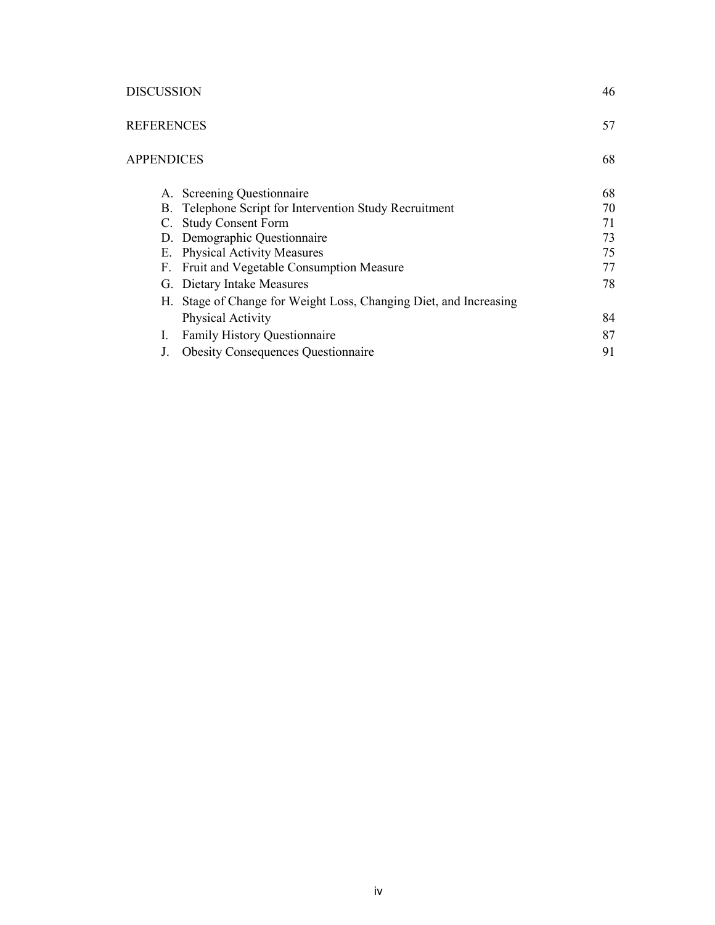### DISCUSSION 46

| <b>REFERENCES</b>                                                 | 57 |
|-------------------------------------------------------------------|----|
| <b>APPENDICES</b>                                                 | 68 |
| A. Screening Questionnaire                                        | 68 |
| B. Telephone Script for Intervention Study Recruitment            | 70 |
| <b>Study Consent Form</b><br>C.                                   | 71 |
| D. Demographic Questionnaire                                      | 73 |
| <b>Physical Activity Measures</b><br>Е.                           | 75 |
| <b>Fruit and Vegetable Consumption Measure</b><br>F.              | 77 |
| G. Dietary Intake Measures                                        | 78 |
| H. Stage of Change for Weight Loss, Changing Diet, and Increasing |    |
| Physical Activity                                                 | 84 |
| <b>Family History Questionnaire</b><br>I.                         | 87 |
| <b>Obesity Consequences Questionnaire</b>                         | 91 |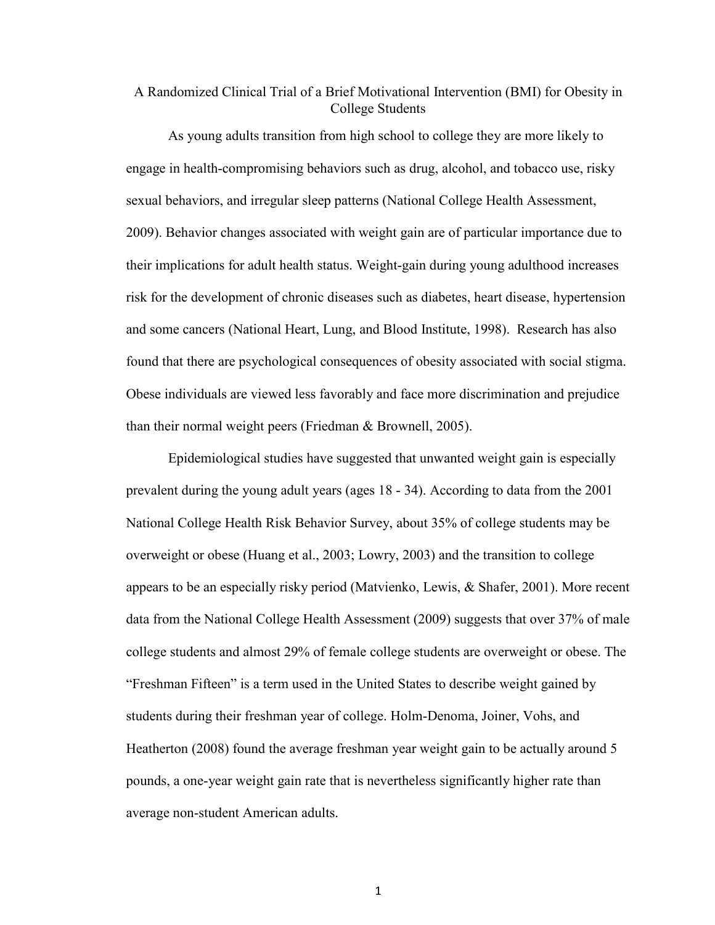# A Randomized Clinical Trial of a Brief Motivational Intervention (BMI) for Obesity in College Students

As young adults transition from high school to college they are more likely to engage in health-compromising behaviors such as drug, alcohol, and tobacco use, risky sexual behaviors, and irregular sleep patterns (National College Health Assessment, 2009). Behavior changes associated with weight gain are of particular importance due to their implications for adult health status. Weight-gain during young adulthood increases risk for the development of chronic diseases such as diabetes, heart disease, hypertension and some cancers (National Heart, Lung, and Blood Institute, 1998). Research has also found that there are psychological consequences of obesity associated with social stigma. Obese individuals are viewed less favorably and face more discrimination and prejudice than their normal weight peers (Friedman & Brownell, 2005).

Epidemiological studies have suggested that unwanted weight gain is especially prevalent during the young adult years (ages 18 - 34). According to data from the 2001 National College Health Risk Behavior Survey, about 35% of college students may be overweight or obese (Huang et al., 2003; Lowry, 2003) and the transition to college appears to be an especially risky period (Matvienko, Lewis, & Shafer, 2001). More recent data from the National College Health Assessment (2009) suggests that over 37% of male college students and almost 29% of female college students are overweight or obese. The "Freshman Fifteen" is a term used in the United States to describe weight gained by students during their freshman year of college. Holm-Denoma, Joiner, Vohs, and Heatherton (2008) found the average freshman year weight gain to be actually around 5 pounds, a one-year weight gain rate that is nevertheless significantly higher rate than average non-student American adults.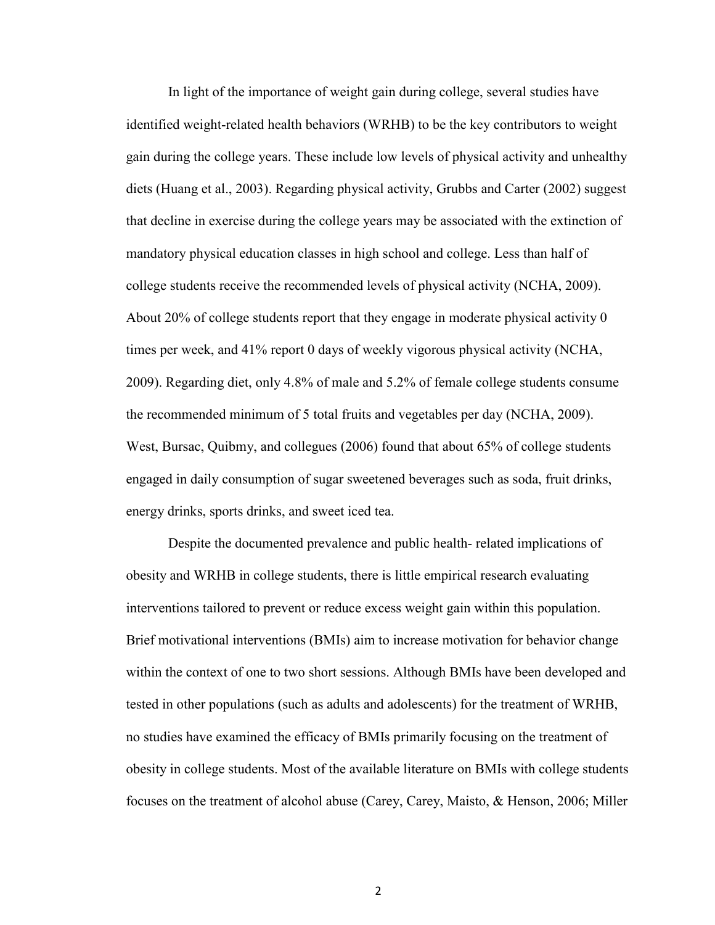In light of the importance of weight gain during college, several studies have identified weight-related health behaviors (WRHB) to be the key contributors to weight gain during the college years. These include low levels of physical activity and unhealthy diets (Huang et al., 2003). Regarding physical activity, Grubbs and Carter (2002) suggest that decline in exercise during the college years may be associated with the extinction of mandatory physical education classes in high school and college. Less than half of college students receive the recommended levels of physical activity (NCHA, 2009). About 20% of college students report that they engage in moderate physical activity 0 times per week, and 41% report 0 days of weekly vigorous physical activity (NCHA, 2009). Regarding diet, only 4.8% of male and 5.2% of female college students consume the recommended minimum of 5 total fruits and vegetables per day (NCHA, 2009). West, Bursac, Quibmy, and collegues (2006) found that about 65% of college students engaged in daily consumption of sugar sweetened beverages such as soda, fruit drinks, energy drinks, sports drinks, and sweet iced tea.

Despite the documented prevalence and public health- related implications of obesity and WRHB in college students, there is little empirical research evaluating interventions tailored to prevent or reduce excess weight gain within this population. Brief motivational interventions (BMIs) aim to increase motivation for behavior change within the context of one to two short sessions. Although BMIs have been developed and tested in other populations (such as adults and adolescents) for the treatment of WRHB, no studies have examined the efficacy of BMIs primarily focusing on the treatment of obesity in college students. Most of the available literature on BMIs with college students focuses on the treatment of alcohol abuse (Carey, Carey, Maisto, & Henson, 2006; Miller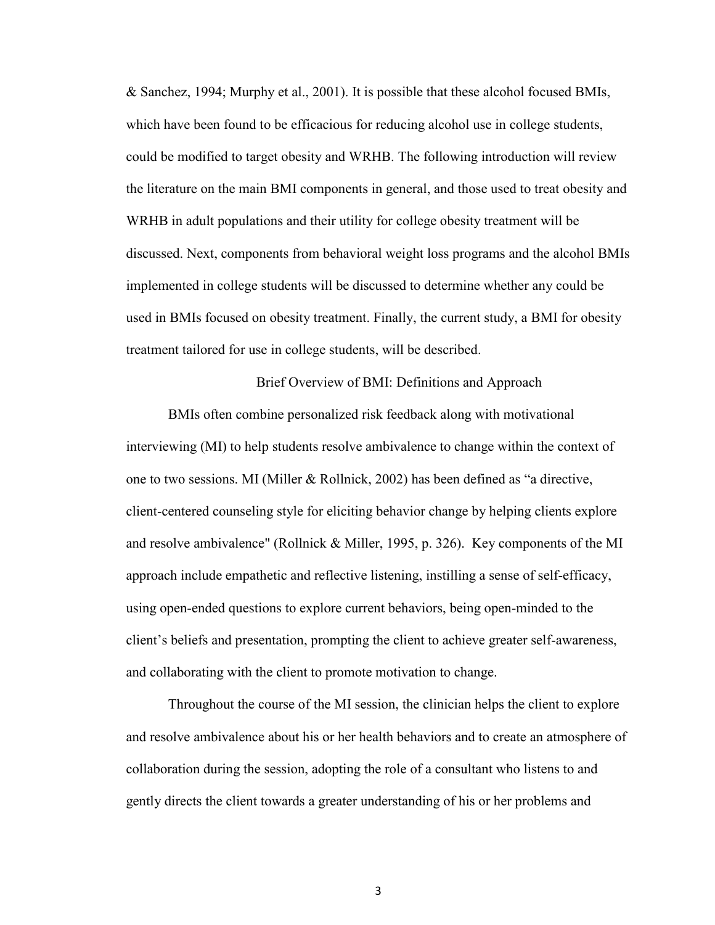& Sanchez, 1994; Murphy et al., 2001). It is possible that these alcohol focused BMIs, which have been found to be efficacious for reducing alcohol use in college students, could be modified to target obesity and WRHB. The following introduction will review the literature on the main BMI components in general, and those used to treat obesity and WRHB in adult populations and their utility for college obesity treatment will be discussed. Next, components from behavioral weight loss programs and the alcohol BMIs implemented in college students will be discussed to determine whether any could be used in BMIs focused on obesity treatment. Finally, the current study, a BMI for obesity treatment tailored for use in college students, will be described.

Brief Overview of BMI: Definitions and Approach

BMIs often combine personalized risk feedback along with motivational interviewing (MI) to help students resolve ambivalence to change within the context of one to two sessions. MI (Miller & Rollnick, 2002) has been defined as "a directive, client-centered counseling style for eliciting behavior change by helping clients explore and resolve ambivalence" (Rollnick & Miller, 1995, p. 326). Key components of the MI approach include empathetic and reflective listening, instilling a sense of self-efficacy, using open-ended questions to explore current behaviors, being open-minded to the client's beliefs and presentation, prompting the client to achieve greater self-awareness, and collaborating with the client to promote motivation to change.

Throughout the course of the MI session, the clinician helps the client to explore and resolve ambivalence about his or her health behaviors and to create an atmosphere of collaboration during the session, adopting the role of a consultant who listens to and gently directs the client towards a greater understanding of his or her problems and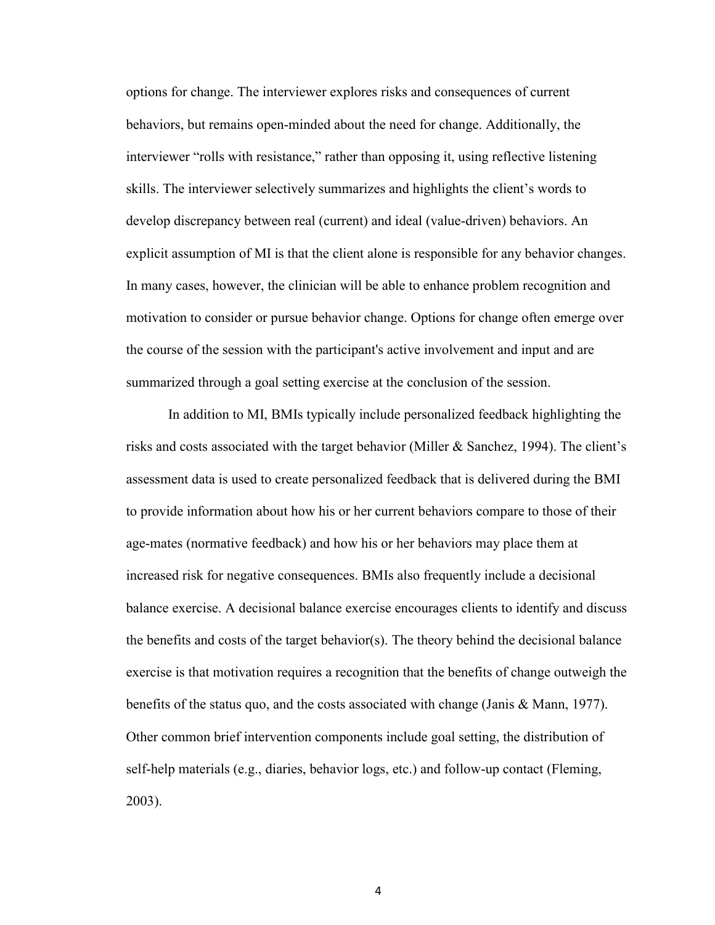options for change. The interviewer explores risks and consequences of current behaviors, but remains open-minded about the need for change. Additionally, the interviewer "rolls with resistance," rather than opposing it, using reflective listening skills. The interviewer selectively summarizes and highlights the client's words to develop discrepancy between real (current) and ideal (value-driven) behaviors. An explicit assumption of MI is that the client alone is responsible for any behavior changes. In many cases, however, the clinician will be able to enhance problem recognition and motivation to consider or pursue behavior change. Options for change often emerge over the course of the session with the participant's active involvement and input and are summarized through a goal setting exercise at the conclusion of the session.

 In addition to MI, BMIs typically include personalized feedback highlighting the risks and costs associated with the target behavior (Miller & Sanchez, 1994). The client's assessment data is used to create personalized feedback that is delivered during the BMI to provide information about how his or her current behaviors compare to those of their age-mates (normative feedback) and how his or her behaviors may place them at increased risk for negative consequences. BMIs also frequently include a decisional balance exercise. A decisional balance exercise encourages clients to identify and discuss the benefits and costs of the target behavior(s). The theory behind the decisional balance exercise is that motivation requires a recognition that the benefits of change outweigh the benefits of the status quo, and the costs associated with change (Janis & Mann, 1977). Other common brief intervention components include goal setting, the distribution of self-help materials (e.g., diaries, behavior logs, etc.) and follow-up contact (Fleming, 2003).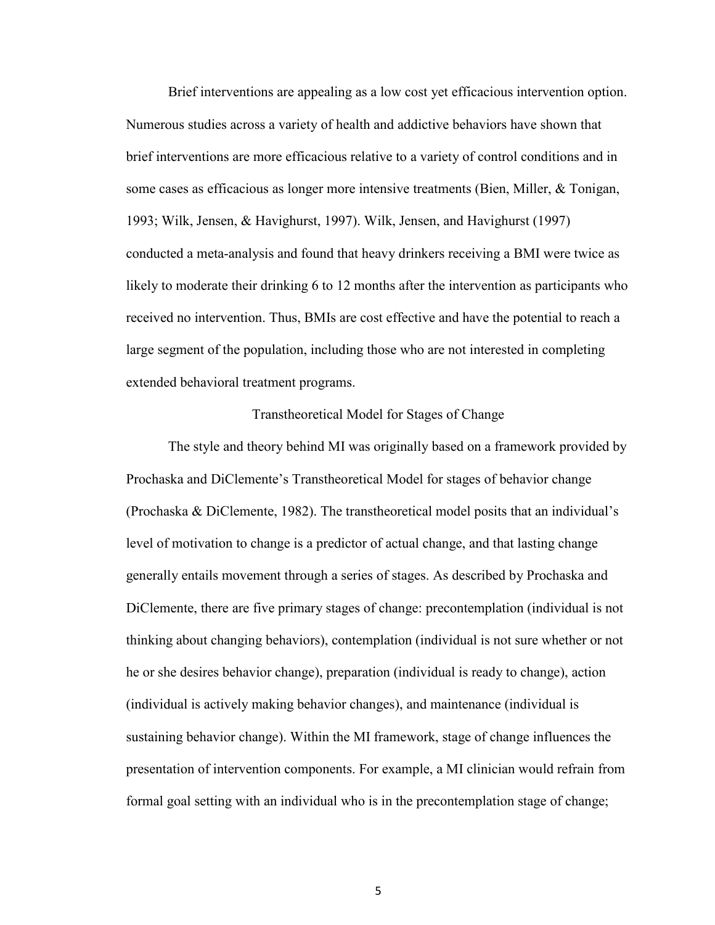Brief interventions are appealing as a low cost yet efficacious intervention option. Numerous studies across a variety of health and addictive behaviors have shown that brief interventions are more efficacious relative to a variety of control conditions and in some cases as efficacious as longer more intensive treatments (Bien, Miller, & Tonigan, 1993; Wilk, Jensen, & Havighurst, 1997). Wilk, Jensen, and Havighurst (1997) conducted a meta-analysis and found that heavy drinkers receiving a BMI were twice as likely to moderate their drinking 6 to 12 months after the intervention as participants who received no intervention. Thus, BMIs are cost effective and have the potential to reach a large segment of the population, including those who are not interested in completing extended behavioral treatment programs.

#### Transtheoretical Model for Stages of Change

 The style and theory behind MI was originally based on a framework provided by Prochaska and DiClemente's Transtheoretical Model for stages of behavior change (Prochaska & DiClemente, 1982). The transtheoretical model posits that an individual's level of motivation to change is a predictor of actual change, and that lasting change generally entails movement through a series of stages. As described by Prochaska and DiClemente, there are five primary stages of change: precontemplation (individual is not thinking about changing behaviors), contemplation (individual is not sure whether or not he or she desires behavior change), preparation (individual is ready to change), action (individual is actively making behavior changes), and maintenance (individual is sustaining behavior change). Within the MI framework, stage of change influences the presentation of intervention components. For example, a MI clinician would refrain from formal goal setting with an individual who is in the precontemplation stage of change;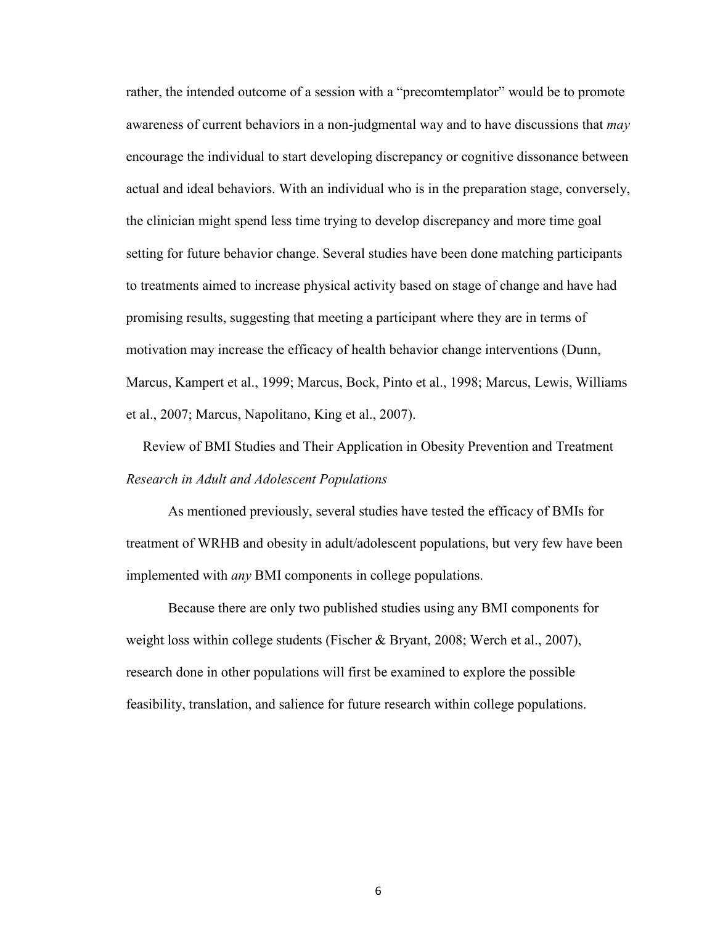rather, the intended outcome of a session with a "precomtemplator" would be to promote awareness of current behaviors in a non-judgmental way and to have discussions that *may* encourage the individual to start developing discrepancy or cognitive dissonance between actual and ideal behaviors. With an individual who is in the preparation stage, conversely, the clinician might spend less time trying to develop discrepancy and more time goal setting for future behavior change. Several studies have been done matching participants to treatments aimed to increase physical activity based on stage of change and have had promising results, suggesting that meeting a participant where they are in terms of motivation may increase the efficacy of health behavior change interventions (Dunn, Marcus, Kampert et al., 1999; Marcus, Bock, Pinto et al., 1998; Marcus, Lewis, Williams et al., 2007; Marcus, Napolitano, King et al., 2007).

Review of BMI Studies and Their Application in Obesity Prevention and Treatment *Research in Adult and Adolescent Populations* 

As mentioned previously, several studies have tested the efficacy of BMIs for treatment of WRHB and obesity in adult/adolescent populations, but very few have been implemented with *any* BMI components in college populations.

Because there are only two published studies using any BMI components for weight loss within college students (Fischer & Bryant, 2008; Werch et al., 2007), research done in other populations will first be examined to explore the possible feasibility, translation, and salience for future research within college populations.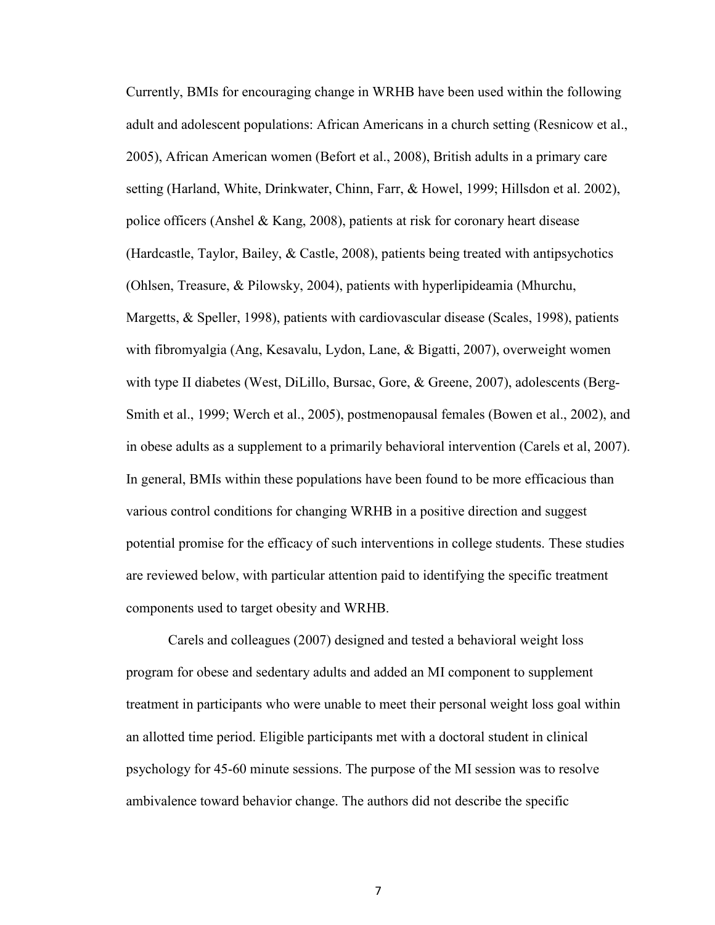Currently, BMIs for encouraging change in WRHB have been used within the following adult and adolescent populations: African Americans in a church setting (Resnicow et al., 2005), African American women (Befort et al., 2008), British adults in a primary care setting (Harland, White, Drinkwater, Chinn, Farr, & Howel, 1999; Hillsdon et al. 2002), police officers (Anshel & Kang, 2008), patients at risk for coronary heart disease (Hardcastle, Taylor, Bailey, & Castle, 2008), patients being treated with antipsychotics (Ohlsen, Treasure, & Pilowsky, 2004), patients with hyperlipideamia (Mhurchu, Margetts, & Speller, 1998), patients with cardiovascular disease (Scales, 1998), patients with fibromyalgia (Ang, Kesavalu, Lydon, Lane, & Bigatti, 2007), overweight women with type II diabetes (West, DiLillo, Bursac, Gore, & Greene, 2007), adolescents (Berg-Smith et al., 1999; Werch et al., 2005), postmenopausal females (Bowen et al., 2002), and in obese adults as a supplement to a primarily behavioral intervention (Carels et al, 2007). In general, BMIs within these populations have been found to be more efficacious than various control conditions for changing WRHB in a positive direction and suggest potential promise for the efficacy of such interventions in college students. These studies are reviewed below, with particular attention paid to identifying the specific treatment components used to target obesity and WRHB.

Carels and colleagues (2007) designed and tested a behavioral weight loss program for obese and sedentary adults and added an MI component to supplement treatment in participants who were unable to meet their personal weight loss goal within an allotted time period. Eligible participants met with a doctoral student in clinical psychology for 45-60 minute sessions. The purpose of the MI session was to resolve ambivalence toward behavior change. The authors did not describe the specific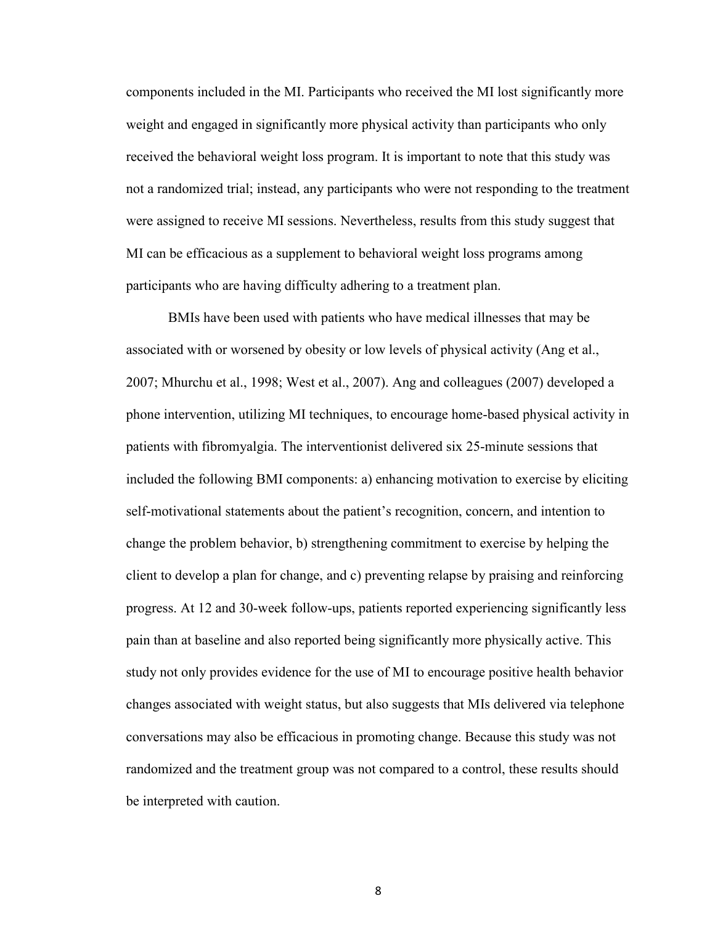components included in the MI. Participants who received the MI lost significantly more weight and engaged in significantly more physical activity than participants who only received the behavioral weight loss program. It is important to note that this study was not a randomized trial; instead, any participants who were not responding to the treatment were assigned to receive MI sessions. Nevertheless, results from this study suggest that MI can be efficacious as a supplement to behavioral weight loss programs among participants who are having difficulty adhering to a treatment plan.

BMIs have been used with patients who have medical illnesses that may be associated with or worsened by obesity or low levels of physical activity (Ang et al., 2007; Mhurchu et al., 1998; West et al., 2007). Ang and colleagues (2007) developed a phone intervention, utilizing MI techniques, to encourage home-based physical activity in patients with fibromyalgia. The interventionist delivered six 25-minute sessions that included the following BMI components: a) enhancing motivation to exercise by eliciting self-motivational statements about the patient's recognition, concern, and intention to change the problem behavior, b) strengthening commitment to exercise by helping the client to develop a plan for change, and c) preventing relapse by praising and reinforcing progress. At 12 and 30-week follow-ups, patients reported experiencing significantly less pain than at baseline and also reported being significantly more physically active. This study not only provides evidence for the use of MI to encourage positive health behavior changes associated with weight status, but also suggests that MIs delivered via telephone conversations may also be efficacious in promoting change. Because this study was not randomized and the treatment group was not compared to a control, these results should be interpreted with caution.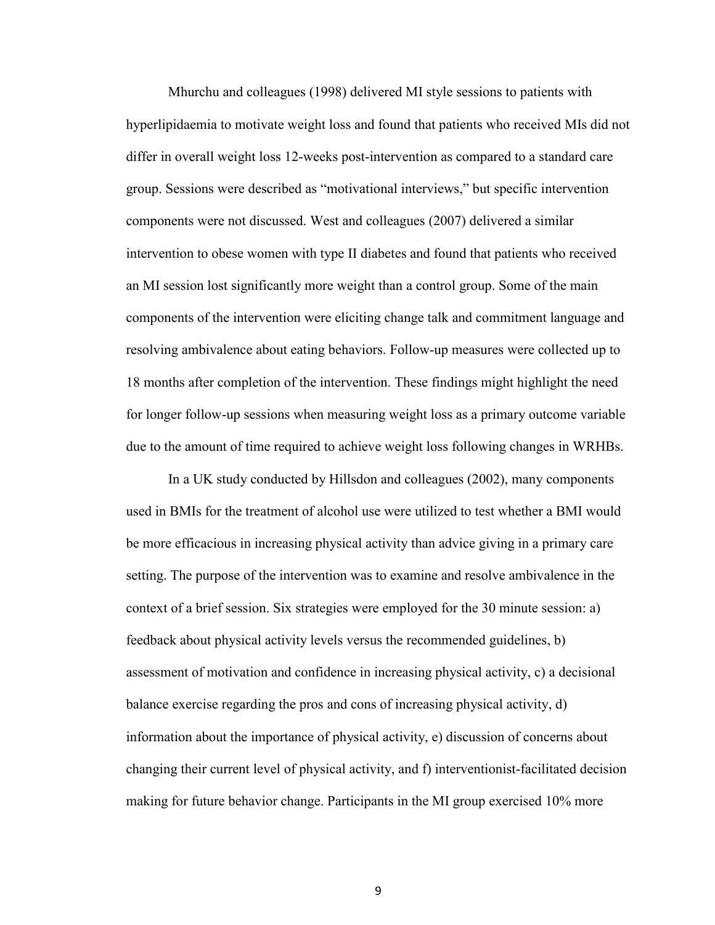Mhurchu and colleagues (1998) delivered MI style sessions to patients with hyperlipidaemia to motivate weight loss and found that patients who received MIs did not differ in overall weight loss 12-weeks post-intervention as compared to a standard care group. Sessions were described as "motivational interviews," but specific intervention components were not discussed. West and colleagues (2007) delivered a similar intervention to obese women with type II diabetes and found that patients who received an MI session lost significantly more weight than a control group. Some of the main components of the intervention were eliciting change talk and commitment language and resolving ambivalence about eating behaviors. Follow-up measures were collected up to 18 months after completion of the intervention. These findings might highlight the need for longer follow-up sessions when measuring weight loss as a primary outcome variable due to the amount of time required to achieve weight loss following changes in WRHBs.

In a UK study conducted by Hillsdon and colleagues (2002), many components used in BMIs for the treatment of alcohol use were utilized to test whether a BMI would be more efficacious in increasing physical activity than advice giving in a primary care setting. The purpose of the intervention was to examine and resolve ambivalence in the context of a brief session. Six strategies were employed for the 30 minute session: a) feedback about physical activity levels versus the recommended guidelines, b) assessment of motivation and confidence in increasing physical activity, c) a decisional balance exercise regarding the pros and cons of increasing physical activity, d) information about the importance of physical activity, e) discussion of concerns about changing their current level of physical activity, and f) interventionist-facilitated decision making for future behavior change. Participants in the MI group exercised 10% more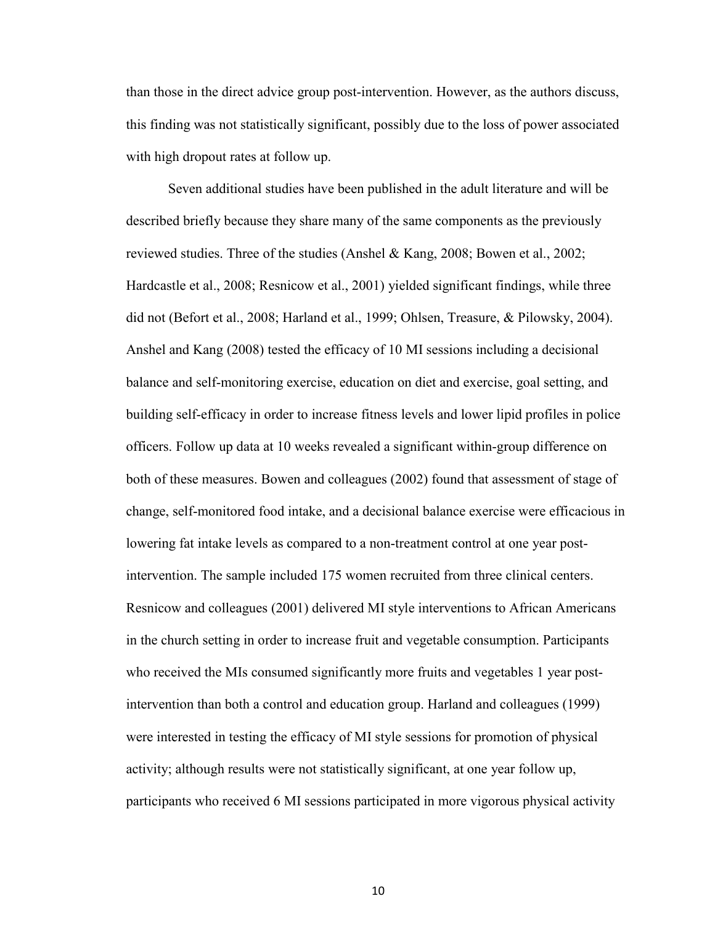than those in the direct advice group post-intervention. However, as the authors discuss, this finding was not statistically significant, possibly due to the loss of power associated with high dropout rates at follow up.

Seven additional studies have been published in the adult literature and will be described briefly because they share many of the same components as the previously reviewed studies. Three of the studies (Anshel & Kang, 2008; Bowen et al., 2002; Hardcastle et al., 2008; Resnicow et al., 2001) yielded significant findings, while three did not (Befort et al., 2008; Harland et al., 1999; Ohlsen, Treasure, & Pilowsky, 2004). Anshel and Kang (2008) tested the efficacy of 10 MI sessions including a decisional balance and self-monitoring exercise, education on diet and exercise, goal setting, and building self-efficacy in order to increase fitness levels and lower lipid profiles in police officers. Follow up data at 10 weeks revealed a significant within-group difference on both of these measures. Bowen and colleagues (2002) found that assessment of stage of change, self-monitored food intake, and a decisional balance exercise were efficacious in lowering fat intake levels as compared to a non-treatment control at one year postintervention. The sample included 175 women recruited from three clinical centers. Resnicow and colleagues (2001) delivered MI style interventions to African Americans in the church setting in order to increase fruit and vegetable consumption. Participants who received the MIs consumed significantly more fruits and vegetables 1 year postintervention than both a control and education group. Harland and colleagues (1999) were interested in testing the efficacy of MI style sessions for promotion of physical activity; although results were not statistically significant, at one year follow up, participants who received 6 MI sessions participated in more vigorous physical activity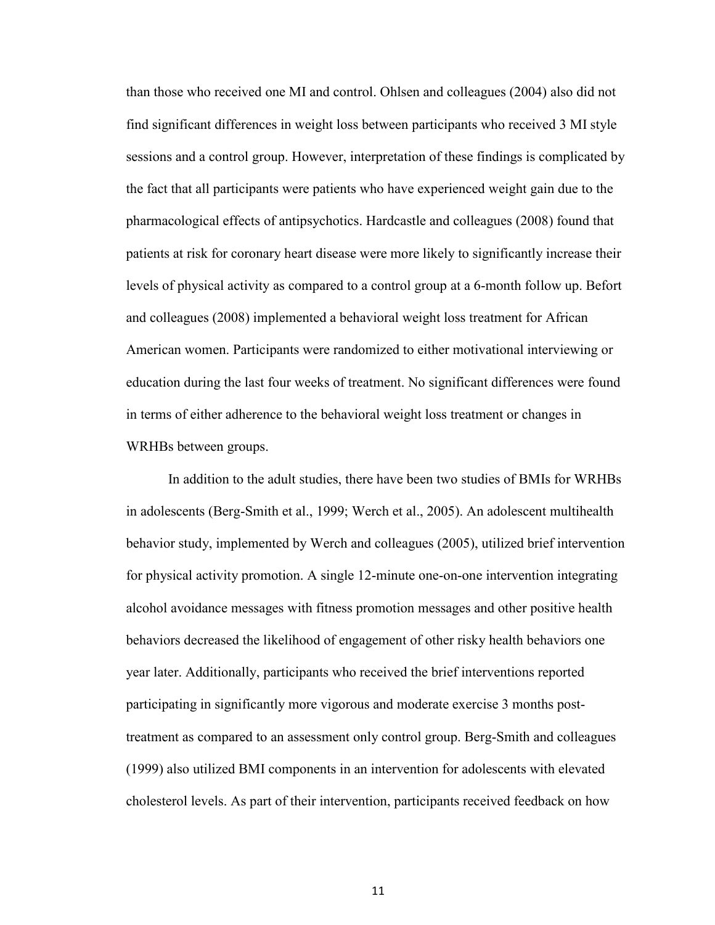than those who received one MI and control. Ohlsen and colleagues (2004) also did not find significant differences in weight loss between participants who received 3 MI style sessions and a control group. However, interpretation of these findings is complicated by the fact that all participants were patients who have experienced weight gain due to the pharmacological effects of antipsychotics. Hardcastle and colleagues (2008) found that patients at risk for coronary heart disease were more likely to significantly increase their levels of physical activity as compared to a control group at a 6-month follow up. Befort and colleagues (2008) implemented a behavioral weight loss treatment for African American women. Participants were randomized to either motivational interviewing or education during the last four weeks of treatment. No significant differences were found in terms of either adherence to the behavioral weight loss treatment or changes in WRHBs between groups.

In addition to the adult studies, there have been two studies of BMIs for WRHBs in adolescents (Berg-Smith et al., 1999; Werch et al., 2005). An adolescent multihealth behavior study, implemented by Werch and colleagues (2005), utilized brief intervention for physical activity promotion. A single 12-minute one-on-one intervention integrating alcohol avoidance messages with fitness promotion messages and other positive health behaviors decreased the likelihood of engagement of other risky health behaviors one year later. Additionally, participants who received the brief interventions reported participating in significantly more vigorous and moderate exercise 3 months posttreatment as compared to an assessment only control group. Berg-Smith and colleagues (1999) also utilized BMI components in an intervention for adolescents with elevated cholesterol levels. As part of their intervention, participants received feedback on how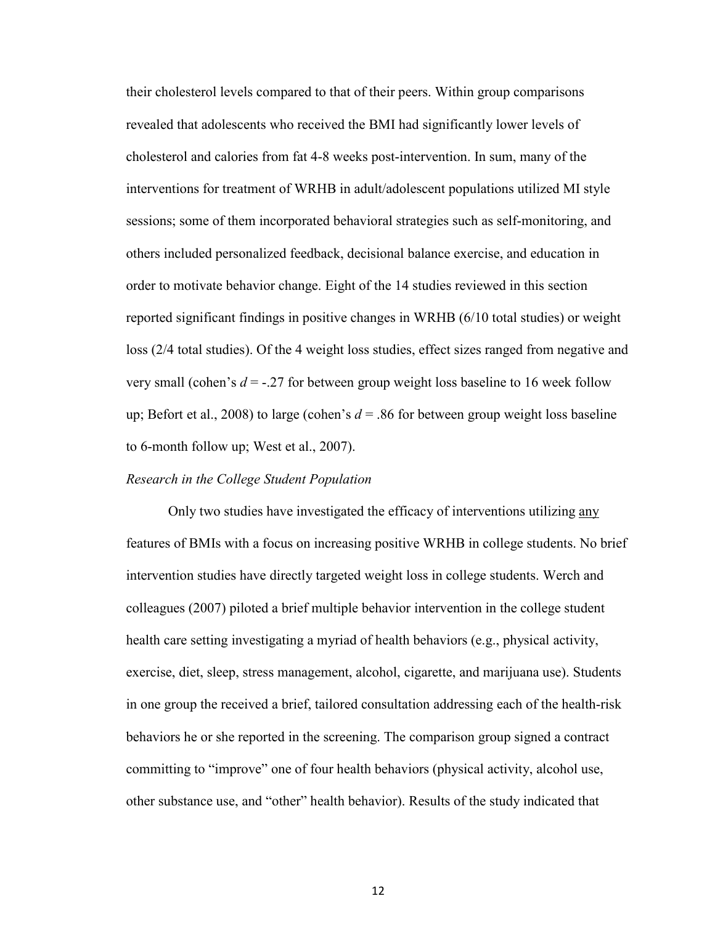their cholesterol levels compared to that of their peers. Within group comparisons revealed that adolescents who received the BMI had significantly lower levels of cholesterol and calories from fat 4-8 weeks post-intervention. In sum, many of the interventions for treatment of WRHB in adult/adolescent populations utilized MI style sessions; some of them incorporated behavioral strategies such as self-monitoring, and others included personalized feedback, decisional balance exercise, and education in order to motivate behavior change. Eight of the 14 studies reviewed in this section reported significant findings in positive changes in WRHB (6/10 total studies) or weight loss (2/4 total studies). Of the 4 weight loss studies, effect sizes ranged from negative and very small (cohen's *d* = -.27 for between group weight loss baseline to 16 week follow up; Befort et al., 2008) to large (cohen's  $d = 0.86$  for between group weight loss baseline to 6-month follow up; West et al., 2007).

#### *Research in the College Student Population*

 Only two studies have investigated the efficacy of interventions utilizing any features of BMIs with a focus on increasing positive WRHB in college students. No brief intervention studies have directly targeted weight loss in college students. Werch and colleagues (2007) piloted a brief multiple behavior intervention in the college student health care setting investigating a myriad of health behaviors (e.g., physical activity, exercise, diet, sleep, stress management, alcohol, cigarette, and marijuana use). Students in one group the received a brief, tailored consultation addressing each of the health-risk behaviors he or she reported in the screening. The comparison group signed a contract committing to "improve" one of four health behaviors (physical activity, alcohol use, other substance use, and "other" health behavior). Results of the study indicated that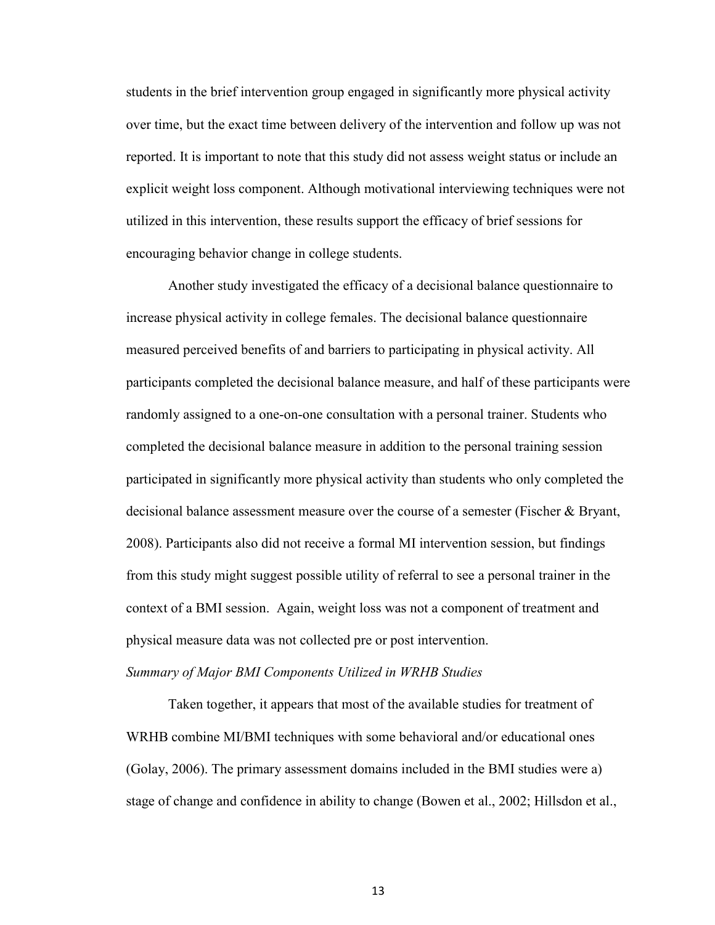students in the brief intervention group engaged in significantly more physical activity over time, but the exact time between delivery of the intervention and follow up was not reported. It is important to note that this study did not assess weight status or include an explicit weight loss component. Although motivational interviewing techniques were not utilized in this intervention, these results support the efficacy of brief sessions for encouraging behavior change in college students.

Another study investigated the efficacy of a decisional balance questionnaire to increase physical activity in college females. The decisional balance questionnaire measured perceived benefits of and barriers to participating in physical activity. All participants completed the decisional balance measure, and half of these participants were randomly assigned to a one-on-one consultation with a personal trainer. Students who completed the decisional balance measure in addition to the personal training session participated in significantly more physical activity than students who only completed the decisional balance assessment measure over the course of a semester (Fischer & Bryant, 2008). Participants also did not receive a formal MI intervention session, but findings from this study might suggest possible utility of referral to see a personal trainer in the context of a BMI session. Again, weight loss was not a component of treatment and physical measure data was not collected pre or post intervention.

# *Summary of Major BMI Components Utilized in WRHB Studies*

Taken together, it appears that most of the available studies for treatment of WRHB combine MI/BMI techniques with some behavioral and/or educational ones (Golay, 2006). The primary assessment domains included in the BMI studies were a) stage of change and confidence in ability to change (Bowen et al., 2002; Hillsdon et al.,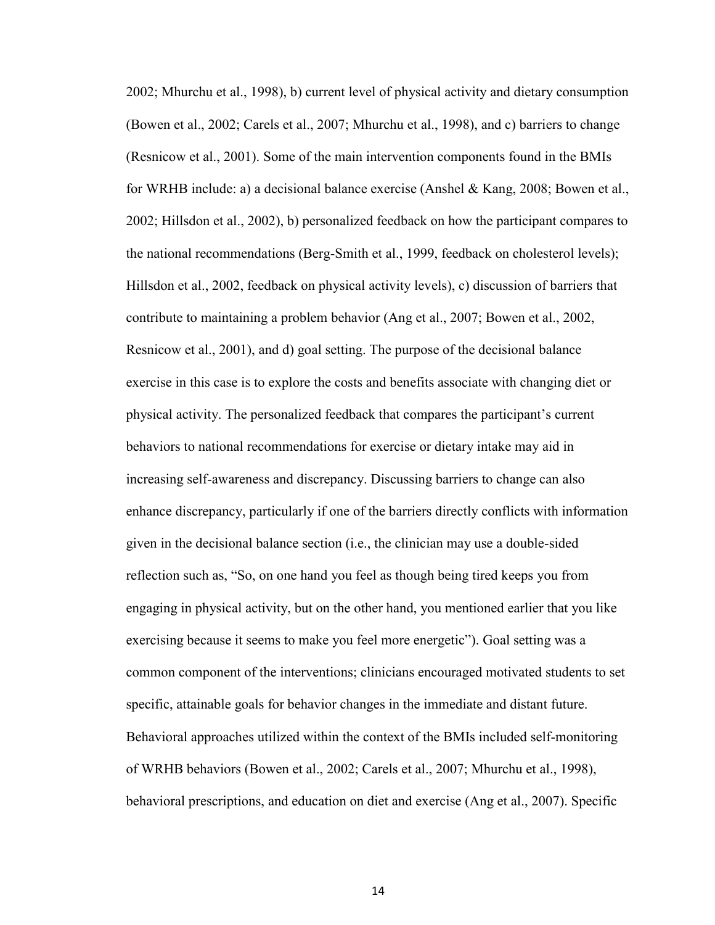2002; Mhurchu et al., 1998), b) current level of physical activity and dietary consumption (Bowen et al., 2002; Carels et al., 2007; Mhurchu et al., 1998), and c) barriers to change (Resnicow et al., 2001). Some of the main intervention components found in the BMIs for WRHB include: a) a decisional balance exercise (Anshel & Kang, 2008; Bowen et al., 2002; Hillsdon et al., 2002), b) personalized feedback on how the participant compares to the national recommendations (Berg-Smith et al., 1999, feedback on cholesterol levels); Hillsdon et al., 2002, feedback on physical activity levels), c) discussion of barriers that contribute to maintaining a problem behavior (Ang et al., 2007; Bowen et al., 2002, Resnicow et al., 2001), and d) goal setting. The purpose of the decisional balance exercise in this case is to explore the costs and benefits associate with changing diet or physical activity. The personalized feedback that compares the participant's current behaviors to national recommendations for exercise or dietary intake may aid in increasing self-awareness and discrepancy. Discussing barriers to change can also enhance discrepancy, particularly if one of the barriers directly conflicts with information given in the decisional balance section (i.e., the clinician may use a double-sided reflection such as, "So, on one hand you feel as though being tired keeps you from engaging in physical activity, but on the other hand, you mentioned earlier that you like exercising because it seems to make you feel more energetic"). Goal setting was a common component of the interventions; clinicians encouraged motivated students to set specific, attainable goals for behavior changes in the immediate and distant future. Behavioral approaches utilized within the context of the BMIs included self-monitoring of WRHB behaviors (Bowen et al., 2002; Carels et al., 2007; Mhurchu et al., 1998), behavioral prescriptions, and education on diet and exercise (Ang et al., 2007). Specific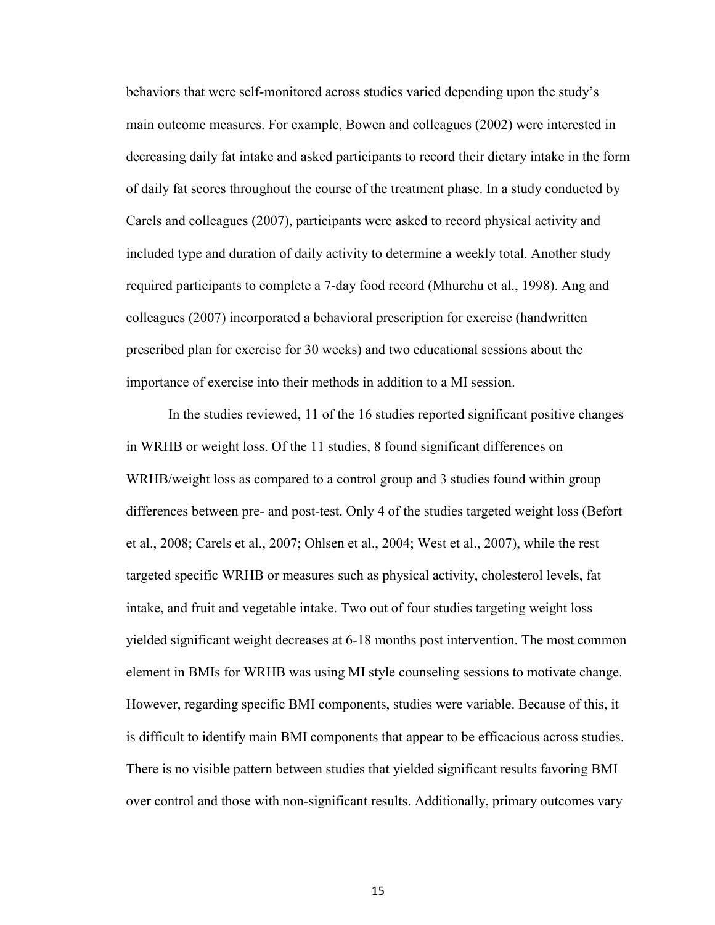behaviors that were self-monitored across studies varied depending upon the study's main outcome measures. For example, Bowen and colleagues (2002) were interested in decreasing daily fat intake and asked participants to record their dietary intake in the form of daily fat scores throughout the course of the treatment phase. In a study conducted by Carels and colleagues (2007), participants were asked to record physical activity and included type and duration of daily activity to determine a weekly total. Another study required participants to complete a 7-day food record (Mhurchu et al., 1998). Ang and colleagues (2007) incorporated a behavioral prescription for exercise (handwritten prescribed plan for exercise for 30 weeks) and two educational sessions about the importance of exercise into their methods in addition to a MI session.

In the studies reviewed, 11 of the 16 studies reported significant positive changes in WRHB or weight loss. Of the 11 studies, 8 found significant differences on WRHB/weight loss as compared to a control group and 3 studies found within group differences between pre- and post-test. Only 4 of the studies targeted weight loss (Befort et al., 2008; Carels et al., 2007; Ohlsen et al., 2004; West et al., 2007), while the rest targeted specific WRHB or measures such as physical activity, cholesterol levels, fat intake, and fruit and vegetable intake. Two out of four studies targeting weight loss yielded significant weight decreases at 6-18 months post intervention. The most common element in BMIs for WRHB was using MI style counseling sessions to motivate change. However, regarding specific BMI components, studies were variable. Because of this, it is difficult to identify main BMI components that appear to be efficacious across studies. There is no visible pattern between studies that yielded significant results favoring BMI over control and those with non-significant results. Additionally, primary outcomes vary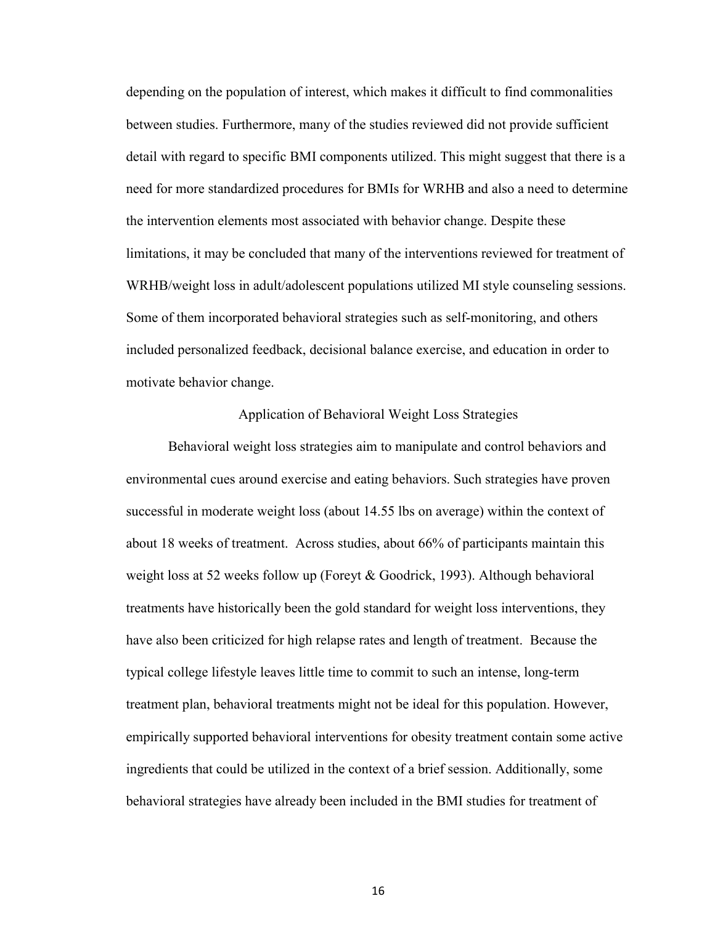depending on the population of interest, which makes it difficult to find commonalities between studies. Furthermore, many of the studies reviewed did not provide sufficient detail with regard to specific BMI components utilized. This might suggest that there is a need for more standardized procedures for BMIs for WRHB and also a need to determine the intervention elements most associated with behavior change. Despite these limitations, it may be concluded that many of the interventions reviewed for treatment of WRHB/weight loss in adult/adolescent populations utilized MI style counseling sessions. Some of them incorporated behavioral strategies such as self-monitoring, and others included personalized feedback, decisional balance exercise, and education in order to motivate behavior change.

#### Application of Behavioral Weight Loss Strategies

 Behavioral weight loss strategies aim to manipulate and control behaviors and environmental cues around exercise and eating behaviors. Such strategies have proven successful in moderate weight loss (about 14.55 lbs on average) within the context of about 18 weeks of treatment. Across studies, about 66% of participants maintain this weight loss at 52 weeks follow up (Foreyt & Goodrick, 1993). Although behavioral treatments have historically been the gold standard for weight loss interventions, they have also been criticized for high relapse rates and length of treatment. Because the typical college lifestyle leaves little time to commit to such an intense, long-term treatment plan, behavioral treatments might not be ideal for this population. However, empirically supported behavioral interventions for obesity treatment contain some active ingredients that could be utilized in the context of a brief session. Additionally, some behavioral strategies have already been included in the BMI studies for treatment of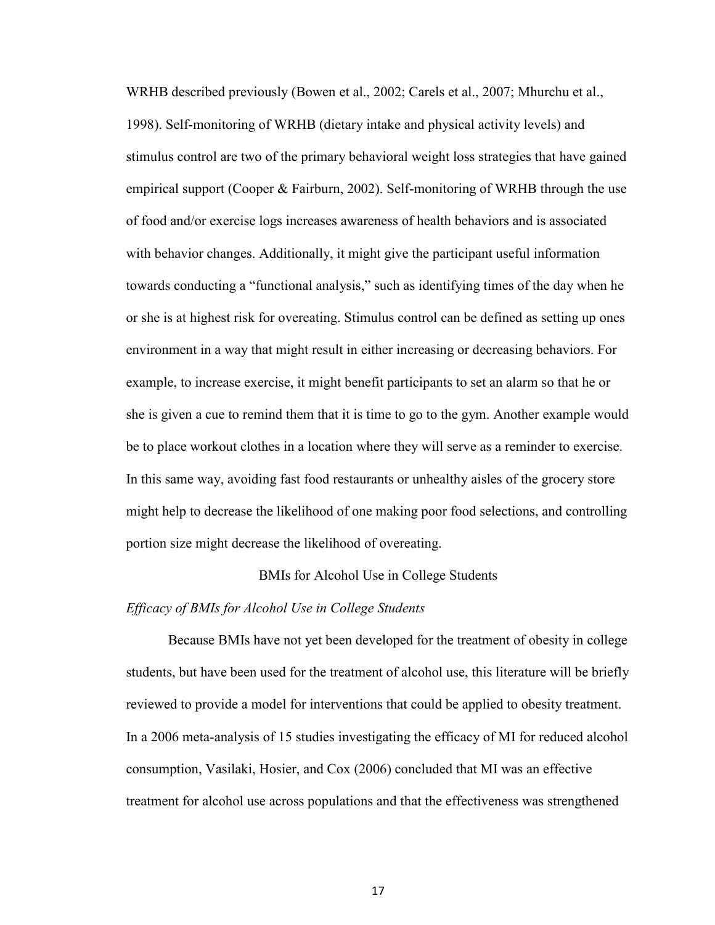WRHB described previously (Bowen et al., 2002; Carels et al., 2007; Mhurchu et al., 1998). Self-monitoring of WRHB (dietary intake and physical activity levels) and stimulus control are two of the primary behavioral weight loss strategies that have gained empirical support (Cooper & Fairburn, 2002). Self-monitoring of WRHB through the use of food and/or exercise logs increases awareness of health behaviors and is associated with behavior changes. Additionally, it might give the participant useful information towards conducting a "functional analysis," such as identifying times of the day when he or she is at highest risk for overeating. Stimulus control can be defined as setting up ones environment in a way that might result in either increasing or decreasing behaviors. For example, to increase exercise, it might benefit participants to set an alarm so that he or she is given a cue to remind them that it is time to go to the gym. Another example would be to place workout clothes in a location where they will serve as a reminder to exercise. In this same way, avoiding fast food restaurants or unhealthy aisles of the grocery store might help to decrease the likelihood of one making poor food selections, and controlling portion size might decrease the likelihood of overeating.

#### BMIs for Alcohol Use in College Students

#### *Efficacy of BMIs for Alcohol Use in College Students*

Because BMIs have not yet been developed for the treatment of obesity in college students, but have been used for the treatment of alcohol use, this literature will be briefly reviewed to provide a model for interventions that could be applied to obesity treatment. In a 2006 meta-analysis of 15 studies investigating the efficacy of MI for reduced alcohol consumption, Vasilaki, Hosier, and Cox (2006) concluded that MI was an effective treatment for alcohol use across populations and that the effectiveness was strengthened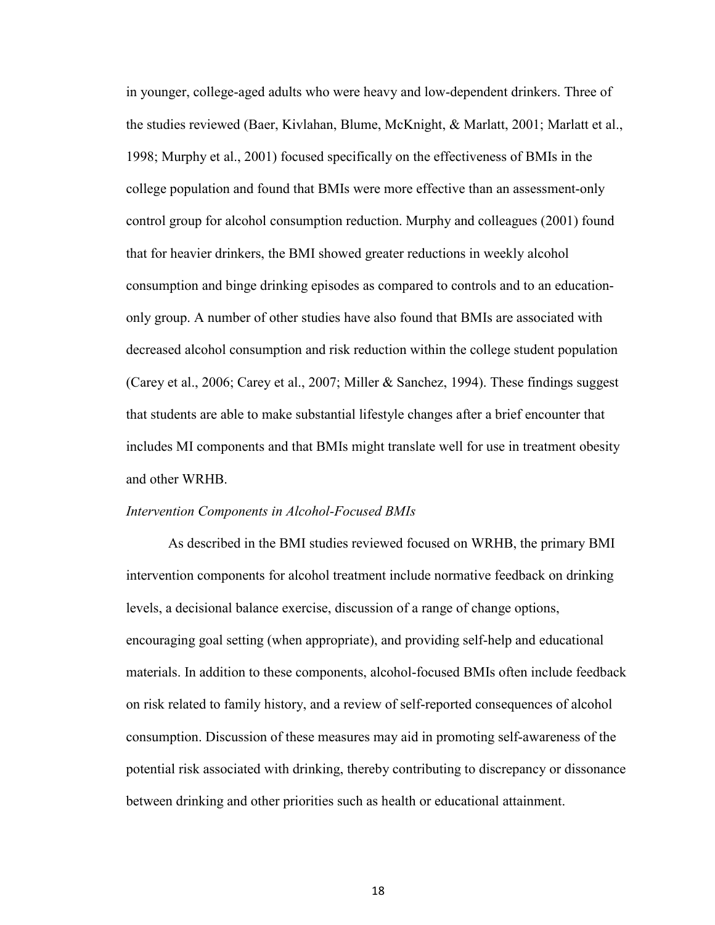in younger, college-aged adults who were heavy and low-dependent drinkers. Three of the studies reviewed (Baer, Kivlahan, Blume, McKnight, & Marlatt, 2001; Marlatt et al., 1998; Murphy et al., 2001) focused specifically on the effectiveness of BMIs in the college population and found that BMIs were more effective than an assessment-only control group for alcohol consumption reduction. Murphy and colleagues (2001) found that for heavier drinkers, the BMI showed greater reductions in weekly alcohol consumption and binge drinking episodes as compared to controls and to an educationonly group. A number of other studies have also found that BMIs are associated with decreased alcohol consumption and risk reduction within the college student population (Carey et al., 2006; Carey et al., 2007; Miller & Sanchez, 1994). These findings suggest that students are able to make substantial lifestyle changes after a brief encounter that includes MI components and that BMIs might translate well for use in treatment obesity and other WRHB.

#### *Intervention Components in Alcohol-Focused BMIs*

As described in the BMI studies reviewed focused on WRHB, the primary BMI intervention components for alcohol treatment include normative feedback on drinking levels, a decisional balance exercise, discussion of a range of change options, encouraging goal setting (when appropriate), and providing self-help and educational materials. In addition to these components, alcohol-focused BMIs often include feedback on risk related to family history, and a review of self-reported consequences of alcohol consumption. Discussion of these measures may aid in promoting self-awareness of the potential risk associated with drinking, thereby contributing to discrepancy or dissonance between drinking and other priorities such as health or educational attainment.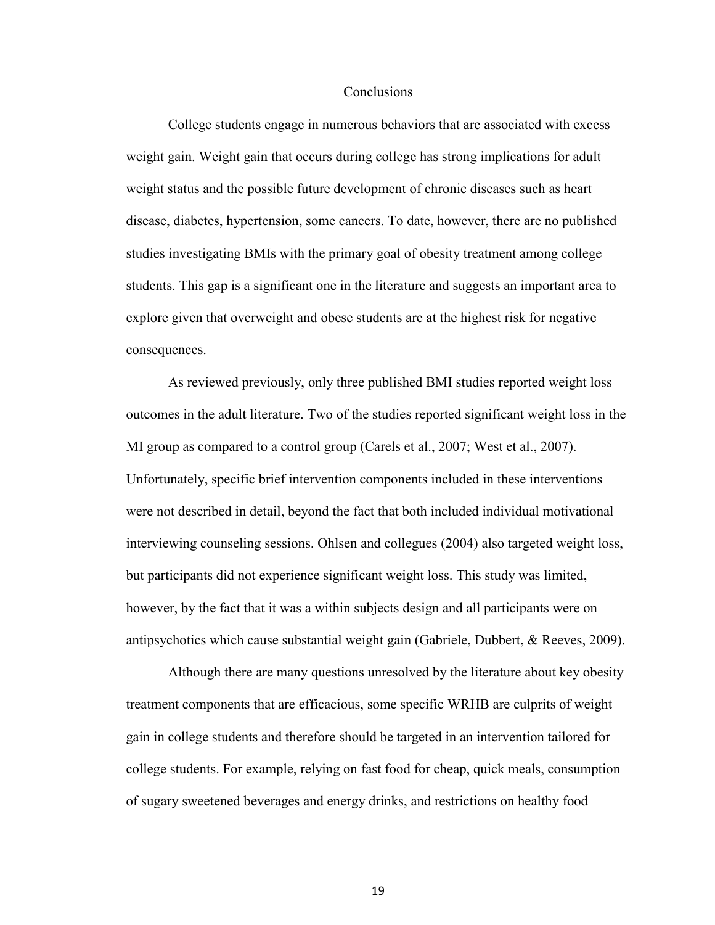#### Conclusions

 College students engage in numerous behaviors that are associated with excess weight gain. Weight gain that occurs during college has strong implications for adult weight status and the possible future development of chronic diseases such as heart disease, diabetes, hypertension, some cancers. To date, however, there are no published studies investigating BMIs with the primary goal of obesity treatment among college students. This gap is a significant one in the literature and suggests an important area to explore given that overweight and obese students are at the highest risk for negative consequences.

As reviewed previously, only three published BMI studies reported weight loss outcomes in the adult literature. Two of the studies reported significant weight loss in the MI group as compared to a control group (Carels et al., 2007; West et al., 2007). Unfortunately, specific brief intervention components included in these interventions were not described in detail, beyond the fact that both included individual motivational interviewing counseling sessions. Ohlsen and collegues (2004) also targeted weight loss, but participants did not experience significant weight loss. This study was limited, however, by the fact that it was a within subjects design and all participants were on antipsychotics which cause substantial weight gain (Gabriele, Dubbert, & Reeves, 2009).

Although there are many questions unresolved by the literature about key obesity treatment components that are efficacious, some specific WRHB are culprits of weight gain in college students and therefore should be targeted in an intervention tailored for college students. For example, relying on fast food for cheap, quick meals, consumption of sugary sweetened beverages and energy drinks, and restrictions on healthy food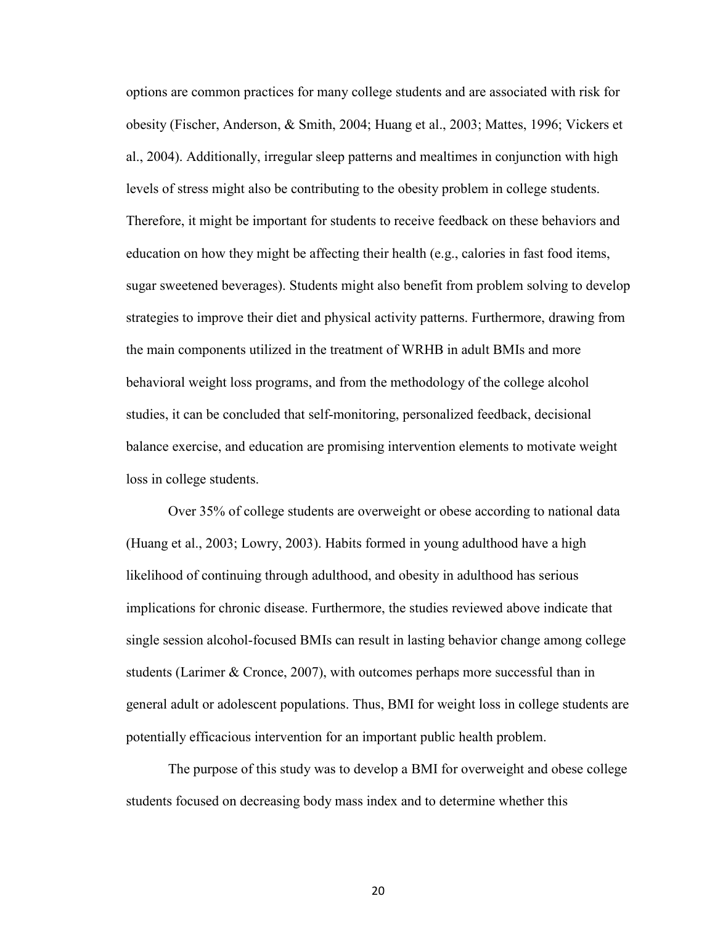options are common practices for many college students and are associated with risk for obesity (Fischer, Anderson, & Smith, 2004; Huang et al., 2003; Mattes, 1996; Vickers et al., 2004). Additionally, irregular sleep patterns and mealtimes in conjunction with high levels of stress might also be contributing to the obesity problem in college students. Therefore, it might be important for students to receive feedback on these behaviors and education on how they might be affecting their health (e.g., calories in fast food items, sugar sweetened beverages). Students might also benefit from problem solving to develop strategies to improve their diet and physical activity patterns. Furthermore, drawing from the main components utilized in the treatment of WRHB in adult BMIs and more behavioral weight loss programs, and from the methodology of the college alcohol studies, it can be concluded that self-monitoring, personalized feedback, decisional balance exercise, and education are promising intervention elements to motivate weight loss in college students.

Over 35% of college students are overweight or obese according to national data (Huang et al., 2003; Lowry, 2003). Habits formed in young adulthood have a high likelihood of continuing through adulthood, and obesity in adulthood has serious implications for chronic disease. Furthermore, the studies reviewed above indicate that single session alcohol-focused BMIs can result in lasting behavior change among college students (Larimer & Cronce, 2007), with outcomes perhaps more successful than in general adult or adolescent populations. Thus, BMI for weight loss in college students are potentially efficacious intervention for an important public health problem.

The purpose of this study was to develop a BMI for overweight and obese college students focused on decreasing body mass index and to determine whether this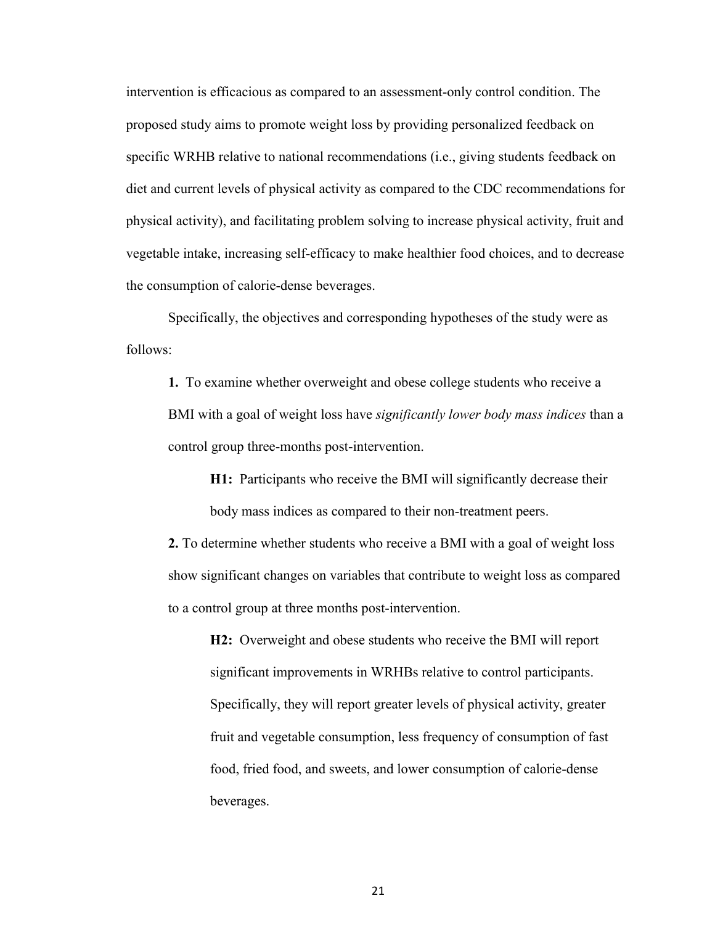intervention is efficacious as compared to an assessment-only control condition. The proposed study aims to promote weight loss by providing personalized feedback on specific WRHB relative to national recommendations (i.e., giving students feedback on diet and current levels of physical activity as compared to the CDC recommendations for physical activity), and facilitating problem solving to increase physical activity, fruit and vegetable intake, increasing self-efficacy to make healthier food choices, and to decrease the consumption of calorie-dense beverages.

Specifically, the objectives and corresponding hypotheses of the study were as follows:

**1.** To examine whether overweight and obese college students who receive a BMI with a goal of weight loss have *significantly lower body mass indices* than a control group three-months post-intervention.

**H1:** Participants who receive the BMI will significantly decrease their body mass indices as compared to their non-treatment peers.

**2.** To determine whether students who receive a BMI with a goal of weight loss show significant changes on variables that contribute to weight loss as compared to a control group at three months post-intervention.

**H2:** Overweight and obese students who receive the BMI will report significant improvements in WRHBs relative to control participants. Specifically, they will report greater levels of physical activity, greater fruit and vegetable consumption, less frequency of consumption of fast food, fried food, and sweets, and lower consumption of calorie-dense beverages.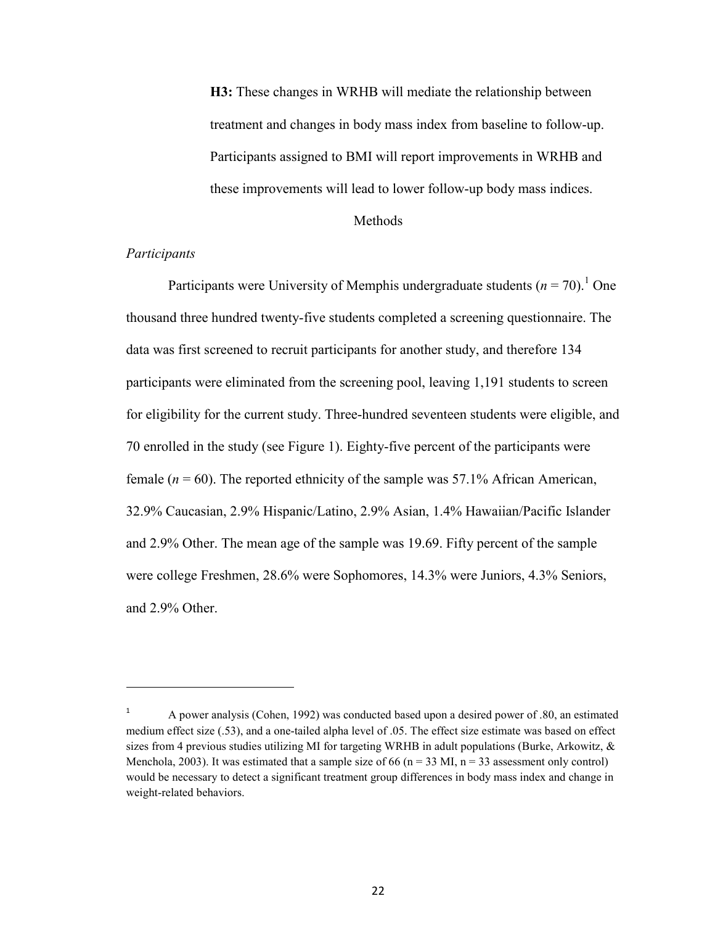**H3:** These changes in WRHB will mediate the relationship between treatment and changes in body mass index from baseline to follow-up. Participants assigned to BMI will report improvements in WRHB and these improvements will lead to lower follow-up body mass indices.

#### Methods

#### *Participants*

 $\overline{a}$ 

Participants were University of Memphis undergraduate students  $(n = 70)$ .<sup>1</sup> One thousand three hundred twenty-five students completed a screening questionnaire. The data was first screened to recruit participants for another study, and therefore 134 participants were eliminated from the screening pool, leaving 1,191 students to screen for eligibility for the current study. Three-hundred seventeen students were eligible, and 70 enrolled in the study (see Figure 1). Eighty-five percent of the participants were female  $(n = 60)$ . The reported ethnicity of the sample was 57.1% African American, 32.9% Caucasian, 2.9% Hispanic/Latino, 2.9% Asian, 1.4% Hawaiian/Pacific Islander and 2.9% Other. The mean age of the sample was 19.69. Fifty percent of the sample were college Freshmen, 28.6% were Sophomores, 14.3% were Juniors, 4.3% Seniors, and 2.9% Other.

<sup>1</sup> A power analysis (Cohen, 1992) was conducted based upon a desired power of .80, an estimated medium effect size (.53), and a one-tailed alpha level of .05. The effect size estimate was based on effect sizes from 4 previous studies utilizing MI for targeting WRHB in adult populations (Burke, Arkowitz,  $\&$ Menchola, 2003). It was estimated that a sample size of 66 ( $n = 33$  MI,  $n = 33$  assessment only control) would be necessary to detect a significant treatment group differences in body mass index and change in weight-related behaviors.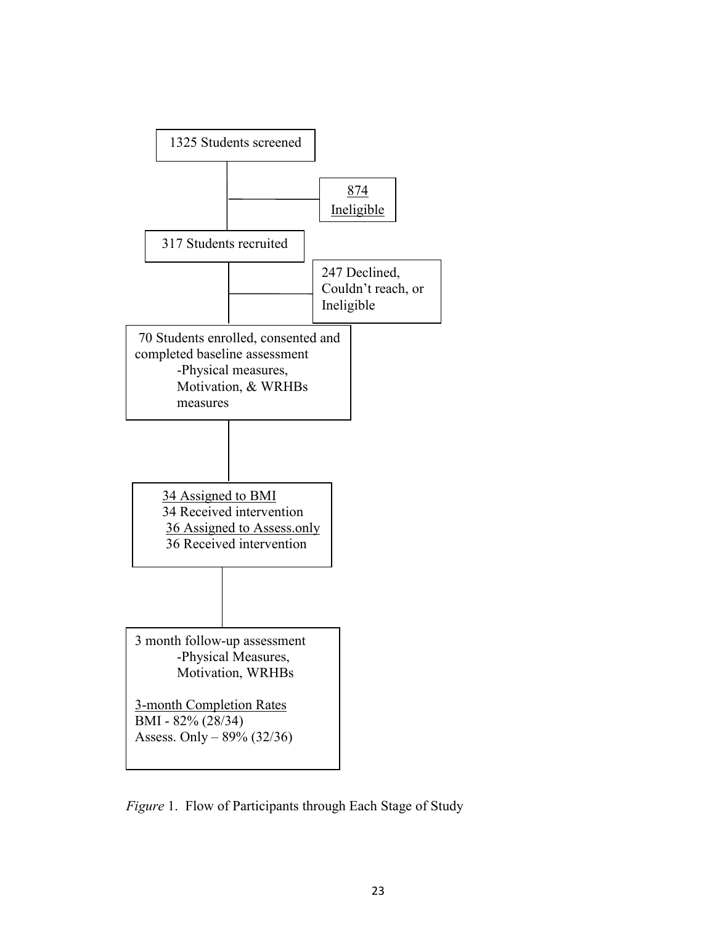

*Figure* 1. Flow of Participants through Each Stage of Study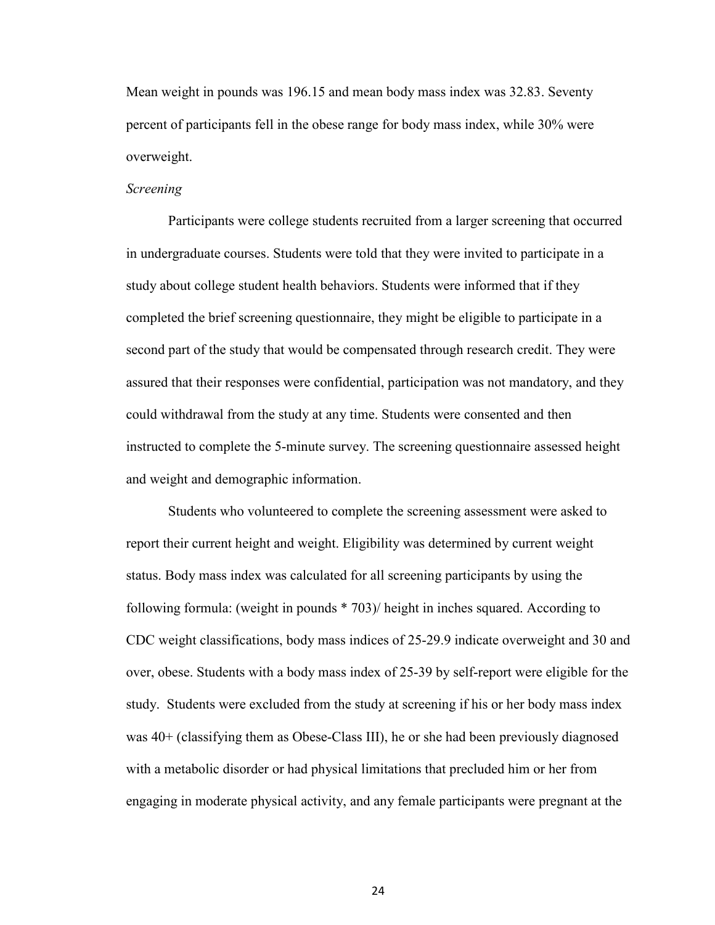Mean weight in pounds was 196.15 and mean body mass index was 32.83. Seventy percent of participants fell in the obese range for body mass index, while 30% were overweight.

#### *Screening*

 Participants were college students recruited from a larger screening that occurred in undergraduate courses. Students were told that they were invited to participate in a study about college student health behaviors. Students were informed that if they completed the brief screening questionnaire, they might be eligible to participate in a second part of the study that would be compensated through research credit. They were assured that their responses were confidential, participation was not mandatory, and they could withdrawal from the study at any time. Students were consented and then instructed to complete the 5-minute survey. The screening questionnaire assessed height and weight and demographic information.

Students who volunteered to complete the screening assessment were asked to report their current height and weight. Eligibility was determined by current weight status. Body mass index was calculated for all screening participants by using the following formula: (weight in pounds \* 703)/ height in inches squared. According to CDC weight classifications, body mass indices of 25-29.9 indicate overweight and 30 and over, obese. Students with a body mass index of 25-39 by self-report were eligible for the study. Students were excluded from the study at screening if his or her body mass index was 40+ (classifying them as Obese-Class III), he or she had been previously diagnosed with a metabolic disorder or had physical limitations that precluded him or her from engaging in moderate physical activity, and any female participants were pregnant at the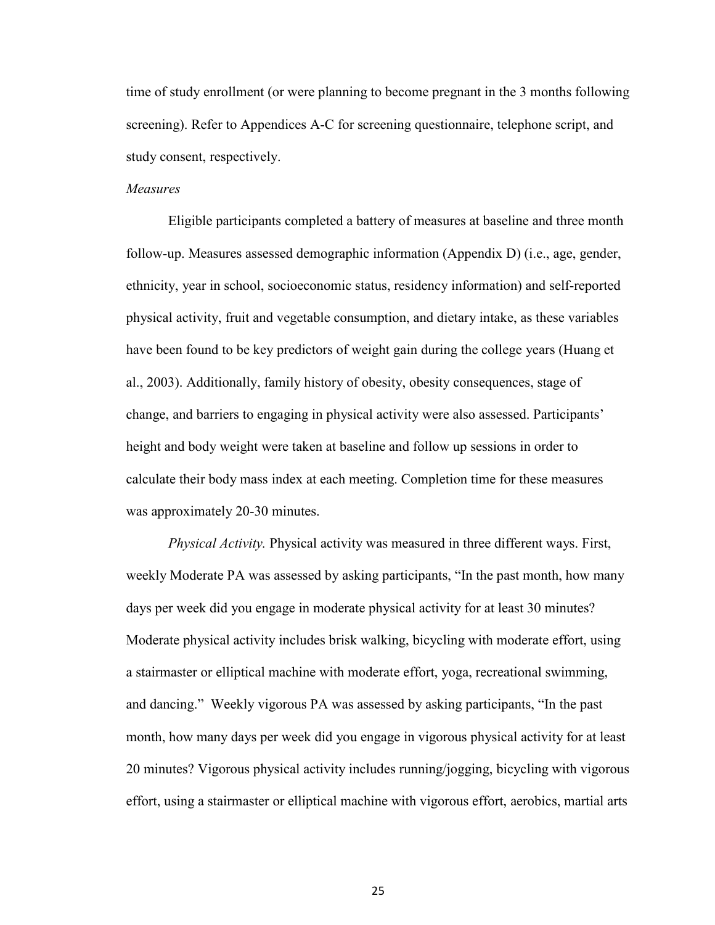time of study enrollment (or were planning to become pregnant in the 3 months following screening). Refer to Appendices A-C for screening questionnaire, telephone script, and study consent, respectively.

#### *Measures*

 Eligible participants completed a battery of measures at baseline and three month follow-up. Measures assessed demographic information (Appendix D) (i.e., age, gender, ethnicity, year in school, socioeconomic status, residency information) and self-reported physical activity, fruit and vegetable consumption, and dietary intake, as these variables have been found to be key predictors of weight gain during the college years (Huang et al., 2003). Additionally, family history of obesity, obesity consequences, stage of change, and barriers to engaging in physical activity were also assessed. Participants' height and body weight were taken at baseline and follow up sessions in order to calculate their body mass index at each meeting. Completion time for these measures was approximately 20-30 minutes.

*Physical Activity.* Physical activity was measured in three different ways. First, weekly Moderate PA was assessed by asking participants, "In the past month, how many days per week did you engage in moderate physical activity for at least 30 minutes? Moderate physical activity includes brisk walking, bicycling with moderate effort, using a stairmaster or elliptical machine with moderate effort, yoga, recreational swimming, and dancing." Weekly vigorous PA was assessed by asking participants, "In the past month, how many days per week did you engage in vigorous physical activity for at least 20 minutes? Vigorous physical activity includes running/jogging, bicycling with vigorous effort, using a stairmaster or elliptical machine with vigorous effort, aerobics, martial arts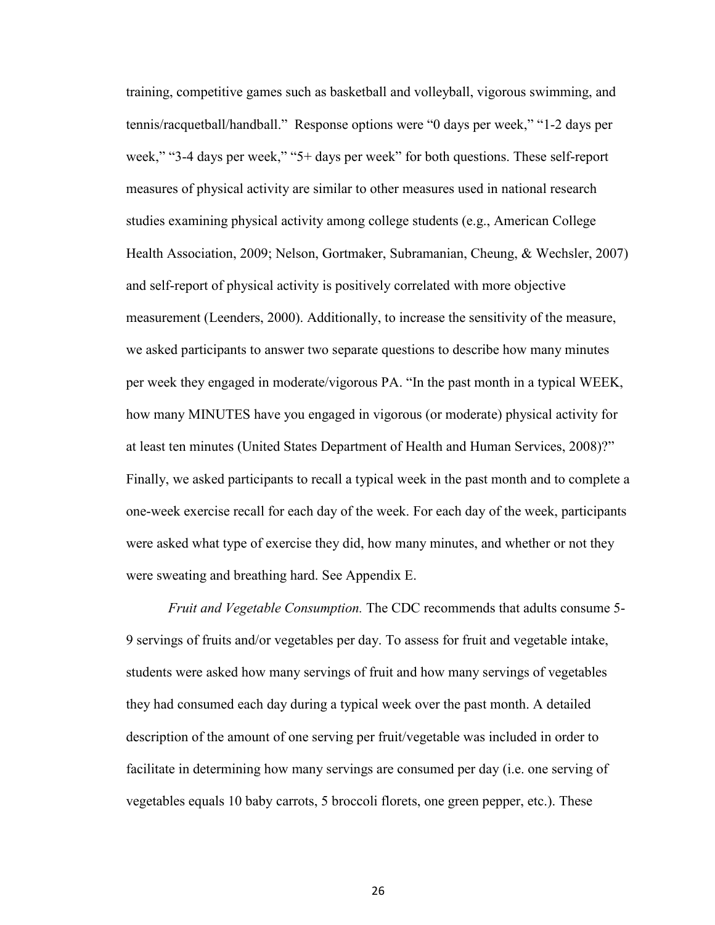training, competitive games such as basketball and volleyball, vigorous swimming, and tennis/racquetball/handball." Response options were "0 days per week," "1-2 days per week," "3-4 days per week," "5+ days per week" for both questions. These self-report measures of physical activity are similar to other measures used in national research studies examining physical activity among college students (e.g., American College Health Association, 2009; Nelson, Gortmaker, Subramanian, Cheung, & Wechsler, 2007) and self-report of physical activity is positively correlated with more objective measurement (Leenders, 2000). Additionally, to increase the sensitivity of the measure, we asked participants to answer two separate questions to describe how many minutes per week they engaged in moderate/vigorous PA. "In the past month in a typical WEEK, how many MINUTES have you engaged in vigorous (or moderate) physical activity for at least ten minutes (United States Department of Health and Human Services, 2008)?" Finally, we asked participants to recall a typical week in the past month and to complete a one-week exercise recall for each day of the week. For each day of the week, participants were asked what type of exercise they did, how many minutes, and whether or not they were sweating and breathing hard. See Appendix E.

 *Fruit and Vegetable Consumption.* The CDC recommends that adults consume 5- 9 servings of fruits and/or vegetables per day. To assess for fruit and vegetable intake, students were asked how many servings of fruit and how many servings of vegetables they had consumed each day during a typical week over the past month. A detailed description of the amount of one serving per fruit/vegetable was included in order to facilitate in determining how many servings are consumed per day (i.e. one serving of vegetables equals 10 baby carrots, 5 broccoli florets, one green pepper, etc.). These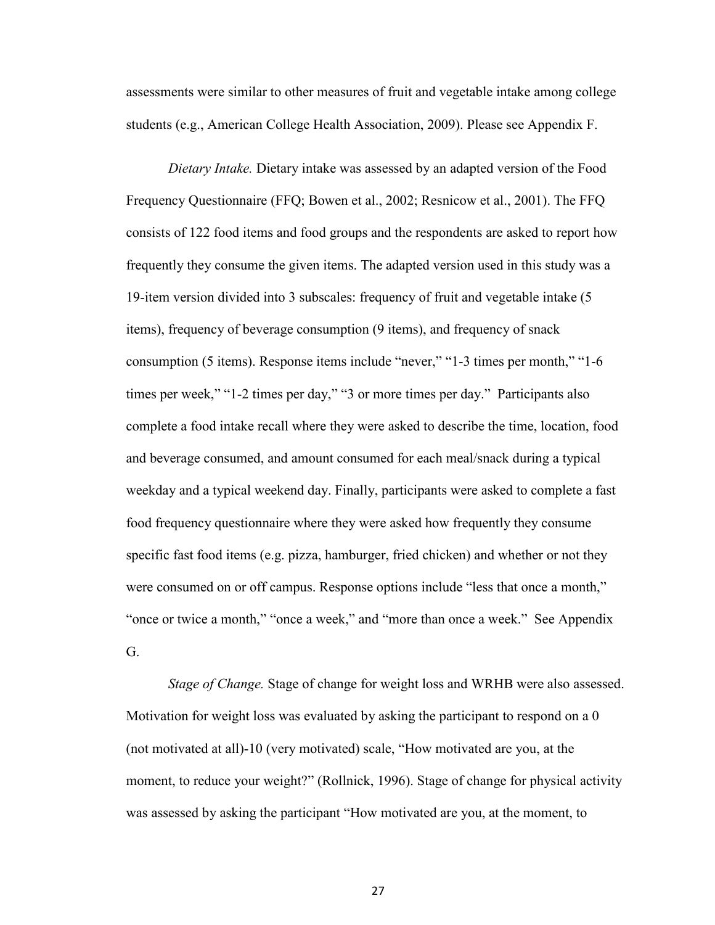assessments were similar to other measures of fruit and vegetable intake among college students (e.g., American College Health Association, 2009). Please see Appendix F.

*Dietary Intake.* Dietary intake was assessed by an adapted version of the Food Frequency Questionnaire (FFQ; Bowen et al., 2002; Resnicow et al., 2001). The FFQ consists of 122 food items and food groups and the respondents are asked to report how frequently they consume the given items. The adapted version used in this study was a 19-item version divided into 3 subscales: frequency of fruit and vegetable intake (5 items), frequency of beverage consumption (9 items), and frequency of snack consumption (5 items). Response items include "never," "1-3 times per month," "1-6 times per week," "1-2 times per day," "3 or more times per day." Participants also complete a food intake recall where they were asked to describe the time, location, food and beverage consumed, and amount consumed for each meal/snack during a typical weekday and a typical weekend day. Finally, participants were asked to complete a fast food frequency questionnaire where they were asked how frequently they consume specific fast food items (e.g. pizza, hamburger, fried chicken) and whether or not they were consumed on or off campus. Response options include "less that once a month," "once or twice a month," "once a week," and "more than once a week." See Appendix G.

*Stage of Change.* Stage of change for weight loss and WRHB were also assessed. Motivation for weight loss was evaluated by asking the participant to respond on a 0 (not motivated at all)-10 (very motivated) scale, "How motivated are you, at the moment, to reduce your weight?" (Rollnick, 1996). Stage of change for physical activity was assessed by asking the participant "How motivated are you, at the moment, to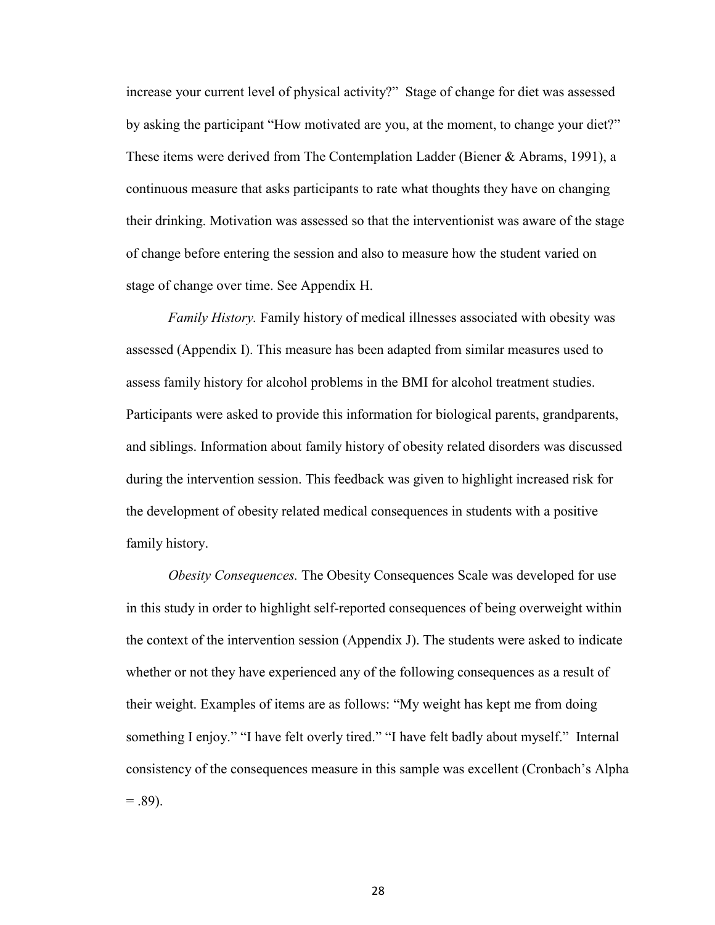increase your current level of physical activity?" Stage of change for diet was assessed by asking the participant "How motivated are you, at the moment, to change your diet?" These items were derived from The Contemplation Ladder (Biener & Abrams, 1991), a continuous measure that asks participants to rate what thoughts they have on changing their drinking. Motivation was assessed so that the interventionist was aware of the stage of change before entering the session and also to measure how the student varied on stage of change over time. See Appendix H.

*Family History.* Family history of medical illnesses associated with obesity was assessed (Appendix I). This measure has been adapted from similar measures used to assess family history for alcohol problems in the BMI for alcohol treatment studies. Participants were asked to provide this information for biological parents, grandparents, and siblings. Information about family history of obesity related disorders was discussed during the intervention session. This feedback was given to highlight increased risk for the development of obesity related medical consequences in students with a positive family history.

*Obesity Consequences.* The Obesity Consequences Scale was developed for use in this study in order to highlight self-reported consequences of being overweight within the context of the intervention session (Appendix J). The students were asked to indicate whether or not they have experienced any of the following consequences as a result of their weight. Examples of items are as follows: "My weight has kept me from doing something I enjoy." "I have felt overly tired." "I have felt badly about myself." Internal consistency of the consequences measure in this sample was excellent (Cronbach's Alpha  $= .89$ ).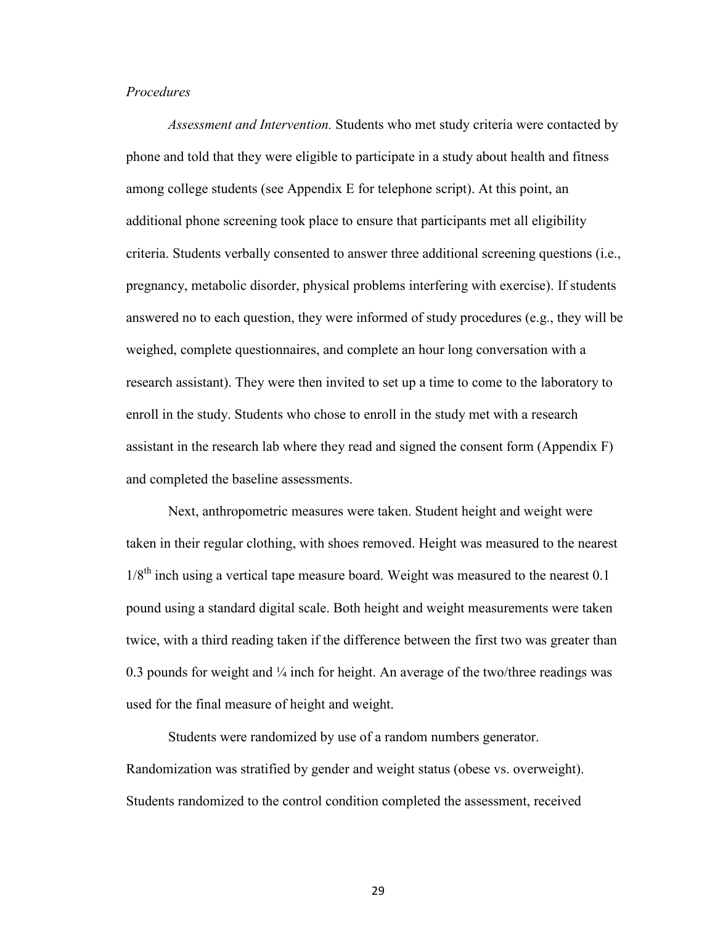#### *Procedures*

 *Assessment and Intervention.* Students who met study criteria were contacted by phone and told that they were eligible to participate in a study about health and fitness among college students (see Appendix E for telephone script). At this point, an additional phone screening took place to ensure that participants met all eligibility criteria. Students verbally consented to answer three additional screening questions (i.e., pregnancy, metabolic disorder, physical problems interfering with exercise). If students answered no to each question, they were informed of study procedures (e.g., they will be weighed, complete questionnaires, and complete an hour long conversation with a research assistant). They were then invited to set up a time to come to the laboratory to enroll in the study. Students who chose to enroll in the study met with a research assistant in the research lab where they read and signed the consent form (Appendix F) and completed the baseline assessments.

 Next, anthropometric measures were taken. Student height and weight were taken in their regular clothing, with shoes removed. Height was measured to the nearest  $1/8^{th}$  inch using a vertical tape measure board. Weight was measured to the nearest 0.1 pound using a standard digital scale. Both height and weight measurements were taken twice, with a third reading taken if the difference between the first two was greater than 0.3 pounds for weight and  $\frac{1}{4}$  inch for height. An average of the two/three readings was used for the final measure of height and weight.

 Students were randomized by use of a random numbers generator. Randomization was stratified by gender and weight status (obese vs. overweight). Students randomized to the control condition completed the assessment, received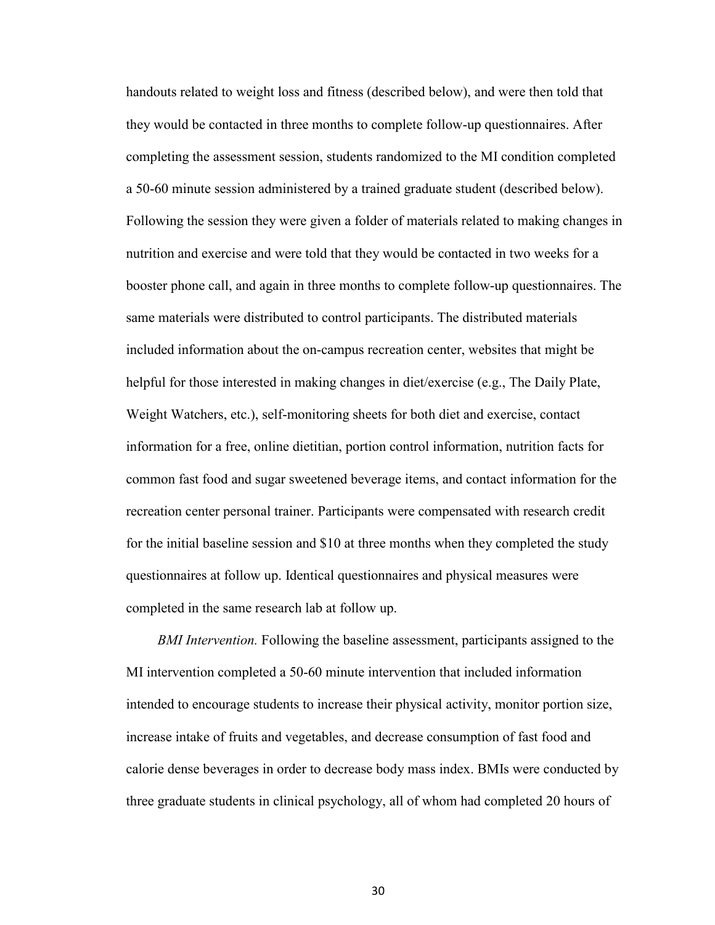handouts related to weight loss and fitness (described below), and were then told that they would be contacted in three months to complete follow-up questionnaires. After completing the assessment session, students randomized to the MI condition completed a 50-60 minute session administered by a trained graduate student (described below). Following the session they were given a folder of materials related to making changes in nutrition and exercise and were told that they would be contacted in two weeks for a booster phone call, and again in three months to complete follow-up questionnaires. The same materials were distributed to control participants. The distributed materials included information about the on-campus recreation center, websites that might be helpful for those interested in making changes in diet/exercise (e.g., The Daily Plate, Weight Watchers, etc.), self-monitoring sheets for both diet and exercise, contact information for a free, online dietitian, portion control information, nutrition facts for common fast food and sugar sweetened beverage items, and contact information for the recreation center personal trainer. Participants were compensated with research credit for the initial baseline session and \$10 at three months when they completed the study questionnaires at follow up. Identical questionnaires and physical measures were completed in the same research lab at follow up.

 *BMI Intervention.* Following the baseline assessment, participants assigned to the MI intervention completed a 50-60 minute intervention that included information intended to encourage students to increase their physical activity, monitor portion size, increase intake of fruits and vegetables, and decrease consumption of fast food and calorie dense beverages in order to decrease body mass index. BMIs were conducted by three graduate students in clinical psychology, all of whom had completed 20 hours of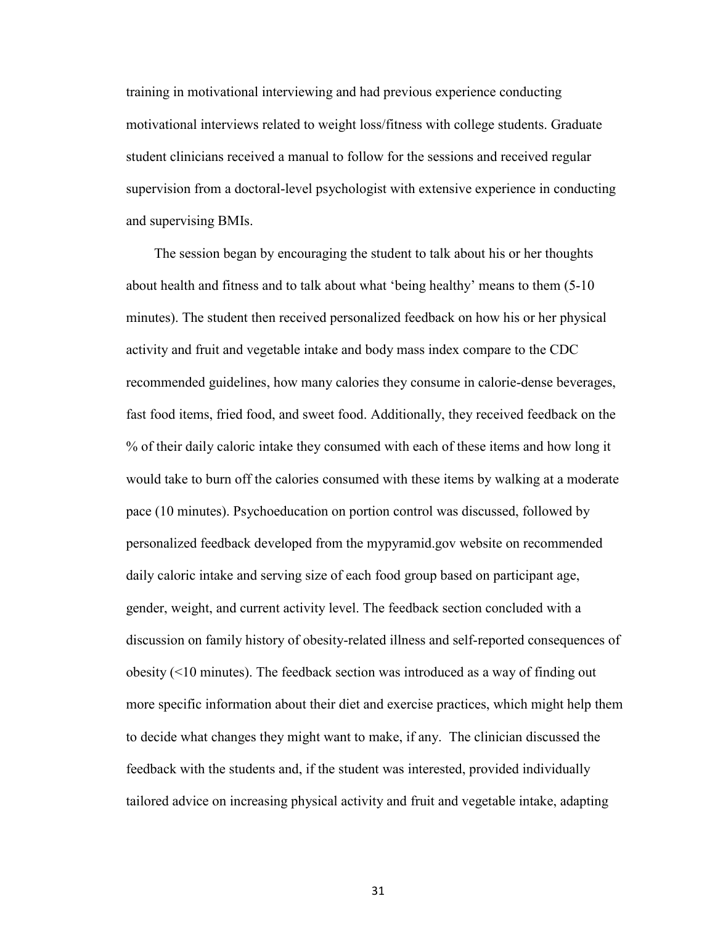training in motivational interviewing and had previous experience conducting motivational interviews related to weight loss/fitness with college students. Graduate student clinicians received a manual to follow for the sessions and received regular supervision from a doctoral-level psychologist with extensive experience in conducting and supervising BMIs.

 The session began by encouraging the student to talk about his or her thoughts about health and fitness and to talk about what 'being healthy' means to them (5-10 minutes). The student then received personalized feedback on how his or her physical activity and fruit and vegetable intake and body mass index compare to the CDC recommended guidelines, how many calories they consume in calorie-dense beverages, fast food items, fried food, and sweet food. Additionally, they received feedback on the % of their daily caloric intake they consumed with each of these items and how long it would take to burn off the calories consumed with these items by walking at a moderate pace (10 minutes). Psychoeducation on portion control was discussed, followed by personalized feedback developed from the mypyramid.gov website on recommended daily caloric intake and serving size of each food group based on participant age, gender, weight, and current activity level. The feedback section concluded with a discussion on family history of obesity-related illness and self-reported consequences of obesity (<10 minutes). The feedback section was introduced as a way of finding out more specific information about their diet and exercise practices, which might help them to decide what changes they might want to make, if any. The clinician discussed the feedback with the students and, if the student was interested, provided individually tailored advice on increasing physical activity and fruit and vegetable intake, adapting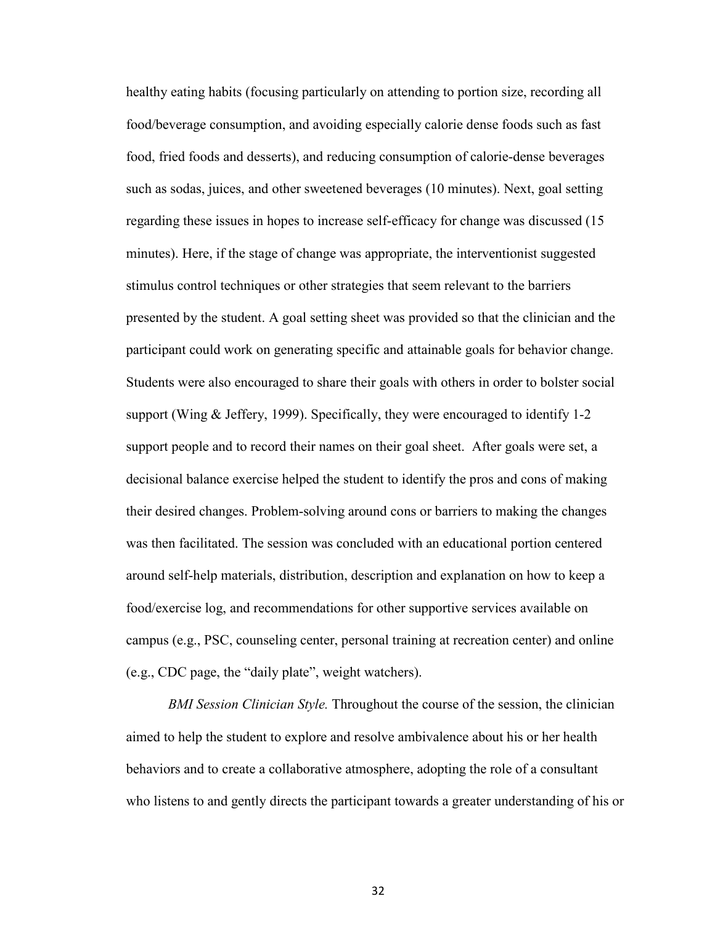healthy eating habits (focusing particularly on attending to portion size, recording all food/beverage consumption, and avoiding especially calorie dense foods such as fast food, fried foods and desserts), and reducing consumption of calorie-dense beverages such as sodas, juices, and other sweetened beverages (10 minutes). Next, goal setting regarding these issues in hopes to increase self-efficacy for change was discussed (15 minutes). Here, if the stage of change was appropriate, the interventionist suggested stimulus control techniques or other strategies that seem relevant to the barriers presented by the student. A goal setting sheet was provided so that the clinician and the participant could work on generating specific and attainable goals for behavior change. Students were also encouraged to share their goals with others in order to bolster social support (Wing & Jeffery, 1999). Specifically, they were encouraged to identify 1-2 support people and to record their names on their goal sheet. After goals were set, a decisional balance exercise helped the student to identify the pros and cons of making their desired changes. Problem-solving around cons or barriers to making the changes was then facilitated. The session was concluded with an educational portion centered around self-help materials, distribution, description and explanation on how to keep a food/exercise log, and recommendations for other supportive services available on campus (e.g., PSC, counseling center, personal training at recreation center) and online (e.g., CDC page, the "daily plate", weight watchers).

 *BMI Session Clinician Style.* Throughout the course of the session, the clinician aimed to help the student to explore and resolve ambivalence about his or her health behaviors and to create a collaborative atmosphere, adopting the role of a consultant who listens to and gently directs the participant towards a greater understanding of his or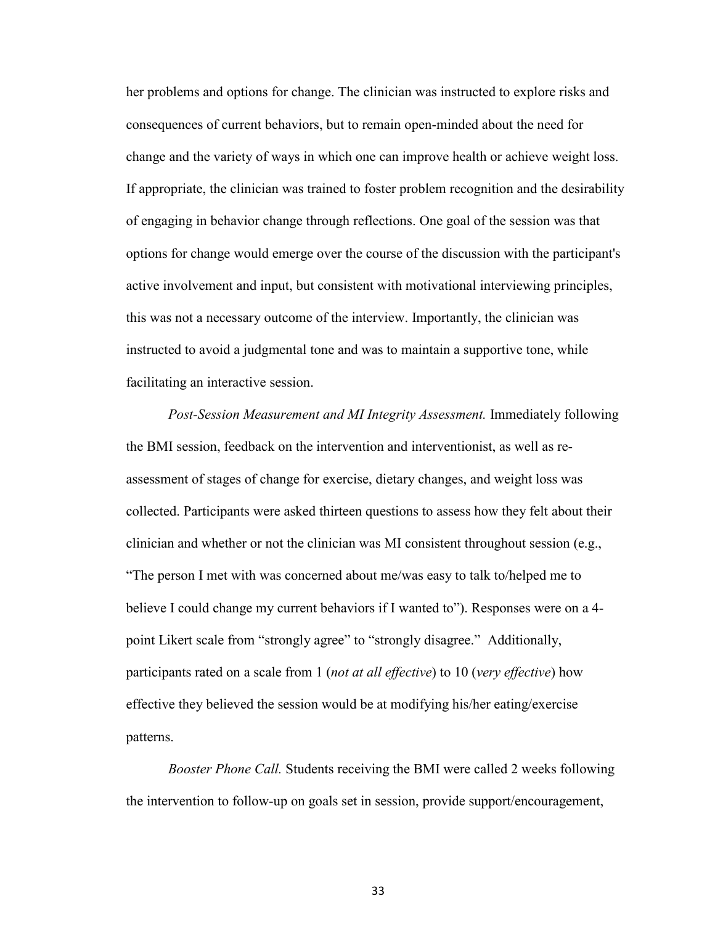her problems and options for change. The clinician was instructed to explore risks and consequences of current behaviors, but to remain open-minded about the need for change and the variety of ways in which one can improve health or achieve weight loss. If appropriate, the clinician was trained to foster problem recognition and the desirability of engaging in behavior change through reflections. One goal of the session was that options for change would emerge over the course of the discussion with the participant's active involvement and input, but consistent with motivational interviewing principles, this was not a necessary outcome of the interview. Importantly, the clinician was instructed to avoid a judgmental tone and was to maintain a supportive tone, while facilitating an interactive session.

*Post-Session Measurement and MI Integrity Assessment.* Immediately following the BMI session, feedback on the intervention and interventionist, as well as reassessment of stages of change for exercise, dietary changes, and weight loss was collected. Participants were asked thirteen questions to assess how they felt about their clinician and whether or not the clinician was MI consistent throughout session (e.g., "The person I met with was concerned about me/was easy to talk to/helped me to believe I could change my current behaviors if I wanted to"). Responses were on a 4 point Likert scale from "strongly agree" to "strongly disagree." Additionally, participants rated on a scale from 1 (*not at all effective*) to 10 (*very effective*) how effective they believed the session would be at modifying his/her eating/exercise patterns.

*Booster Phone Call.* Students receiving the BMI were called 2 weeks following the intervention to follow-up on goals set in session, provide support/encouragement,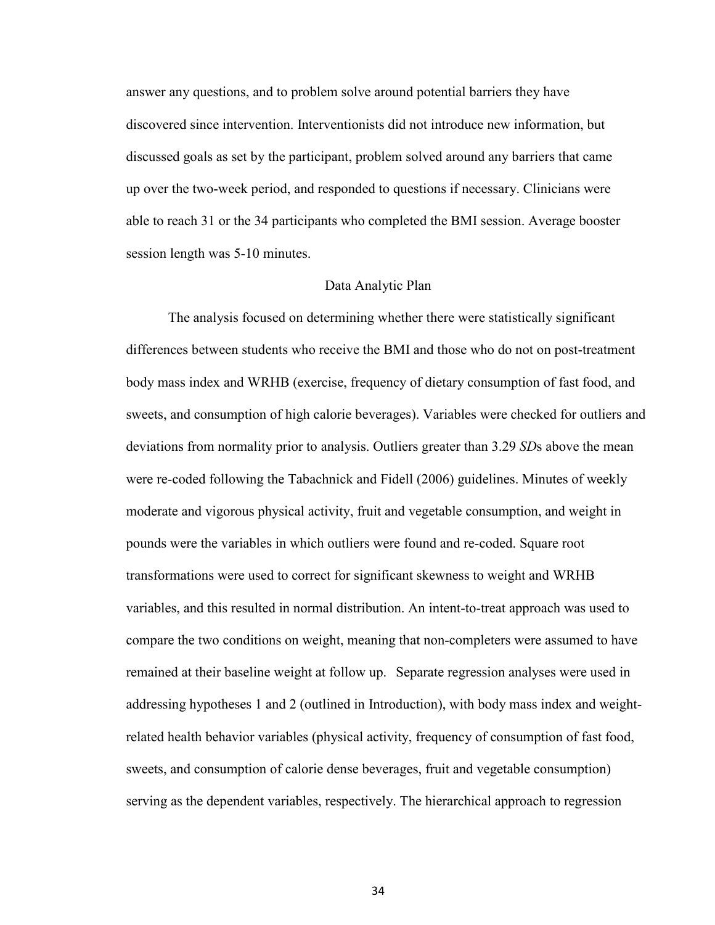answer any questions, and to problem solve around potential barriers they have discovered since intervention. Interventionists did not introduce new information, but discussed goals as set by the participant, problem solved around any barriers that came up over the two-week period, and responded to questions if necessary. Clinicians were able to reach 31 or the 34 participants who completed the BMI session. Average booster session length was 5-10 minutes.

### Data Analytic Plan

 The analysis focused on determining whether there were statistically significant differences between students who receive the BMI and those who do not on post-treatment body mass index and WRHB (exercise, frequency of dietary consumption of fast food, and sweets, and consumption of high calorie beverages). Variables were checked for outliers and deviations from normality prior to analysis. Outliers greater than 3.29 *SD*s above the mean were re-coded following the Tabachnick and Fidell (2006) guidelines. Minutes of weekly moderate and vigorous physical activity, fruit and vegetable consumption, and weight in pounds were the variables in which outliers were found and re-coded. Square root transformations were used to correct for significant skewness to weight and WRHB variables, and this resulted in normal distribution. An intent-to-treat approach was used to compare the two conditions on weight, meaning that non-completers were assumed to have remained at their baseline weight at follow up. Separate regression analyses were used in addressing hypotheses 1 and 2 (outlined in Introduction), with body mass index and weightrelated health behavior variables (physical activity, frequency of consumption of fast food, sweets, and consumption of calorie dense beverages, fruit and vegetable consumption) serving as the dependent variables, respectively. The hierarchical approach to regression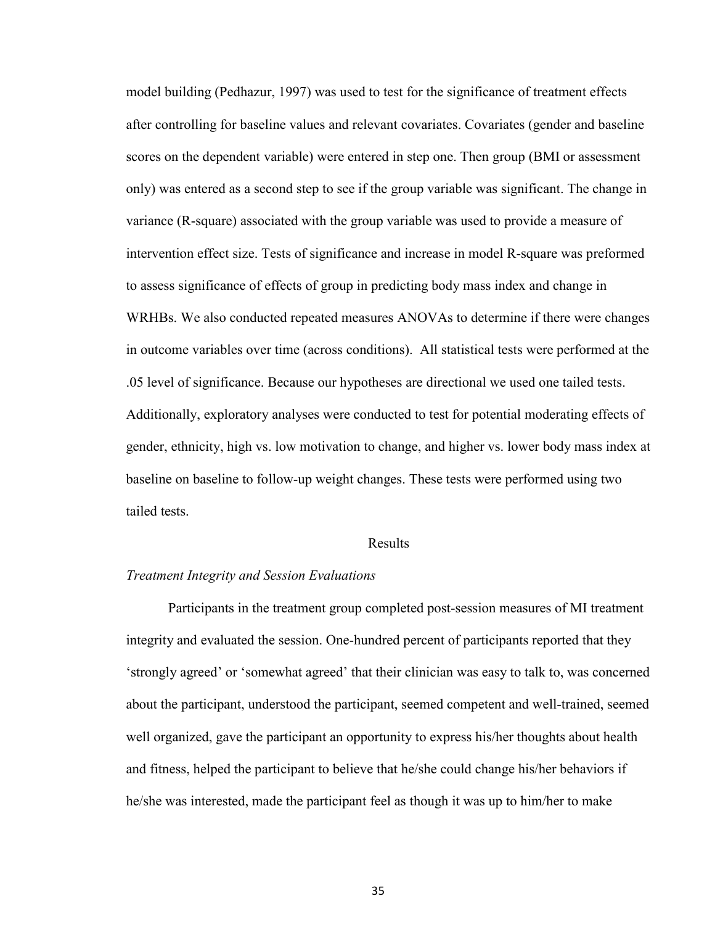model building (Pedhazur, 1997) was used to test for the significance of treatment effects after controlling for baseline values and relevant covariates. Covariates (gender and baseline scores on the dependent variable) were entered in step one. Then group (BMI or assessment only) was entered as a second step to see if the group variable was significant. The change in variance (R-square) associated with the group variable was used to provide a measure of intervention effect size. Tests of significance and increase in model R-square was preformed to assess significance of effects of group in predicting body mass index and change in WRHBs. We also conducted repeated measures ANOVAs to determine if there were changes in outcome variables over time (across conditions). All statistical tests were performed at the .05 level of significance. Because our hypotheses are directional we used one tailed tests. Additionally, exploratory analyses were conducted to test for potential moderating effects of gender, ethnicity, high vs. low motivation to change, and higher vs. lower body mass index at baseline on baseline to follow-up weight changes. These tests were performed using two tailed tests.

### Results

# *Treatment Integrity and Session Evaluations*

Participants in the treatment group completed post-session measures of MI treatment integrity and evaluated the session. One-hundred percent of participants reported that they 'strongly agreed' or 'somewhat agreed' that their clinician was easy to talk to, was concerned about the participant, understood the participant, seemed competent and well-trained, seemed well organized, gave the participant an opportunity to express his/her thoughts about health and fitness, helped the participant to believe that he/she could change his/her behaviors if he/she was interested, made the participant feel as though it was up to him/her to make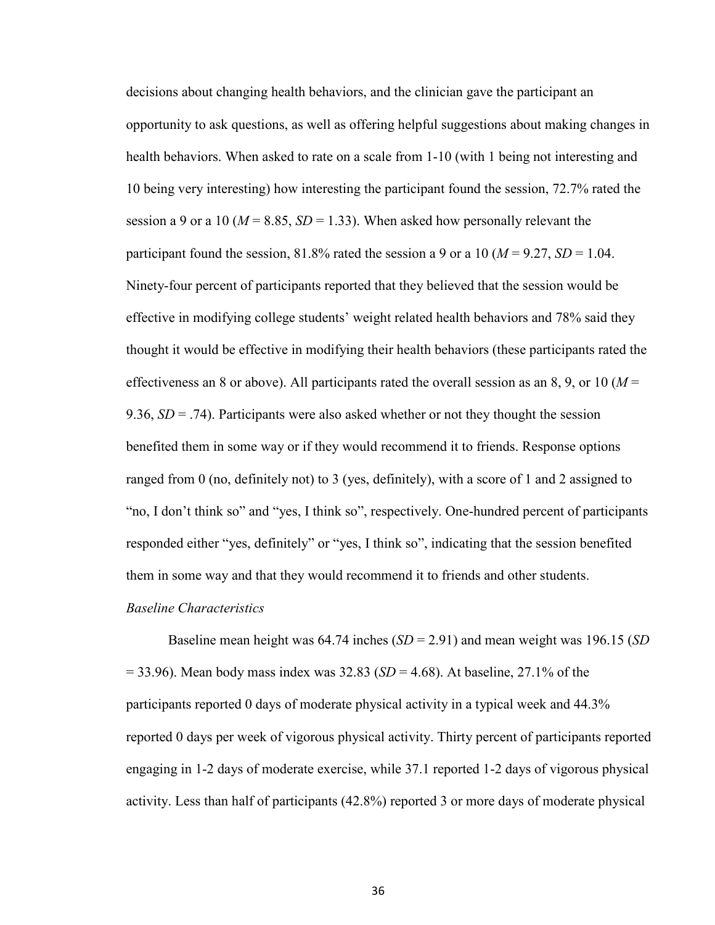decisions about changing health behaviors, and the clinician gave the participant an opportunity to ask questions, as well as offering helpful suggestions about making changes in health behaviors. When asked to rate on a scale from 1-10 (with 1 being not interesting and 10 being very interesting) how interesting the participant found the session, 72.7% rated the session a 9 or a 10 ( $M = 8.85$ ,  $SD = 1.33$ ). When asked how personally relevant the participant found the session, 81.8% rated the session a 9 or a 10 ( $M = 9.27$ ,  $SD = 1.04$ . Ninety-four percent of participants reported that they believed that the session would be effective in modifying college students' weight related health behaviors and 78% said they thought it would be effective in modifying their health behaviors (these participants rated the effectiveness an 8 or above). All participants rated the overall session as an 8, 9, or 10 ( $M =$ 9.36,  $SD = .74$ ). Participants were also asked whether or not they thought the session benefited them in some way or if they would recommend it to friends. Response options ranged from 0 (no, definitely not) to 3 (yes, definitely), with a score of 1 and 2 assigned to "no, I don't think so" and "yes, I think so", respectively. One-hundred percent of participants responded either "yes, definitely" or "yes, I think so", indicating that the session benefited them in some way and that they would recommend it to friends and other students.

### *Baseline Characteristics*

Baseline mean height was 64.74 inches (*SD* = 2.91) and mean weight was 196.15 (*SD* = 33.96). Mean body mass index was 32.83 (*SD* = 4.68). At baseline, 27.1% of the participants reported 0 days of moderate physical activity in a typical week and 44.3% reported 0 days per week of vigorous physical activity. Thirty percent of participants reported engaging in 1-2 days of moderate exercise, while 37.1 reported 1-2 days of vigorous physical activity. Less than half of participants (42.8%) reported 3 or more days of moderate physical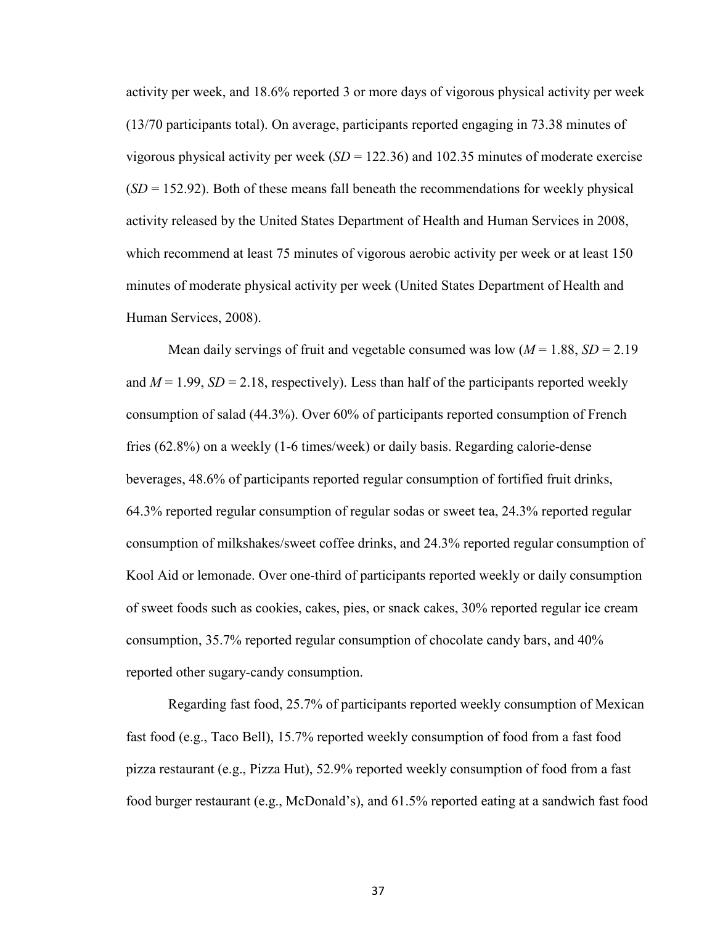activity per week, and 18.6% reported 3 or more days of vigorous physical activity per week (13/70 participants total). On average, participants reported engaging in 73.38 minutes of vigorous physical activity per week  $(SD = 122.36)$  and 102.35 minutes of moderate exercise  $(SD = 152.92)$ . Both of these means fall beneath the recommendations for weekly physical activity released by the United States Department of Health and Human Services in 2008, which recommend at least 75 minutes of vigorous aerobic activity per week or at least 150 minutes of moderate physical activity per week (United States Department of Health and Human Services, 2008).

Mean daily servings of fruit and vegetable consumed was low  $(M = 1.88, SD = 2.19$ and  $M = 1.99$ ,  $SD = 2.18$ , respectively). Less than half of the participants reported weekly consumption of salad (44.3%). Over 60% of participants reported consumption of French fries (62.8%) on a weekly (1-6 times/week) or daily basis. Regarding calorie-dense beverages, 48.6% of participants reported regular consumption of fortified fruit drinks, 64.3% reported regular consumption of regular sodas or sweet tea, 24.3% reported regular consumption of milkshakes/sweet coffee drinks, and 24.3% reported regular consumption of Kool Aid or lemonade. Over one-third of participants reported weekly or daily consumption of sweet foods such as cookies, cakes, pies, or snack cakes, 30% reported regular ice cream consumption, 35.7% reported regular consumption of chocolate candy bars, and 40% reported other sugary-candy consumption.

 Regarding fast food, 25.7% of participants reported weekly consumption of Mexican fast food (e.g., Taco Bell), 15.7% reported weekly consumption of food from a fast food pizza restaurant (e.g., Pizza Hut), 52.9% reported weekly consumption of food from a fast food burger restaurant (e.g., McDonald's), and 61.5% reported eating at a sandwich fast food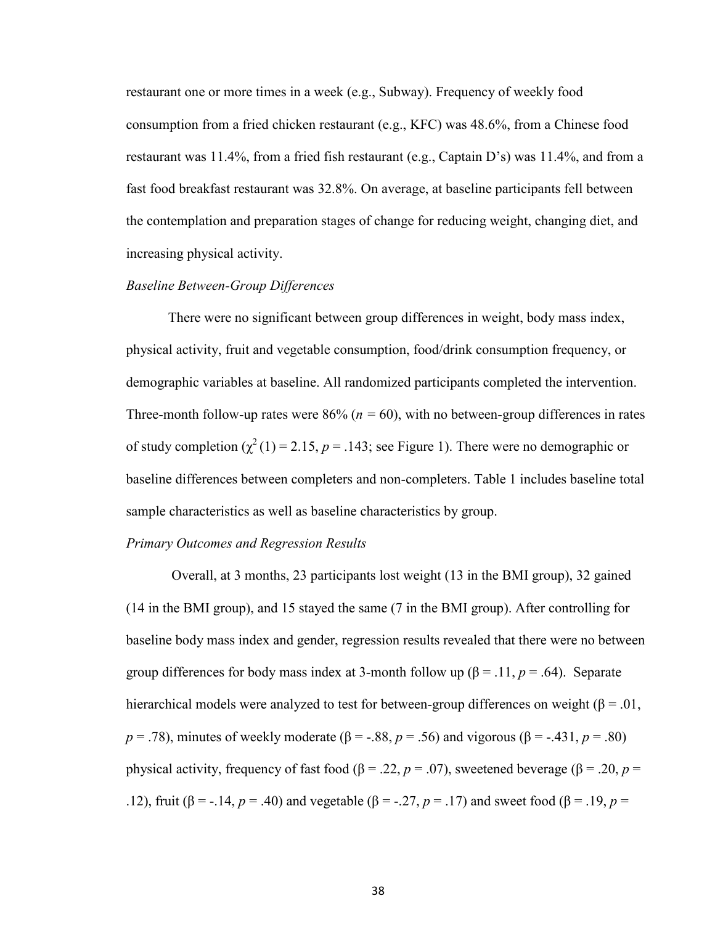restaurant one or more times in a week (e.g., Subway). Frequency of weekly food consumption from a fried chicken restaurant (e.g., KFC) was 48.6%, from a Chinese food restaurant was 11.4%, from a fried fish restaurant (e.g., Captain D's) was 11.4%, and from a fast food breakfast restaurant was 32.8%. On average, at baseline participants fell between the contemplation and preparation stages of change for reducing weight, changing diet, and increasing physical activity.

# *Baseline Between-Group Differences*

 There were no significant between group differences in weight, body mass index, physical activity, fruit and vegetable consumption, food/drink consumption frequency, or demographic variables at baseline. All randomized participants completed the intervention. Three-month follow-up rates were  $86\%$  ( $n = 60$ ), with no between-group differences in rates of study completion  $(\chi^2(1) = 2.15, p = .143)$ ; see Figure 1). There were no demographic or baseline differences between completers and non-completers. Table 1 includes baseline total sample characteristics as well as baseline characteristics by group.

### *Primary Outcomes and Regression Results*

Overall, at 3 months, 23 participants lost weight (13 in the BMI group), 32 gained (14 in the BMI group), and 15 stayed the same (7 in the BMI group). After controlling for baseline body mass index and gender, regression results revealed that there were no between group differences for body mass index at 3-month follow up ( $\beta$  = .11, *p* = .64). Separate hierarchical models were analyzed to test for between-group differences on weight ( $\beta = .01$ , *p* = .78), minutes of weekly moderate (β = -.88, *p* = .56) and vigorous (β = -.431, *p* = .80) physical activity, frequency of fast food (β = .22, *p* = .07), sweetened beverage (β = .20, *p* = .12), fruit (β = -.14, *p* = .40) and vegetable (β = -.27, *p* = .17) and sweet food (β = .19, *p* =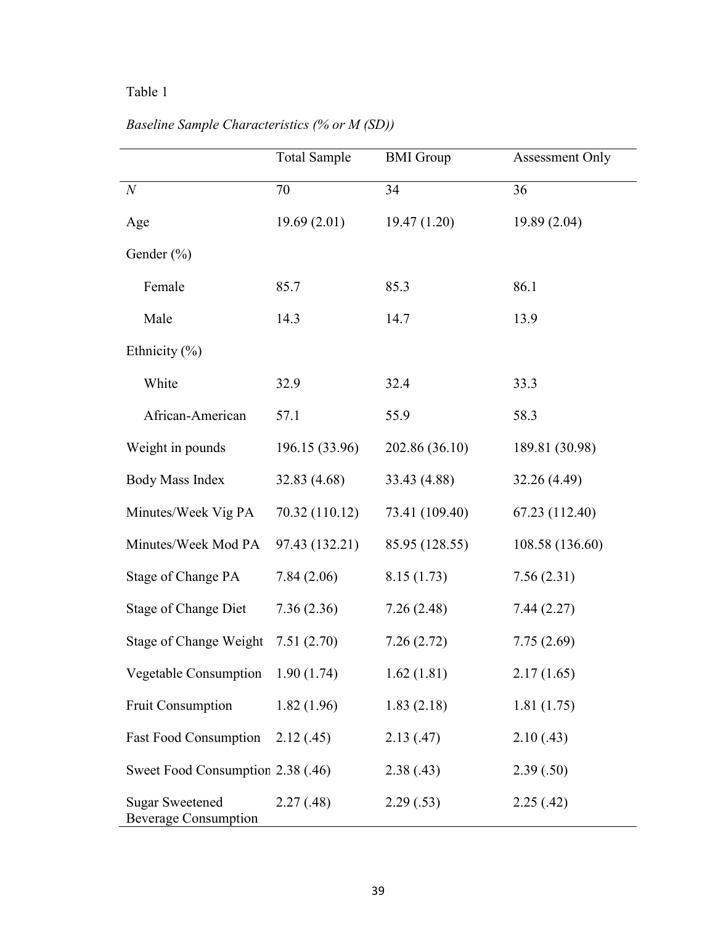# Table 1

|                     | <b>Total Sample</b> | <b>BMI</b> Group | Assessment Only |
|---------------------|---------------------|------------------|-----------------|
| $\mathcal N$        | 70                  | 34               | 36              |
| Age                 | 19.69(2.01)         | 19.47(1.20)      | 19.89(2.04)     |
| Gender $(\% )$      |                     |                  |                 |
| Female              | 85.7                | 85.3             | 86.1            |
| Male                | 14.3                | 14.7             | 13.9            |
| Ethnicity $(\% )$   |                     |                  |                 |
| White               | 32.9                | 32.4             | 33.3            |
| African-American    | 57.1                | 55.9             | 58.3            |
| Weight in pounds    | 196.15 (33.96)      | 202.86 (36.10)   | 189.81 (30.98)  |
| Body Mass Index     | 32.83 (4.68)        | 33.43 (4.88)     | 32.26 (4.49)    |
| Minutes/Week Vig PA | 70.32 (110.12)      | 73.41 (109.40)   | 67.23 (112.40)  |

# *Baseline Sample Characteristics (% or M (SD))*

| Minutes/Week Vig PA                                   | 70.32 (110.12) | 73.41 (109.40) | 67.23 (112.40)  |
|-------------------------------------------------------|----------------|----------------|-----------------|
| Minutes/Week Mod PA                                   | 97.43 (132.21) | 85.95 (128.55) | 108.58 (136.60) |
| Stage of Change PA                                    | 7.84(2.06)     | 8.15(1.73)     | 7.56(2.31)      |
| Stage of Change Diet                                  | 7.36(2.36)     | 7.26(2.48)     | 7.44(2.27)      |
| Stage of Change Weight                                | 7.51(2.70)     | 7.26(2.72)     | 7.75(2.69)      |
| <b>Vegetable Consumption</b>                          | 1.90(1.74)     | 1.62(1.81)     | 2.17(1.65)      |
| <b>Fruit Consumption</b>                              | 1.82(1.96)     | 1.83(2.18)     | 1.81(1.75)      |
| <b>Fast Food Consumption</b>                          | 2.12(.45)      | 2.13(47)       | 2.10(0.43)      |
| Sweet Food Consumption 2.38 (.46)                     |                | 2.38(.43)      | 2.39(.50)       |
| <b>Sugar Sweetened</b><br><b>Beverage Consumption</b> | 2.27(0.48)     | 2.29(.53)      | 2.25(.42)       |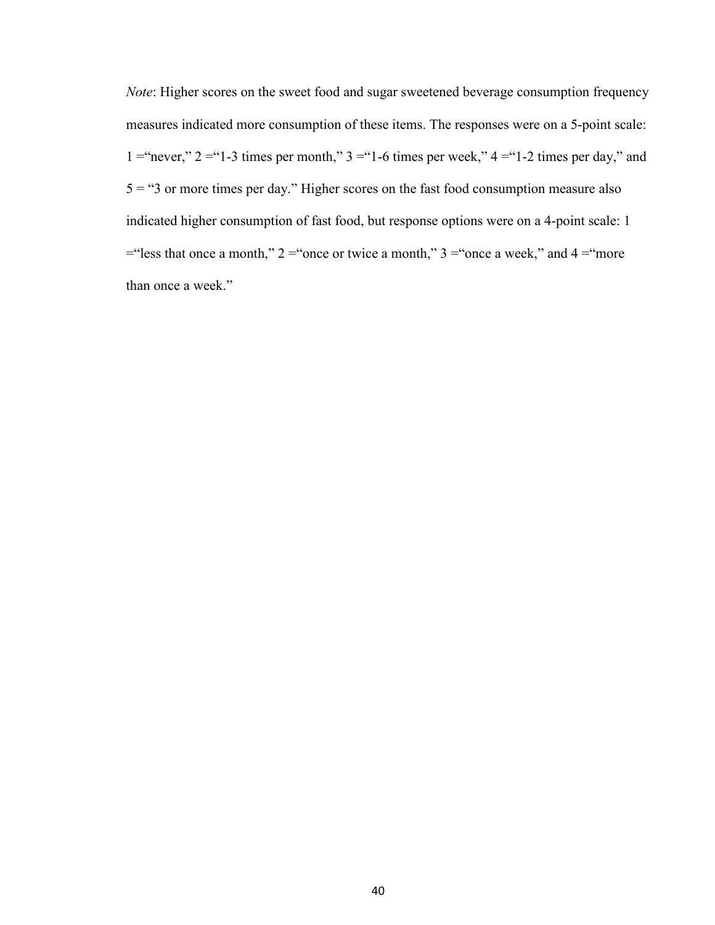*Note*: Higher scores on the sweet food and sugar sweetened beverage consumption frequency measures indicated more consumption of these items. The responses were on a 5-point scale: 1 = "never,"  $2 =$  "1-3 times per month,"  $3 =$  "1-6 times per week,"  $4 =$  "1-2 times per day," and  $5 = 3$  or more times per day." Higher scores on the fast food consumption measure also indicated higher consumption of fast food, but response options were on a 4-point scale: 1  $=$ "less that once a month," 2 = "once or twice a month," 3 = "once a week," and 4 = "more" than once a week."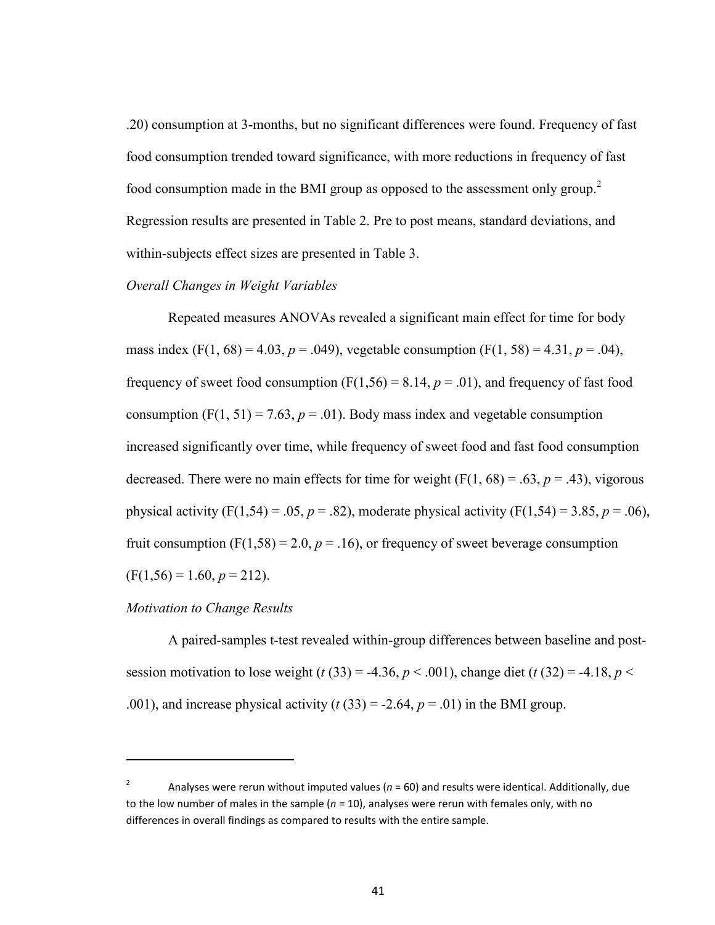.20) consumption at 3-months, but no significant differences were found. Frequency of fast food consumption trended toward significance, with more reductions in frequency of fast food consumption made in the BMI group as opposed to the assessment only group.<sup>2</sup> Regression results are presented in Table 2. Pre to post means, standard deviations, and within-subjects effect sizes are presented in Table 3.

# *Overall Changes in Weight Variables*

 Repeated measures ANOVAs revealed a significant main effect for time for body mass index  $(F(1, 68) = 4.03, p = .049)$ , vegetable consumption  $(F(1, 58) = 4.31, p = .04)$ , frequency of sweet food consumption  $(F(1,56) = 8.14, p = .01)$ , and frequency of fast food consumption  $(F(1, 51) = 7.63, p = .01)$ . Body mass index and vegetable consumption increased significantly over time, while frequency of sweet food and fast food consumption decreased. There were no main effects for time for weight  $(F(1, 68) = .63, p = .43)$ , vigorous physical activity (F(1,54) = .05,  $p = .82$ ), moderate physical activity (F(1,54) = 3.85,  $p = .06$ ), fruit consumption  $(F(1,58) = 2.0, p = .16)$ , or frequency of sweet beverage consumption  $(F(1,56) = 1.60, p = 212).$ 

### *Motivation to Change Results*

 $\overline{\phantom{0}}$ 

A paired-samples t-test revealed within-group differences between baseline and postsession motivation to lose weight (*t* (33) = -4.36, *p* < .001), change diet (*t* (32) = -4.18, *p* < .001), and increase physical activity  $(t(33) = -2.64, p = .01)$  in the BMI group.

<sup>2</sup> Analyses were rerun without imputed values (*n* = 60) and results were identical. Additionally, due to the low number of males in the sample  $(n = 10)$ , analyses were rerun with females only, with no differences in overall findings as compared to results with the entire sample.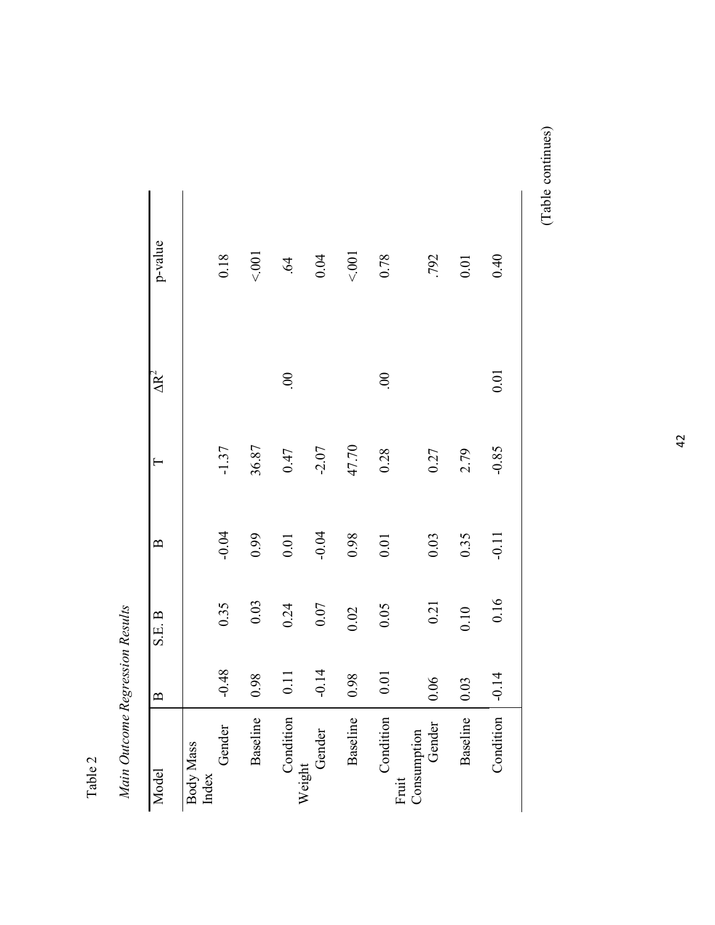| J           |  |
|-------------|--|
| ¢           |  |
| l,<br>٣     |  |
| $\bar{\pi}$ |  |
|             |  |

Main Outcome Regression Results *Main Outcome Regression Results* 

| Model                        | $\mathbf{B}$ | S.E. B | $\mathbf{\Omega}$ | $\vdash$ | $\Delta R^2$ | p-value    |
|------------------------------|--------------|--------|-------------------|----------|--------------|------------|
| Gender<br>Body Mass<br>Index | $-0.48$      | 0.35   | $-0.04$           | $-1.37$  |              | 0.18       |
| Baseline                     | 0.98         | 0.03   | 0.99              | 36.87    |              | < 001      |
| Condition                    | 0.11         | 0.24   | 0.01              | 0.47     | $\infty$     | $\ddot{q}$ |
| Weight<br>Gender             | $-0.14$      | 0.07   | $-0.04$           | $-2.07$  |              | 0.04       |
| Baseline                     | 0.98         | 0.02   | 0.98              | 47.70    |              | < 001      |
| Condition<br>Fruit           | 0.01         | 0.05   | 0.01              | 0.28     | $\odot$      | 0.78       |
| Consumption<br>Gender        | 0.06         | 0.21   | 0.03              | 0.27     |              | .792       |
| Baseline                     | 0.03         | 0.10   | 0.35              | 2.79     |              | $0.01\,$   |
| Condition                    | $-0.14$      | 0.16   | $-0.11$           | $-0.85$  | 0.01         | 0.40       |
|                              |              |        |                   |          |              |            |

(Table continues) (Table continues)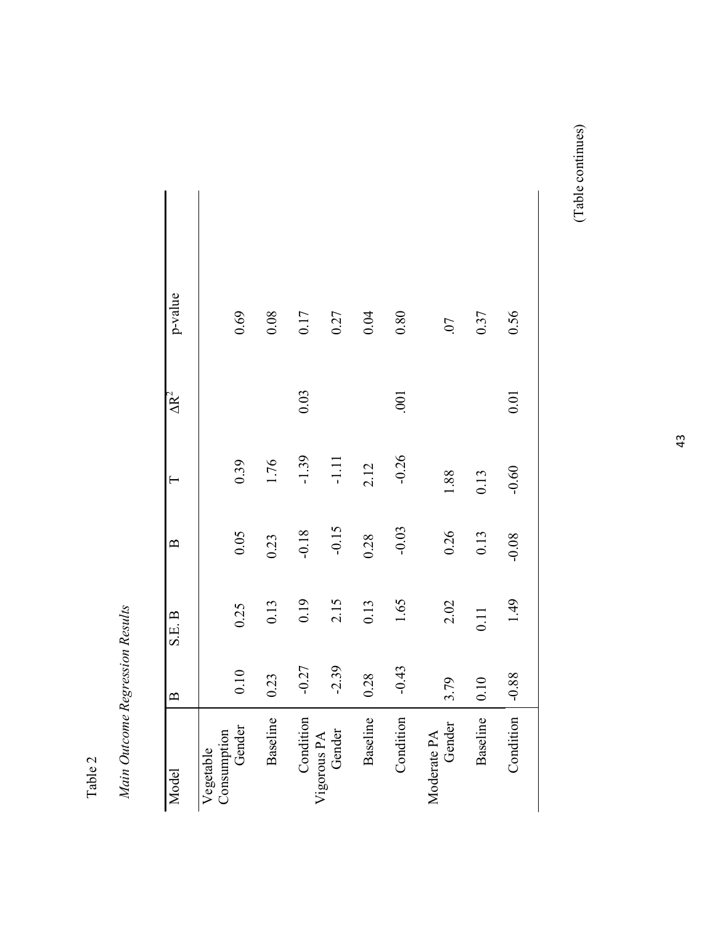Table 2

Main Outcome Regression Results *Main Outcome Regression Results* 

| p-value           | 0.69                               | 0.08     | 0.17      | 0.27                  | 0.04     | 0.80      | $\overline{C}$        | 0.37     | 0.56      |
|-------------------|------------------------------------|----------|-----------|-----------------------|----------|-----------|-----------------------|----------|-----------|
| $\Delta R^2$      |                                    |          | 0.03      |                       |          | .001      |                       |          | 0.01      |
| $\vdash$          | 0.39                               | 1.76     | $-1.39$   | $-1.11$               | 2.12     | $-0.26$   | 1.88                  | 0.13     | $-0.60$   |
| $\mathbf{\Omega}$ | 0.05                               | 0.23     | $-0.18$   | $-0.15$               | 0.28     | $-0.03$   | 0.26                  | 0.13     | $-0.08$   |
| S.E. B            | 0.25                               | 0.13     | 0.19      | 2.15                  | 0.13     | 1.65      | 2.02                  | 0.11     | 1.49      |
| $\mathbf{B}$      | 0.10                               | 0.23     | $-0.27$   | $-2.39$               | 0.28     | $-0.43$   | 3.79                  | 0.10     | $-0.88$   |
| Model             | Gender<br>Consumption<br>Vegetable | Baseline | Condition | Gender<br>Vigorous PA | Baseline | Condition | Gender<br>Moderate PA | Baseline | Condition |

(Table continues) (Table continues)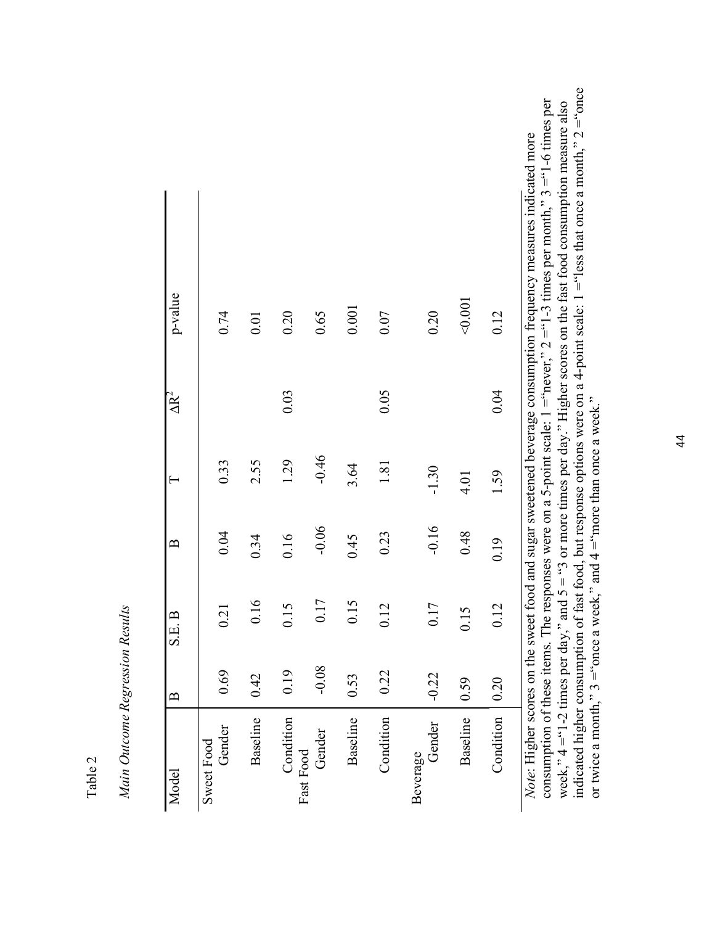| {}     |  |
|--------|--|
| C      |  |
| ⋍<br>ŧ |  |
| c      |  |

*Main Outcome Regression Results*  Main Outcome Regression Results

| Model                                 | $\mathbf{B}$ | $\mathbf{B}$<br>S.E. | $\mathbf{\Omega}$ |         | $\overline{\Delta R}^2$ | p-value                                                                                                                                                                                                                                                                                                                                                 |
|---------------------------------------|--------------|----------------------|-------------------|---------|-------------------------|---------------------------------------------------------------------------------------------------------------------------------------------------------------------------------------------------------------------------------------------------------------------------------------------------------------------------------------------------------|
| Gender<br>Sweet Food                  | 0.69         | 0.21                 | 0.04              | 0.33    |                         | 0.74                                                                                                                                                                                                                                                                                                                                                    |
| Baseline                              | 0.42         | 0.16                 | 0.34              | 2.55    |                         | 0.01                                                                                                                                                                                                                                                                                                                                                    |
| Condition                             | 0.19         | 0.15                 | 0.16              | 1.29    | 0.03                    | 0.20                                                                                                                                                                                                                                                                                                                                                    |
| Gender<br>Fast Food                   | $-0.08$      | 0.17                 | $-0.06$           | $-0.46$ |                         | 0.65                                                                                                                                                                                                                                                                                                                                                    |
| Baseline                              | 0.53         | 0.15                 | 0.45              | 3.64    |                         | 0.001                                                                                                                                                                                                                                                                                                                                                   |
| Condition                             | 0.22         | 0.12                 | 0.23              | 1.81    | 0.05                    | 0.07                                                                                                                                                                                                                                                                                                                                                    |
| Gender<br>Beverage                    | $-0.22$      | 0.17                 | $-0.16$           | $-1.30$ |                         | 0.20                                                                                                                                                                                                                                                                                                                                                    |
| Baseline                              | 0.59         | 0.15                 | 0.48              | 4.01    |                         | < 0.001                                                                                                                                                                                                                                                                                                                                                 |
| Condition                             | 0.20         | 0.12                 | 0.19              | 1.59    | 0.04                    | 0.12                                                                                                                                                                                                                                                                                                                                                    |
| week," $4 \equiv 1-2$ times per day," |              |                      |                   |         |                         | consumption of these items. The responses were on a 5-point scale: $1 =$ "never," $2 =$ "1-3 times per month," $3 =$ "1-6 times per<br>and $5 =$ "3 or more times per day." Higher scores on the fast food consumption measure also<br>Note: Higher scores on the sweet food and sugar sweetened beverage consumption frequency measures indicated more |

44

week,"  $4 = 1$ -2 times per day," and  $5 = 3$  or more times per day." Higher scores on the fast food consumption measure also indicated higher consumption of fast food, but response options were on a 4-point scale:  $1 =$ "less that once a month,"  $2 =$ "once

indicated higher consumption of fast food, but response options were on a 4-point scale:  $1 =$ "less that once a month,"  $2 =$ "once or twice a month,"  $3 =$ "once a week," and  $4 =$ "more than once a week."

or twice a month,"  $3 = 3$  once a week," and  $4 = 3$  more than once a week."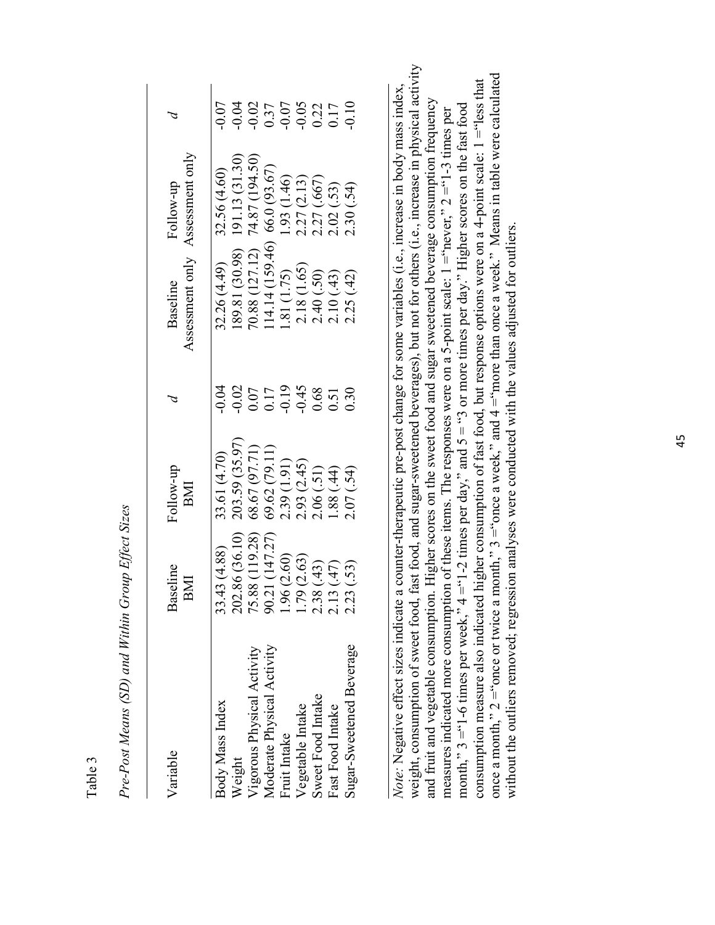| Variable                                                                                                                                                                                                           | Baseline<br>BMI                                                                                                          | Follow-up<br>BMI                                                                                                                       |                                                                                | Assessment only<br>Baseline                                          | Assessment only<br>Follow-up                                                                                                                                                                                                                   |                                                                            |
|--------------------------------------------------------------------------------------------------------------------------------------------------------------------------------------------------------------------|--------------------------------------------------------------------------------------------------------------------------|----------------------------------------------------------------------------------------------------------------------------------------|--------------------------------------------------------------------------------|----------------------------------------------------------------------|------------------------------------------------------------------------------------------------------------------------------------------------------------------------------------------------------------------------------------------------|----------------------------------------------------------------------------|
| 33.<br>75.<br>S.<br>Sugar-Sweetened Beverage<br>Moderate Physical Activity<br>Vigorous Physical Activity<br>Sweet Food Intake<br>Body Mass Index<br>Vegetable Intake<br>Fast Food Intake<br>Fruit Intake<br>Veight | 5.88 (119.28)<br>0.21 (147.27)<br>202.86 (36.10)<br>(4.88)<br>.79(2.63)<br>96 (2.60)<br>2.38(.43)<br>(13(47))<br>23(.53) | 203.59 (35.97)<br>68.67 (97.71)<br>69.62 (79.11)<br>2.39 (1.91)<br>2.93 (2.45)<br>2.06 (.51)<br>1.88 (.44)<br>33.61 (4.70)<br>2.07(54) | $0.010$<br>$0.0000$<br>$0.0000$<br>$0.0000$<br>$0.0000$<br>$0.0000$<br>$0.000$ | 1.81 (1.75)<br>2.18 (1.65)<br>2.40 (.50)<br>2.10 (.43)<br>2.25 (.42) | 32.26 (4.49) 32.56 (4.60)<br>189.81 (30.98) 191.13 (31.30)<br>70.88 (127.12) 74.87 (194.50)<br>114.14 (159.46) 66.0 (93.67)<br>1.81 (1.75) 1.93 (1.46)<br>2.18 (1.65) 2.27 (2.13)<br>2.40 (.50) 2.27 (.667)<br>2.10 (.43) 2.02 (.53)<br>2.25 ( | $-0.017$<br>$-0.077$<br>$-0.05$<br>$-0.05$<br>$-0.017$<br>$-0.017$<br>0.07 |

*Pre-Post Means (SD) and Within Group Effect Sizes*  Pre-Post Means (SD) and Within Group Effect Sizes

Table 3

weight, consumption of sweet food, fast food, and sugar-sweetened beverages), but not for others (i.e., increase in physical activity weight, consumption of sweet food, fast food, and sugar-sweetened beverages), but not for others (i.e., increase in physical activity once a month,"  $2 =$ "once or twice a month,"  $3 =$ "once a week," and  $4 =$ "more than once a week." Means in table were calculated once a month,"  $2 =$ "once or twice a month,"  $3 =$ "once a week," and  $4 =$ "more than once a week." Means in table were calculated consumption measure also indicated higher consumption of fast food, but response options were on a 4-point scale:  $1 =$ "less that consumption measure also indicated higher consumption of fast food, but response options were on a 4-point scale:  $1 =$ "less that *Note:* Negative effect sizes indicate a counter-therapeutic pre-post change for some variables (i.e., increase in body mass index, Note: Negative effect sizes indicate a counter-therapeutic pre-post change for some variables (i.e., increase in body mass index, and fruit and vegetable consumption. Higher scores on the sweet food and sugar sweetened beverage consumption frequency and fruit and vegetable consumption. Higher scores on the sweet food and sugar sweetened beverage consumption frequency month,"  $3 = 1-6$  times per week,"  $4 = 1-2$  times per day," and  $5 = 1/3$  or more times per day." Higher scores on the fast food month,"  $3 = 1-6$  times per week,"  $4 = 1-2$  times per day," and  $5 = 1-3$  or more times per day." Higher scores on the fast food measures indicated more consumption of these items. The responses were on a 5-point scale:  $1 = "never," 2 = "1-3$  times per measures indicated more consumption of these items. The responses were on a 5-point scale:  $1 =$ "never,"  $2 =$ "1-3 times per without the outliers removed; regression analyses were conducted with the values adjusted for outliers. without the outliers removed; regression analyses were conducted with the values adjusted for outliers.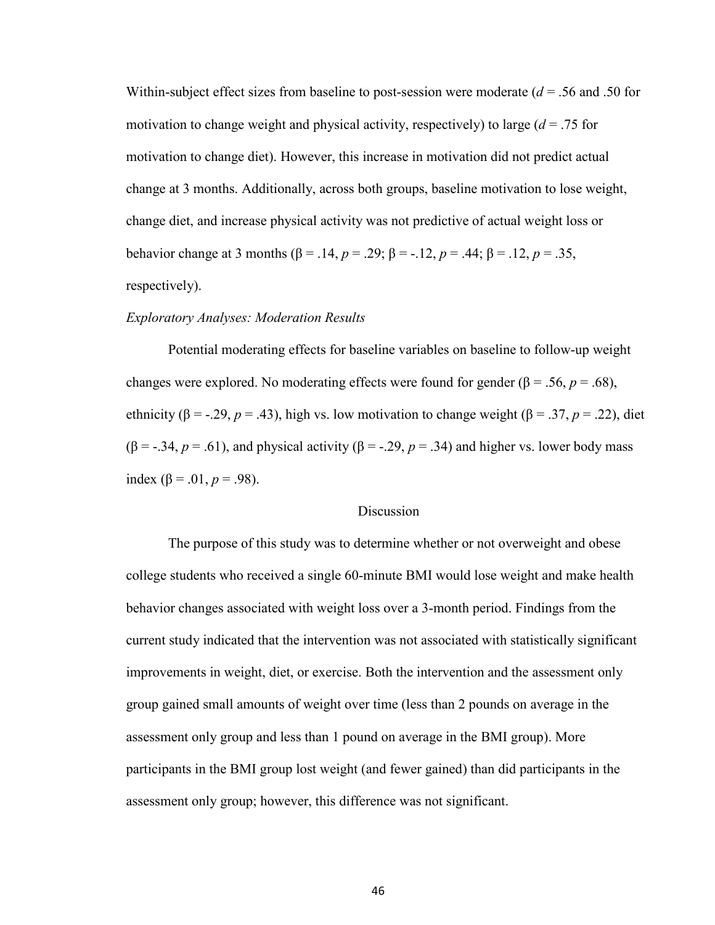Within-subject effect sizes from baseline to post-session were moderate (*d* = .56 and .50 for motivation to change weight and physical activity, respectively) to large (*d* = .75 for motivation to change diet). However, this increase in motivation did not predict actual change at 3 months. Additionally, across both groups, baseline motivation to lose weight, change diet, and increase physical activity was not predictive of actual weight loss or behavior change at 3 months (β = .14, *p* = .29; β = -.12, *p* = .44; β = .12, *p* = .35, respectively).

## *Exploratory Analyses: Moderation Results*

Potential moderating effects for baseline variables on baseline to follow-up weight changes were explored. No moderating effects were found for gender ( $\beta$  = .56, *p* = .68), ethnicity ( $\beta$  = -.29, *p* = .43), high vs. low motivation to change weight ( $\beta$  = .37, *p* = .22), diet ( $\beta$  = -.34, *p* = .61), and physical activity ( $\beta$  = -.29, *p* = .34) and higher vs. lower body mass index ( $\beta$  = .01,  $p$  = .98).

# Discussion

 The purpose of this study was to determine whether or not overweight and obese college students who received a single 60-minute BMI would lose weight and make health behavior changes associated with weight loss over a 3-month period. Findings from the current study indicated that the intervention was not associated with statistically significant improvements in weight, diet, or exercise. Both the intervention and the assessment only group gained small amounts of weight over time (less than 2 pounds on average in the assessment only group and less than 1 pound on average in the BMI group). More participants in the BMI group lost weight (and fewer gained) than did participants in the assessment only group; however, this difference was not significant.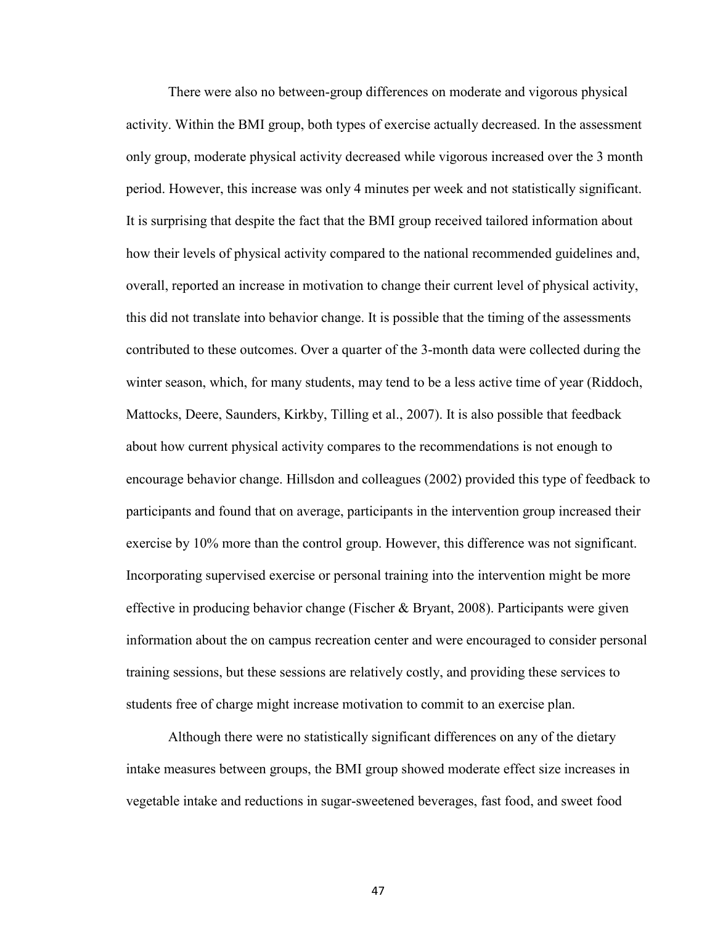There were also no between-group differences on moderate and vigorous physical activity. Within the BMI group, both types of exercise actually decreased. In the assessment only group, moderate physical activity decreased while vigorous increased over the 3 month period. However, this increase was only 4 minutes per week and not statistically significant. It is surprising that despite the fact that the BMI group received tailored information about how their levels of physical activity compared to the national recommended guidelines and, overall, reported an increase in motivation to change their current level of physical activity, this did not translate into behavior change. It is possible that the timing of the assessments contributed to these outcomes. Over a quarter of the 3-month data were collected during the winter season, which, for many students, may tend to be a less active time of year (Riddoch, Mattocks, Deere, Saunders, Kirkby, Tilling et al., 2007). It is also possible that feedback about how current physical activity compares to the recommendations is not enough to encourage behavior change. Hillsdon and colleagues (2002) provided this type of feedback to participants and found that on average, participants in the intervention group increased their exercise by 10% more than the control group. However, this difference was not significant. Incorporating supervised exercise or personal training into the intervention might be more effective in producing behavior change (Fischer  $\&$  Bryant, 2008). Participants were given information about the on campus recreation center and were encouraged to consider personal training sessions, but these sessions are relatively costly, and providing these services to students free of charge might increase motivation to commit to an exercise plan.

 Although there were no statistically significant differences on any of the dietary intake measures between groups, the BMI group showed moderate effect size increases in vegetable intake and reductions in sugar-sweetened beverages, fast food, and sweet food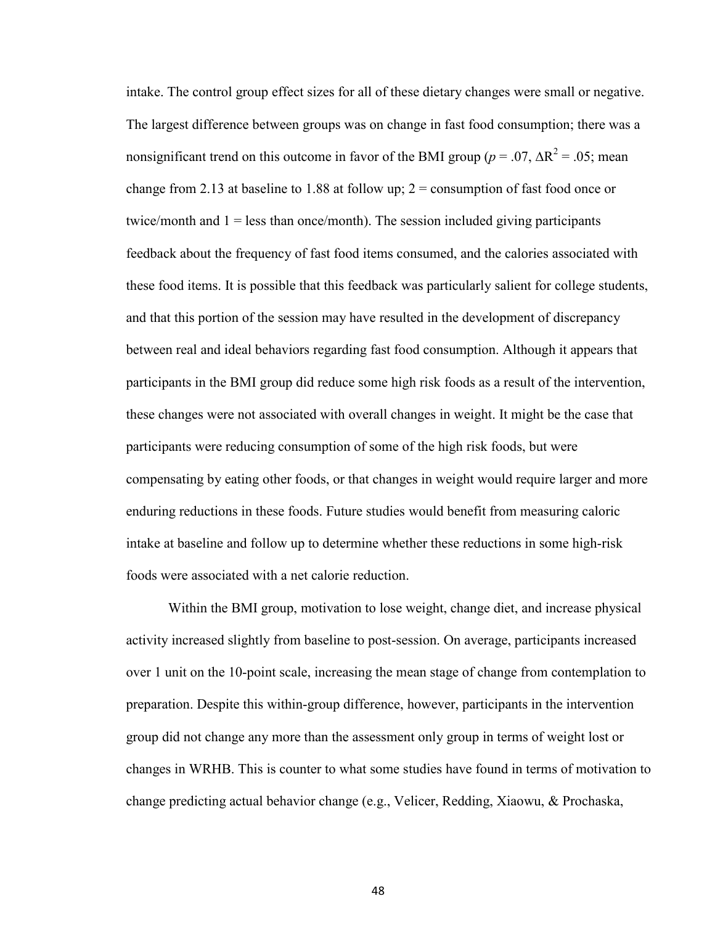intake. The control group effect sizes for all of these dietary changes were small or negative. The largest difference between groups was on change in fast food consumption; there was a nonsignificant trend on this outcome in favor of the BMI group ( $p = .07$ ,  $\Delta R^2 = .05$ ; mean change from 2.13 at baseline to 1.88 at follow up;  $2 =$  consumption of fast food once or twice/month and  $1 =$  less than once/month). The session included giving participants feedback about the frequency of fast food items consumed, and the calories associated with these food items. It is possible that this feedback was particularly salient for college students, and that this portion of the session may have resulted in the development of discrepancy between real and ideal behaviors regarding fast food consumption. Although it appears that participants in the BMI group did reduce some high risk foods as a result of the intervention, these changes were not associated with overall changes in weight. It might be the case that participants were reducing consumption of some of the high risk foods, but were compensating by eating other foods, or that changes in weight would require larger and more enduring reductions in these foods. Future studies would benefit from measuring caloric intake at baseline and follow up to determine whether these reductions in some high-risk foods were associated with a net calorie reduction.

 Within the BMI group, motivation to lose weight, change diet, and increase physical activity increased slightly from baseline to post-session. On average, participants increased over 1 unit on the 10-point scale, increasing the mean stage of change from contemplation to preparation. Despite this within-group difference, however, participants in the intervention group did not change any more than the assessment only group in terms of weight lost or changes in WRHB. This is counter to what some studies have found in terms of motivation to change predicting actual behavior change (e.g., Velicer, Redding, Xiaowu, & Prochaska,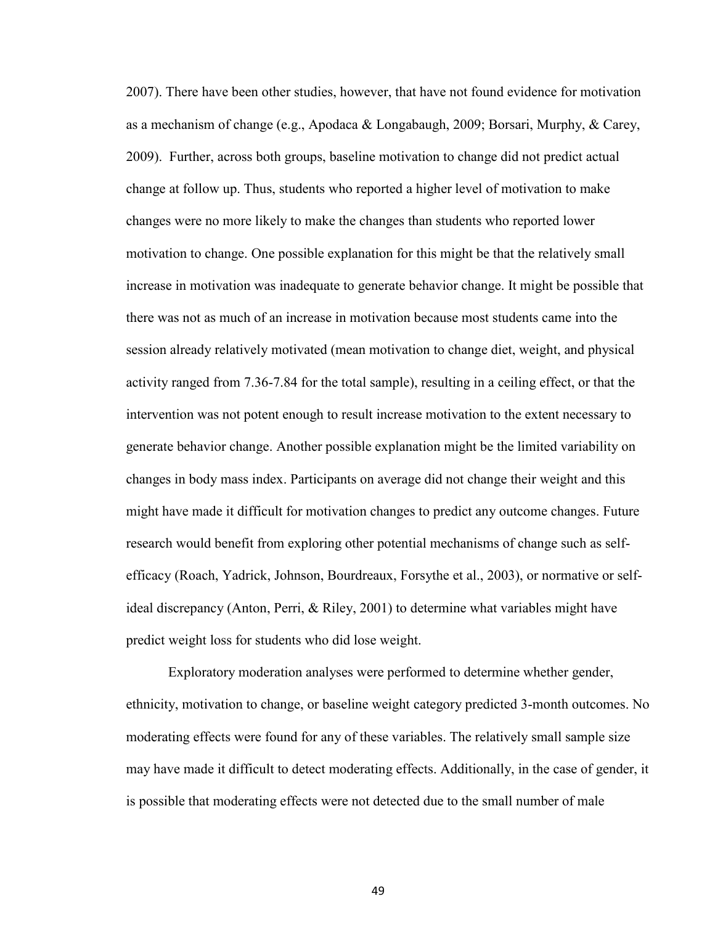2007). There have been other studies, however, that have not found evidence for motivation as a mechanism of change (e.g., Apodaca & Longabaugh, 2009; Borsari, Murphy, & Carey, 2009). Further, across both groups, baseline motivation to change did not predict actual change at follow up. Thus, students who reported a higher level of motivation to make changes were no more likely to make the changes than students who reported lower motivation to change. One possible explanation for this might be that the relatively small increase in motivation was inadequate to generate behavior change. It might be possible that there was not as much of an increase in motivation because most students came into the session already relatively motivated (mean motivation to change diet, weight, and physical activity ranged from 7.36-7.84 for the total sample), resulting in a ceiling effect, or that the intervention was not potent enough to result increase motivation to the extent necessary to generate behavior change. Another possible explanation might be the limited variability on changes in body mass index. Participants on average did not change their weight and this might have made it difficult for motivation changes to predict any outcome changes. Future research would benefit from exploring other potential mechanisms of change such as selfefficacy (Roach, Yadrick, Johnson, Bourdreaux, Forsythe et al., 2003), or normative or selfideal discrepancy (Anton, Perri, & Riley, 2001) to determine what variables might have predict weight loss for students who did lose weight.

 Exploratory moderation analyses were performed to determine whether gender, ethnicity, motivation to change, or baseline weight category predicted 3-month outcomes. No moderating effects were found for any of these variables. The relatively small sample size may have made it difficult to detect moderating effects. Additionally, in the case of gender, it is possible that moderating effects were not detected due to the small number of male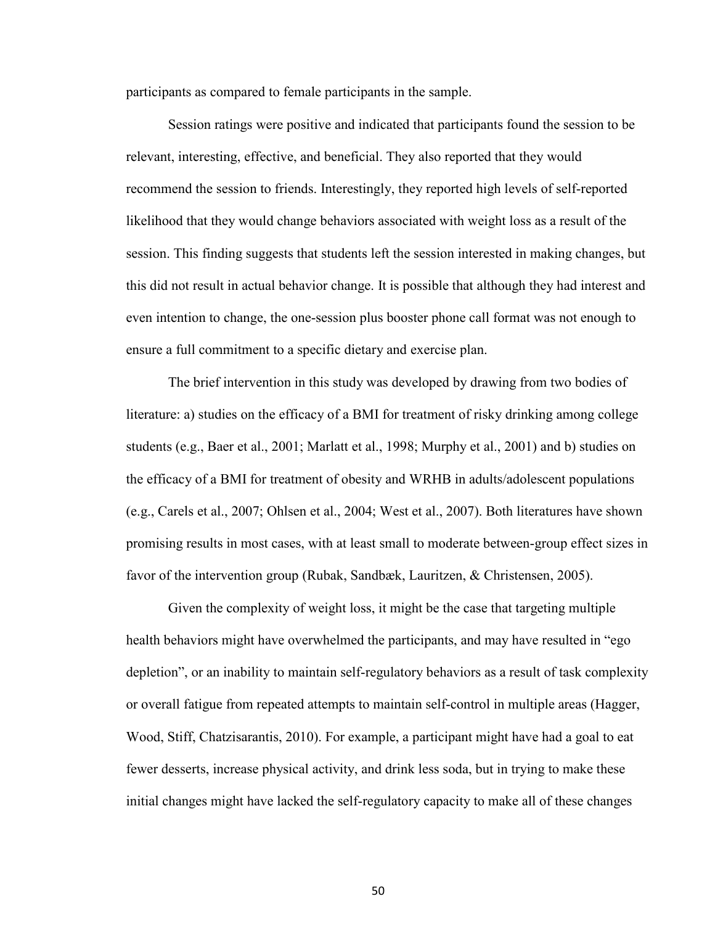participants as compared to female participants in the sample.

 Session ratings were positive and indicated that participants found the session to be relevant, interesting, effective, and beneficial. They also reported that they would recommend the session to friends. Interestingly, they reported high levels of self-reported likelihood that they would change behaviors associated with weight loss as a result of the session. This finding suggests that students left the session interested in making changes, but this did not result in actual behavior change. It is possible that although they had interest and even intention to change, the one-session plus booster phone call format was not enough to ensure a full commitment to a specific dietary and exercise plan.

 The brief intervention in this study was developed by drawing from two bodies of literature: a) studies on the efficacy of a BMI for treatment of risky drinking among college students (e.g., Baer et al., 2001; Marlatt et al., 1998; Murphy et al., 2001) and b) studies on the efficacy of a BMI for treatment of obesity and WRHB in adults/adolescent populations (e.g., Carels et al., 2007; Ohlsen et al., 2004; West et al., 2007). Both literatures have shown promising results in most cases, with at least small to moderate between-group effect sizes in favor of the intervention group (Rubak, Sandbæk, Lauritzen, & Christensen, 2005).

 Given the complexity of weight loss, it might be the case that targeting multiple health behaviors might have overwhelmed the participants, and may have resulted in "ego depletion", or an inability to maintain self-regulatory behaviors as a result of task complexity or overall fatigue from repeated attempts to maintain self-control in multiple areas (Hagger, Wood, Stiff, Chatzisarantis, 2010). For example, a participant might have had a goal to eat fewer desserts, increase physical activity, and drink less soda, but in trying to make these initial changes might have lacked the self-regulatory capacity to make all of these changes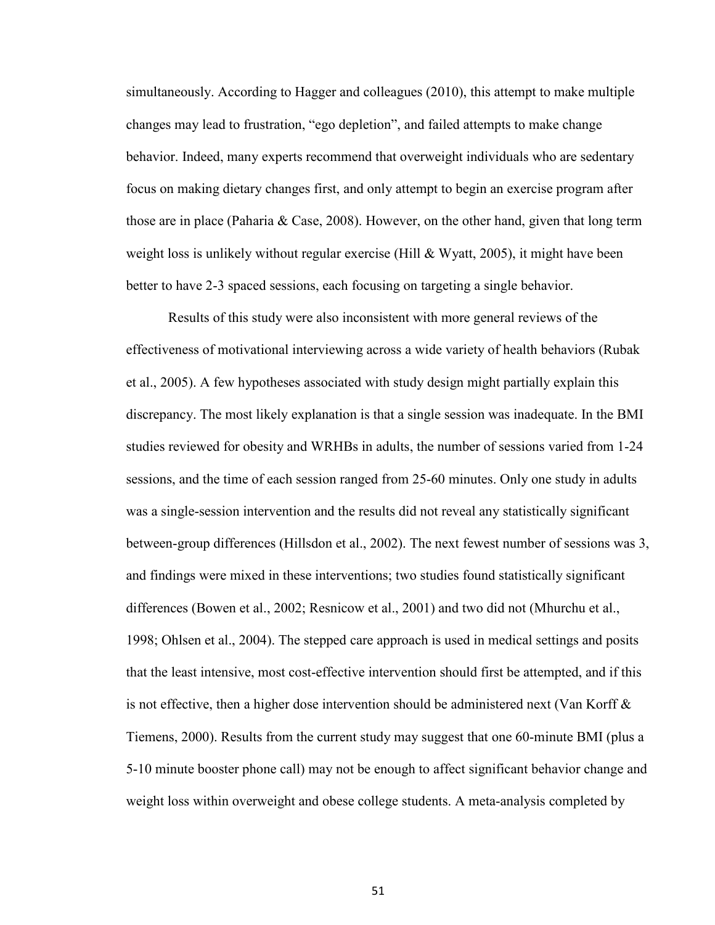simultaneously. According to Hagger and colleagues (2010), this attempt to make multiple changes may lead to frustration, "ego depletion", and failed attempts to make change behavior. Indeed, many experts recommend that overweight individuals who are sedentary focus on making dietary changes first, and only attempt to begin an exercise program after those are in place (Paharia & Case, 2008). However, on the other hand, given that long term weight loss is unlikely without regular exercise (Hill  $\&$  Wyatt, 2005), it might have been better to have 2-3 spaced sessions, each focusing on targeting a single behavior.

 Results of this study were also inconsistent with more general reviews of the effectiveness of motivational interviewing across a wide variety of health behaviors (Rubak et al., 2005). A few hypotheses associated with study design might partially explain this discrepancy. The most likely explanation is that a single session was inadequate. In the BMI studies reviewed for obesity and WRHBs in adults, the number of sessions varied from 1-24 sessions, and the time of each session ranged from 25-60 minutes. Only one study in adults was a single-session intervention and the results did not reveal any statistically significant between-group differences (Hillsdon et al., 2002). The next fewest number of sessions was 3, and findings were mixed in these interventions; two studies found statistically significant differences (Bowen et al., 2002; Resnicow et al., 2001) and two did not (Mhurchu et al., 1998; Ohlsen et al., 2004). The stepped care approach is used in medical settings and posits that the least intensive, most cost-effective intervention should first be attempted, and if this is not effective, then a higher dose intervention should be administered next (Van Korff  $\&$ Tiemens, 2000). Results from the current study may suggest that one 60-minute BMI (plus a 5-10 minute booster phone call) may not be enough to affect significant behavior change and weight loss within overweight and obese college students. A meta-analysis completed by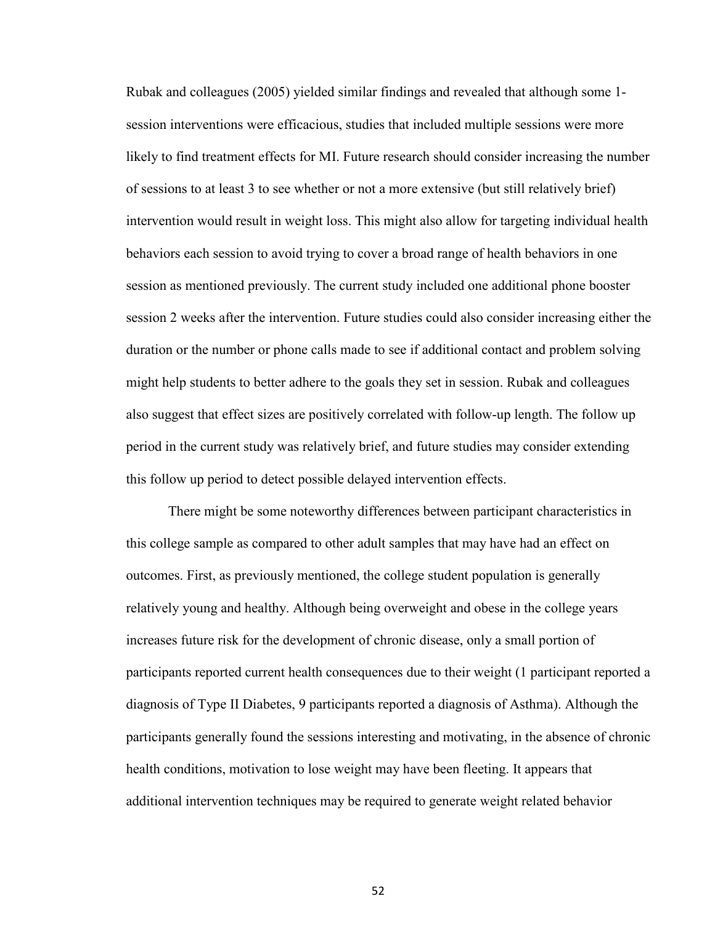Rubak and colleagues (2005) yielded similar findings and revealed that although some 1 session interventions were efficacious, studies that included multiple sessions were more likely to find treatment effects for MI. Future research should consider increasing the number of sessions to at least 3 to see whether or not a more extensive (but still relatively brief) intervention would result in weight loss. This might also allow for targeting individual health behaviors each session to avoid trying to cover a broad range of health behaviors in one session as mentioned previously. The current study included one additional phone booster session 2 weeks after the intervention. Future studies could also consider increasing either the duration or the number or phone calls made to see if additional contact and problem solving might help students to better adhere to the goals they set in session. Rubak and colleagues also suggest that effect sizes are positively correlated with follow-up length. The follow up period in the current study was relatively brief, and future studies may consider extending this follow up period to detect possible delayed intervention effects.

 There might be some noteworthy differences between participant characteristics in this college sample as compared to other adult samples that may have had an effect on outcomes. First, as previously mentioned, the college student population is generally relatively young and healthy. Although being overweight and obese in the college years increases future risk for the development of chronic disease, only a small portion of participants reported current health consequences due to their weight (1 participant reported a diagnosis of Type II Diabetes, 9 participants reported a diagnosis of Asthma). Although the participants generally found the sessions interesting and motivating, in the absence of chronic health conditions, motivation to lose weight may have been fleeting. It appears that additional intervention techniques may be required to generate weight related behavior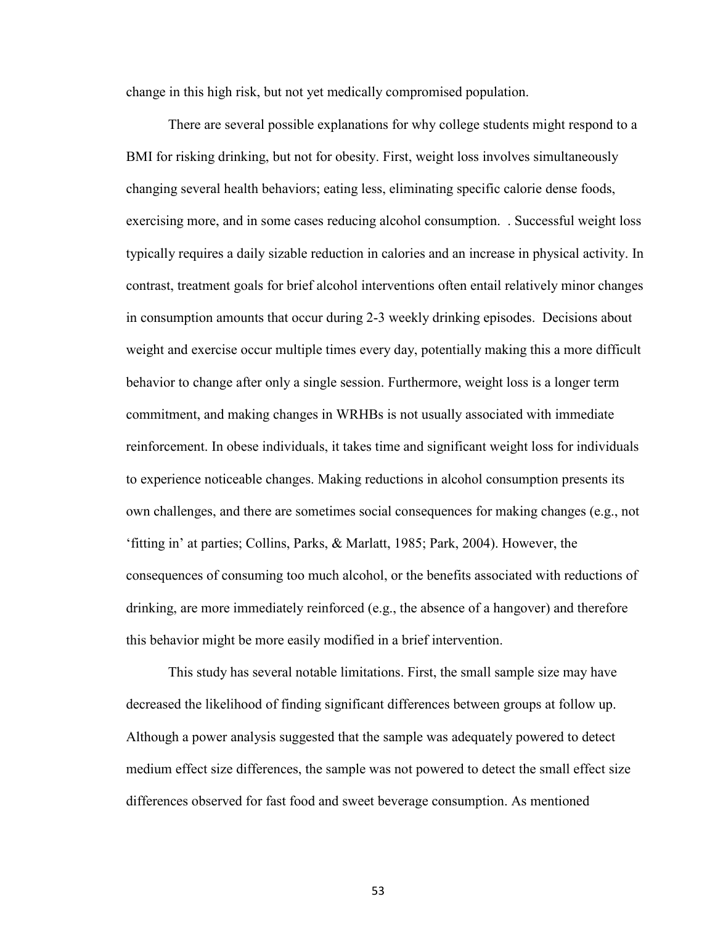change in this high risk, but not yet medically compromised population.

 There are several possible explanations for why college students might respond to a BMI for risking drinking, but not for obesity. First, weight loss involves simultaneously changing several health behaviors; eating less, eliminating specific calorie dense foods, exercising more, and in some cases reducing alcohol consumption. . Successful weight loss typically requires a daily sizable reduction in calories and an increase in physical activity. In contrast, treatment goals for brief alcohol interventions often entail relatively minor changes in consumption amounts that occur during 2-3 weekly drinking episodes. Decisions about weight and exercise occur multiple times every day, potentially making this a more difficult behavior to change after only a single session. Furthermore, weight loss is a longer term commitment, and making changes in WRHBs is not usually associated with immediate reinforcement. In obese individuals, it takes time and significant weight loss for individuals to experience noticeable changes. Making reductions in alcohol consumption presents its own challenges, and there are sometimes social consequences for making changes (e.g., not 'fitting in' at parties; Collins, Parks, & Marlatt, 1985; Park, 2004). However, the consequences of consuming too much alcohol, or the benefits associated with reductions of drinking, are more immediately reinforced (e.g., the absence of a hangover) and therefore this behavior might be more easily modified in a brief intervention.

 This study has several notable limitations. First, the small sample size may have decreased the likelihood of finding significant differences between groups at follow up. Although a power analysis suggested that the sample was adequately powered to detect medium effect size differences, the sample was not powered to detect the small effect size differences observed for fast food and sweet beverage consumption. As mentioned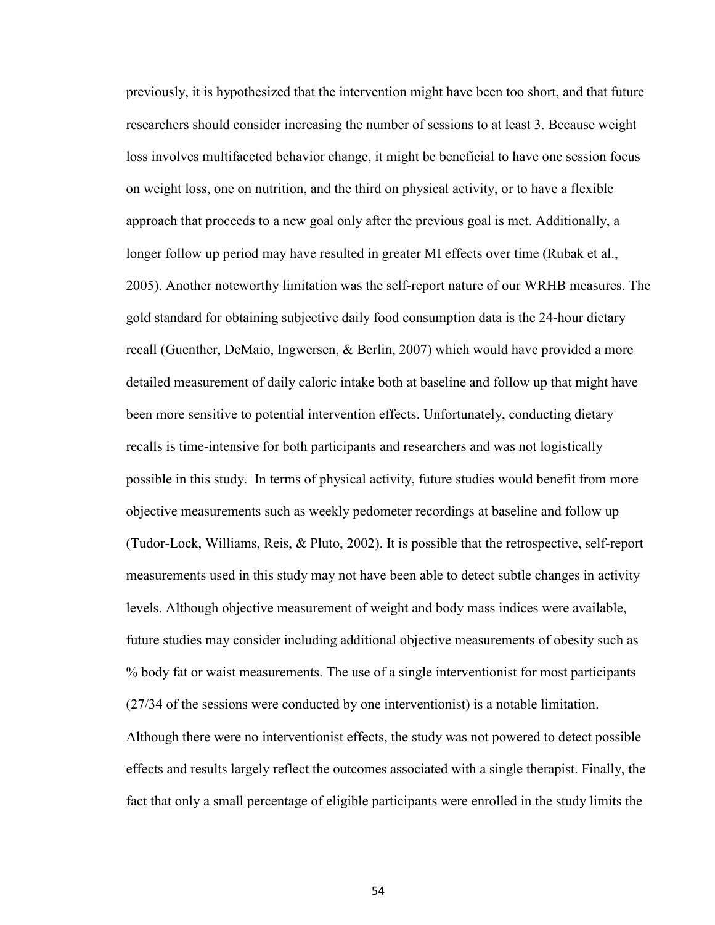previously, it is hypothesized that the intervention might have been too short, and that future researchers should consider increasing the number of sessions to at least 3. Because weight loss involves multifaceted behavior change, it might be beneficial to have one session focus on weight loss, one on nutrition, and the third on physical activity, or to have a flexible approach that proceeds to a new goal only after the previous goal is met. Additionally, a longer follow up period may have resulted in greater MI effects over time (Rubak et al., 2005). Another noteworthy limitation was the self-report nature of our WRHB measures. The gold standard for obtaining subjective daily food consumption data is the 24-hour dietary recall (Guenther, DeMaio, Ingwersen, & Berlin, 2007) which would have provided a more detailed measurement of daily caloric intake both at baseline and follow up that might have been more sensitive to potential intervention effects. Unfortunately, conducting dietary recalls is time-intensive for both participants and researchers and was not logistically possible in this study. In terms of physical activity, future studies would benefit from more objective measurements such as weekly pedometer recordings at baseline and follow up (Tudor-Lock, Williams, Reis, & Pluto, 2002). It is possible that the retrospective, self-report measurements used in this study may not have been able to detect subtle changes in activity levels. Although objective measurement of weight and body mass indices were available, future studies may consider including additional objective measurements of obesity such as % body fat or waist measurements. The use of a single interventionist for most participants (27/34 of the sessions were conducted by one interventionist) is a notable limitation. Although there were no interventionist effects, the study was not powered to detect possible

effects and results largely reflect the outcomes associated with a single therapist. Finally, the fact that only a small percentage of eligible participants were enrolled in the study limits the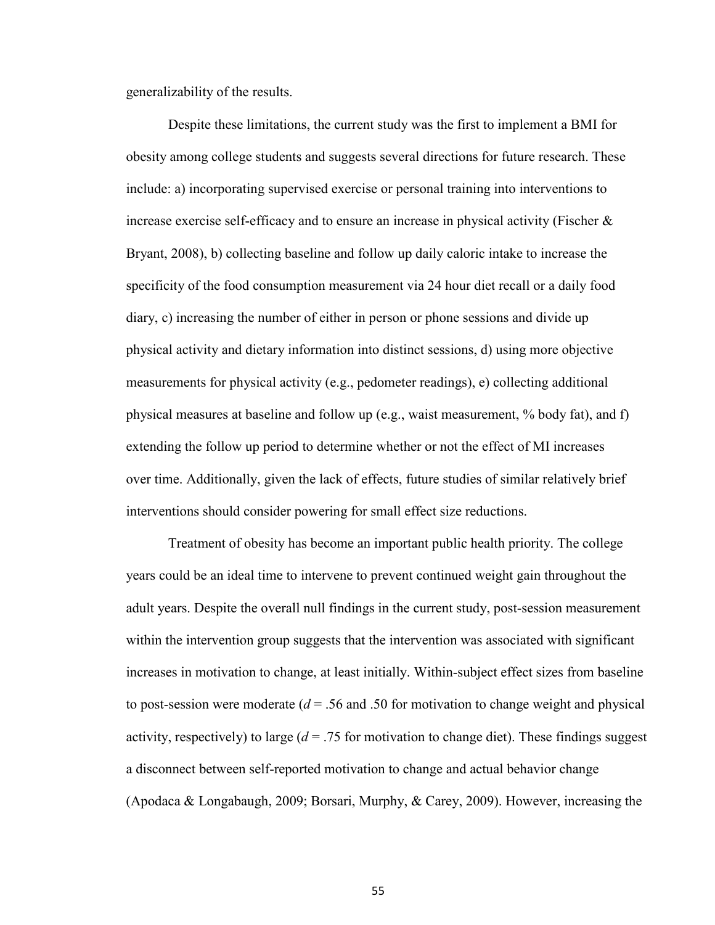generalizability of the results.

Despite these limitations, the current study was the first to implement a BMI for obesity among college students and suggests several directions for future research. These include: a) incorporating supervised exercise or personal training into interventions to increase exercise self-efficacy and to ensure an increase in physical activity (Fischer  $\&$ Bryant, 2008), b) collecting baseline and follow up daily caloric intake to increase the specificity of the food consumption measurement via 24 hour diet recall or a daily food diary, c) increasing the number of either in person or phone sessions and divide up physical activity and dietary information into distinct sessions, d) using more objective measurements for physical activity (e.g., pedometer readings), e) collecting additional physical measures at baseline and follow up (e.g., waist measurement, % body fat), and f) extending the follow up period to determine whether or not the effect of MI increases over time. Additionally, given the lack of effects, future studies of similar relatively brief interventions should consider powering for small effect size reductions.

 Treatment of obesity has become an important public health priority. The college years could be an ideal time to intervene to prevent continued weight gain throughout the adult years. Despite the overall null findings in the current study, post-session measurement within the intervention group suggests that the intervention was associated with significant increases in motivation to change, at least initially. Within-subject effect sizes from baseline to post-session were moderate  $(d = 0.56)$  and 0.50 for motivation to change weight and physical activity, respectively) to large  $(d = .75$  for motivation to change diet). These findings suggest a disconnect between self-reported motivation to change and actual behavior change (Apodaca & Longabaugh, 2009; Borsari, Murphy, & Carey, 2009). However, increasing the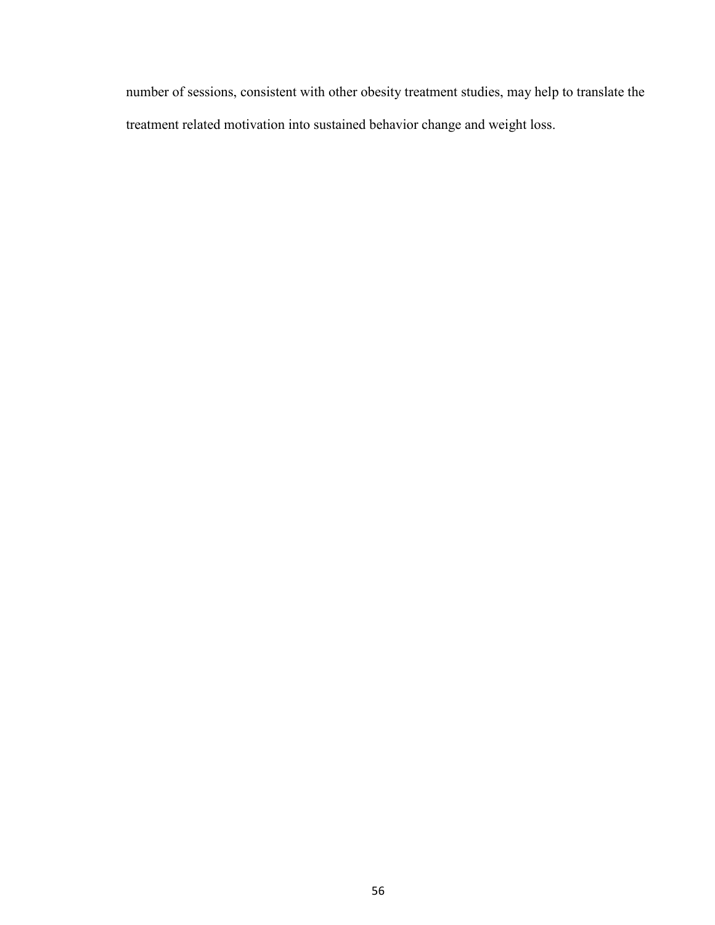number of sessions, consistent with other obesity treatment studies, may help to translate the treatment related motivation into sustained behavior change and weight loss.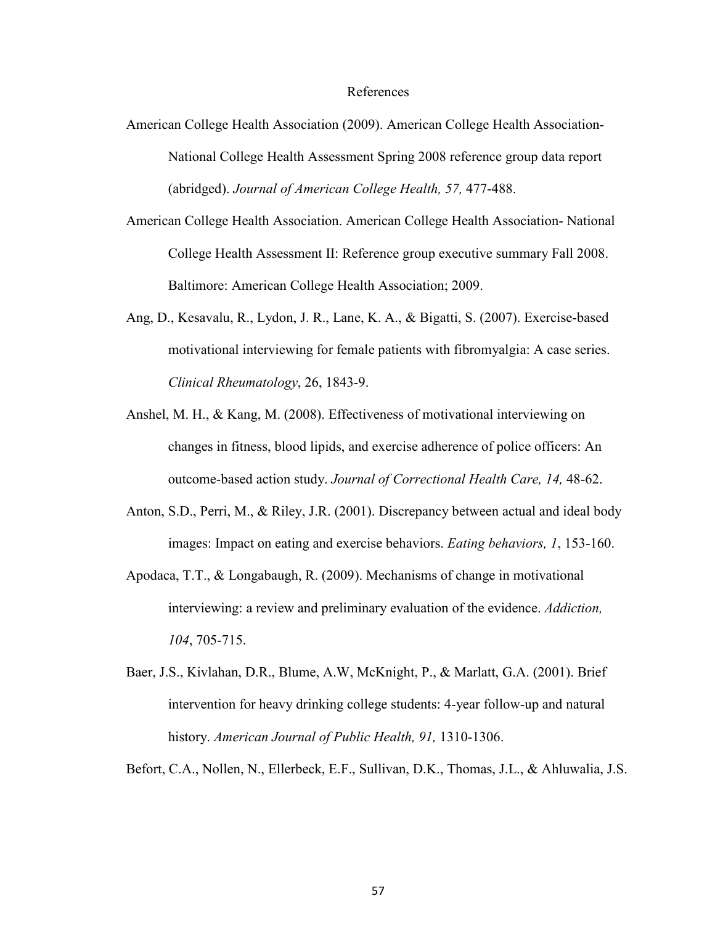### References

- American College Health Association (2009). American College Health Association-National College Health Assessment Spring 2008 reference group data report (abridged). *Journal of American College Health, 57,* 477-488.
- American College Health Association. American College Health Association- National College Health Assessment II: Reference group executive summary Fall 2008. Baltimore: American College Health Association; 2009.
- Ang, D., Kesavalu, R., Lydon, J. R., Lane, K. A., & Bigatti, S. (2007). Exercise-based motivational interviewing for female patients with fibromyalgia: A case series. *Clinical Rheumatology*, 26, 1843-9.
- Anshel, M. H., & Kang, M. (2008). Effectiveness of motivational interviewing on changes in fitness, blood lipids, and exercise adherence of police officers: An outcome-based action study. *Journal of Correctional Health Care, 14,* 48-62.
- Anton, S.D., Perri, M., & Riley, J.R. (2001). Discrepancy between actual and ideal body images: Impact on eating and exercise behaviors. *Eating behaviors, 1*, 153-160.
- Apodaca, T.T., & Longabaugh, R. (2009). Mechanisms of change in motivational interviewing: a review and preliminary evaluation of the evidence. *Addiction, 104*, 705-715.
- Baer, J.S., Kivlahan, D.R., Blume, A.W, McKnight, P., & Marlatt, G.A. (2001). Brief intervention for heavy drinking college students: 4-year follow-up and natural history. *American Journal of Public Health, 91,* 1310-1306.
- Befort, C.A., Nollen, N., Ellerbeck, E.F., Sullivan, D.K., Thomas, J.L., & Ahluwalia, J.S.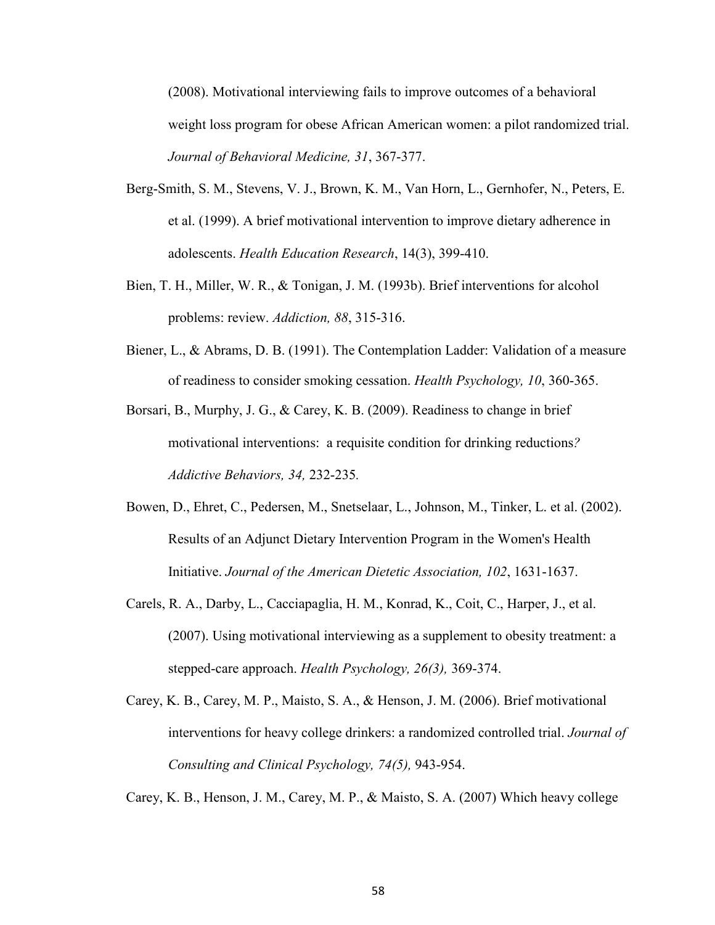(2008). Motivational interviewing fails to improve outcomes of a behavioral weight loss program for obese African American women: a pilot randomized trial. *Journal of Behavioral Medicine, 31*, 367-377.

- Berg-Smith, S. M., Stevens, V. J., Brown, K. M., Van Horn, L., Gernhofer, N., Peters, E. et al. (1999). A brief motivational intervention to improve dietary adherence in adolescents. *Health Education Research*, 14(3), 399-410.
- Bien, T. H., Miller, W. R., & Tonigan, J. M. (1993b). Brief interventions for alcohol problems: review. *Addiction, 88*, 315-316.
- Biener, L., & Abrams, D. B. (1991). The Contemplation Ladder: Validation of a measure of readiness to consider smoking cessation. *Health Psychology, 10*, 360-365.
- Borsari, B., Murphy, J. G., & Carey, K. B. (2009). Readiness to change in brief motivational interventions: a requisite condition for drinking reductions*? Addictive Behaviors, 34,* 232-235*.*
- Bowen, D., Ehret, C., Pedersen, M., Snetselaar, L., Johnson, M., Tinker, L. et al. (2002). Results of an Adjunct Dietary Intervention Program in the Women's Health Initiative. *Journal of the American Dietetic Association, 102*, 1631-1637.
- Carels, R. A., Darby, L., Cacciapaglia, H. M., Konrad, K., Coit, C., Harper, J., et al. (2007). Using motivational interviewing as a supplement to obesity treatment: a stepped-care approach. *Health Psychology, 26(3),* 369-374.
- Carey, K. B., Carey, M. P., Maisto, S. A., & Henson, J. M. (2006). Brief motivational interventions for heavy college drinkers: a randomized controlled trial. *Journal of Consulting and Clinical Psychology, 74(5),* 943-954.

Carey, K. B., Henson, J. M., Carey, M. P., & Maisto, S. A. (2007) Which heavy college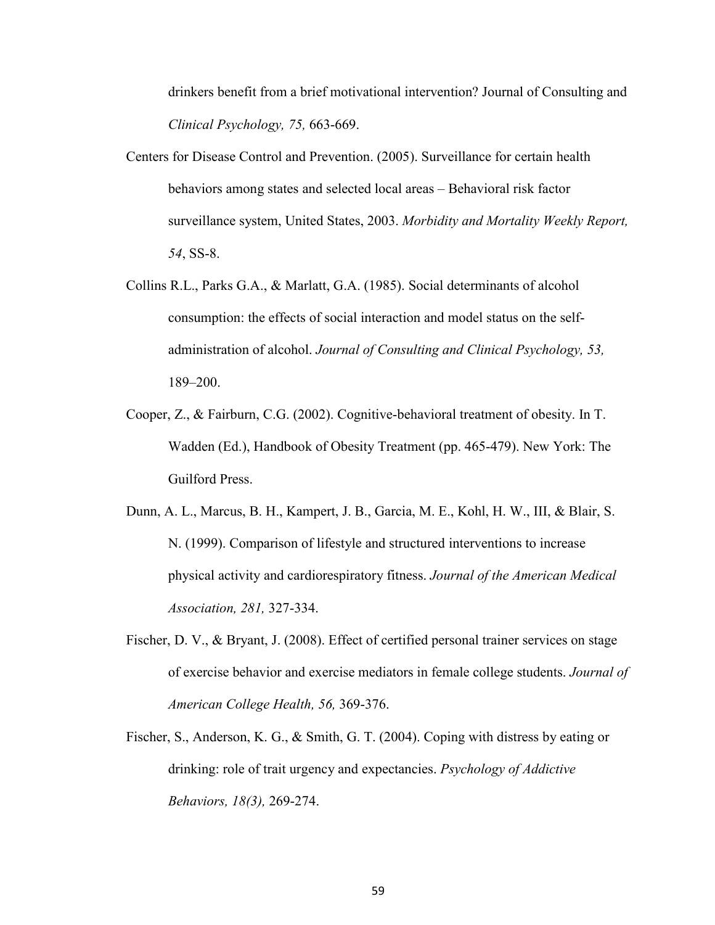drinkers benefit from a brief motivational intervention? Journal of Consulting and *Clinical Psychology, 75,* 663-669.

- Centers for Disease Control and Prevention. (2005). Surveillance for certain health behaviors among states and selected local areas – Behavioral risk factor surveillance system, United States, 2003. *Morbidity and Mortality Weekly Report, 54*, SS-8.
- Collins R.L., Parks G.A., & Marlatt, G.A. (1985). Social determinants of alcohol consumption: the effects of social interaction and model status on the selfadministration of alcohol. *Journal of Consulting and Clinical Psychology, 53,* 189–200.
- Cooper, Z., & Fairburn, C.G. (2002). Cognitive-behavioral treatment of obesity. In T. Wadden (Ed.), Handbook of Obesity Treatment (pp. 465-479). New York: The Guilford Press.
- Dunn, A. L., Marcus, B. H., Kampert, J. B., Garcia, M. E., Kohl, H. W., III, & Blair, S. N. (1999). Comparison of lifestyle and structured interventions to increase physical activity and cardiorespiratory fitness. *Journal of the American Medical Association, 281,* 327-334.
- Fischer, D. V., & Bryant, J. (2008). Effect of certified personal trainer services on stage of exercise behavior and exercise mediators in female college students. *Journal of American College Health, 56,* 369-376.
- Fischer, S., Anderson, K. G., & Smith, G. T. (2004). Coping with distress by eating or drinking: role of trait urgency and expectancies. *Psychology of Addictive Behaviors, 18(3),* 269-274.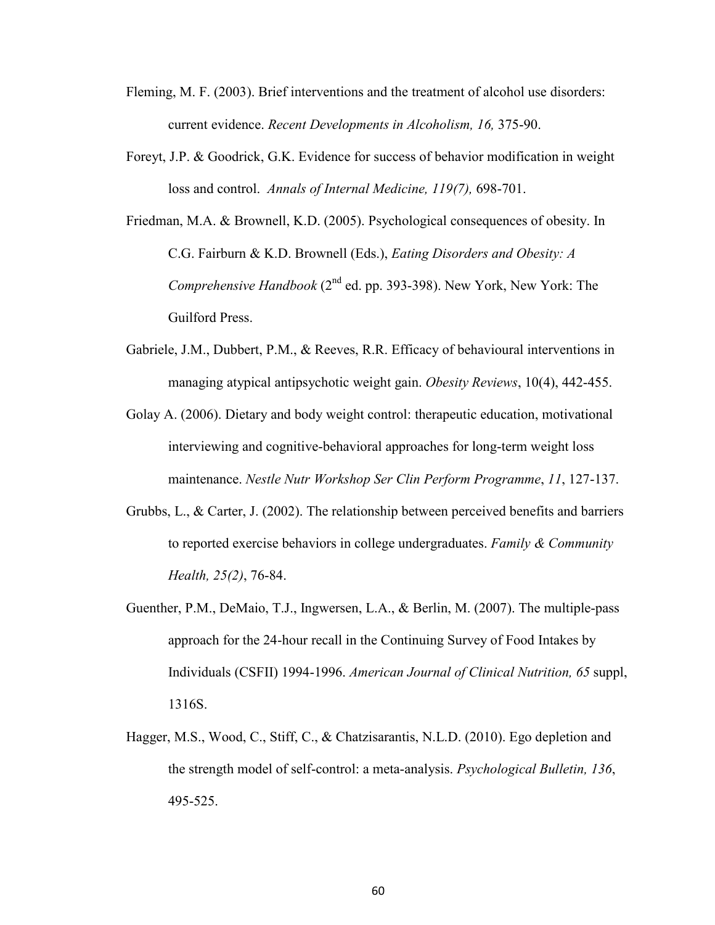- Fleming, M. F. (2003). Brief interventions and the treatment of alcohol use disorders: current evidence. *Recent Developments in Alcoholism, 16,* 375-90.
- Foreyt, J.P. & Goodrick, G.K. Evidence for success of behavior modification in weight loss and control. *Annals of Internal Medicine, 119(7),* 698-701.
- Friedman, M.A. & Brownell, K.D. (2005). Psychological consequences of obesity. In C.G. Fairburn & K.D. Brownell (Eds.), *Eating Disorders and Obesity: A Comprehensive Handbook* (2<sup>nd</sup> ed. pp. 393-398). New York, New York: The Guilford Press.
- Gabriele, J.M., Dubbert, P.M., & Reeves, R.R. Efficacy of behavioural interventions in managing atypical antipsychotic weight gain. *Obesity Reviews*, 10(4), 442-455.
- Golay A. (2006). Dietary and body weight control: therapeutic education, motivational interviewing and cognitive-behavioral approaches for long-term weight loss maintenance. *Nestle Nutr Workshop Ser Clin Perform Programme*, *11*, 127-137.
- Grubbs, L., & Carter, J. (2002). The relationship between perceived benefits and barriers to reported exercise behaviors in college undergraduates. *Family & Community Health, 25(2)*, 76-84.
- Guenther, P.M., DeMaio, T.J., Ingwersen, L.A., & Berlin, M. (2007). The multiple-pass approach for the 24-hour recall in the Continuing Survey of Food Intakes by Individuals (CSFII) 1994-1996. *American Journal of Clinical Nutrition, 65* suppl, 1316S.
- Hagger, M.S., Wood, C., Stiff, C., & Chatzisarantis, N.L.D. (2010). Ego depletion and the strength model of self-control: a meta-analysis. *Psychological Bulletin, 136*, 495-525.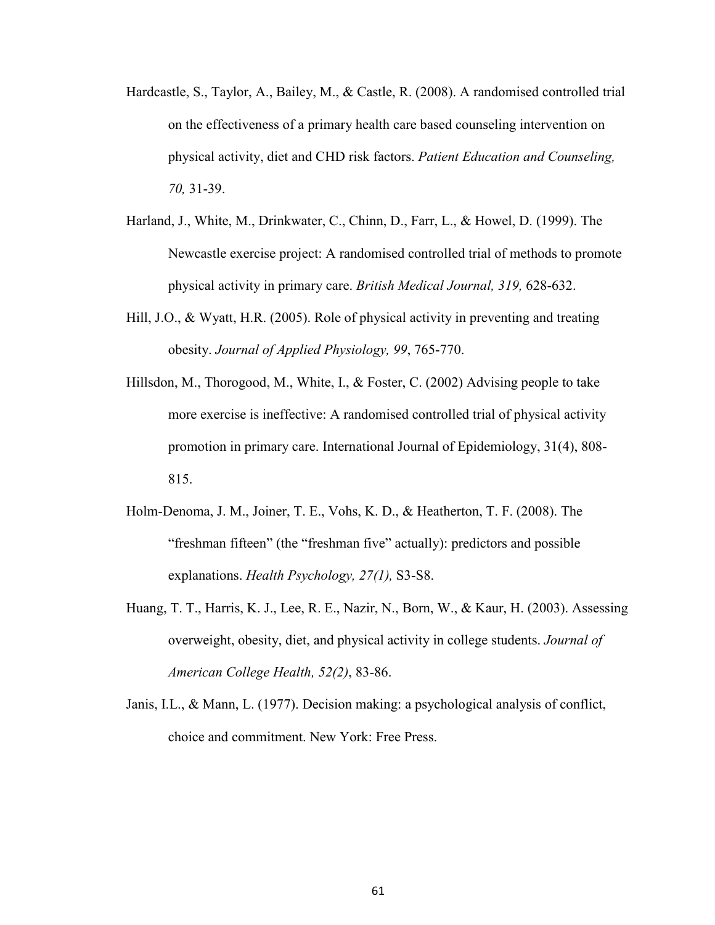- Hardcastle, S., Taylor, A., Bailey, M., & Castle, R. (2008). A randomised controlled trial on the effectiveness of a primary health care based counseling intervention on physical activity, diet and CHD risk factors. *Patient Education and Counseling, 70,* 31-39.
- Harland, J., White, M., Drinkwater, C., Chinn, D., Farr, L., & Howel, D. (1999). The Newcastle exercise project: A randomised controlled trial of methods to promote physical activity in primary care. *British Medical Journal, 319,* 628-632.
- Hill, J.O., & Wyatt, H.R. (2005). Role of physical activity in preventing and treating obesity. *Journal of Applied Physiology, 99*, 765-770.
- Hillsdon, M., Thorogood, M., White, I., & Foster, C. (2002) Advising people to take more exercise is ineffective: A randomised controlled trial of physical activity promotion in primary care. International Journal of Epidemiology, 31(4), 808- 815.
- Holm-Denoma, J. M., Joiner, T. E., Vohs, K. D., & Heatherton, T. F. (2008). The "freshman fifteen" (the "freshman five" actually): predictors and possible explanations. *Health Psychology, 27(1),* S3-S8.
- Huang, T. T., Harris, K. J., Lee, R. E., Nazir, N., Born, W., & Kaur, H. (2003). Assessing overweight, obesity, diet, and physical activity in college students. *Journal of American College Health, 52(2)*, 83-86.
- Janis, I.L., & Mann, L. (1977). Decision making: a psychological analysis of conflict, choice and commitment. New York: Free Press.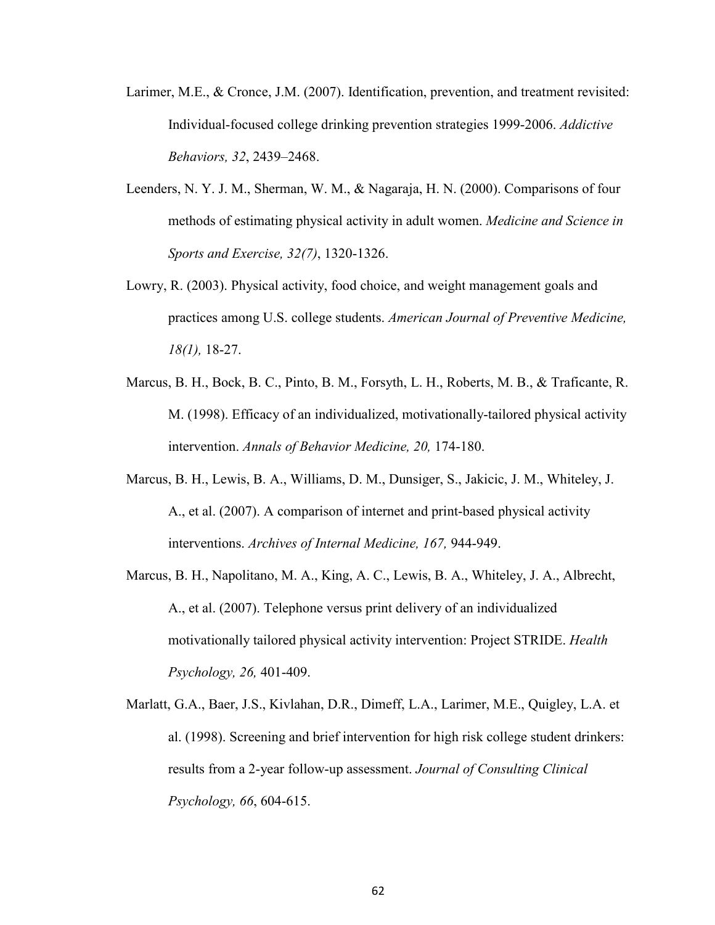- Larimer, M.E., & Cronce, J.M. (2007). Identification, prevention, and treatment revisited: Individual-focused college drinking prevention strategies 1999-2006. *Addictive Behaviors, 32*, 2439–2468.
- Leenders, N. Y. J. M., Sherman, W. M., & Nagaraja, H. N. (2000). Comparisons of four methods of estimating physical activity in adult women. *Medicine and Science in Sports and Exercise, 32(7)*, 1320-1326.
- Lowry, R. (2003). Physical activity, food choice, and weight management goals and practices among U.S. college students. *American Journal of Preventive Medicine, 18(1),* 18-27.
- Marcus, B. H., Bock, B. C., Pinto, B. M., Forsyth, L. H., Roberts, M. B., & Traficante, R. M. (1998). Efficacy of an individualized, motivationally-tailored physical activity intervention. *Annals of Behavior Medicine, 20,* 174-180.
- Marcus, B. H., Lewis, B. A., Williams, D. M., Dunsiger, S., Jakicic, J. M., Whiteley, J. A., et al. (2007). A comparison of internet and print-based physical activity interventions. *Archives of Internal Medicine, 167,* 944-949.
- Marcus, B. H., Napolitano, M. A., King, A. C., Lewis, B. A., Whiteley, J. A., Albrecht, A., et al. (2007). Telephone versus print delivery of an individualized motivationally tailored physical activity intervention: Project STRIDE. *Health Psychology, 26,* 401-409.
- Marlatt, G.A., Baer, J.S., Kivlahan, D.R., Dimeff, L.A., Larimer, M.E., Quigley, L.A. et al. (1998). Screening and brief intervention for high risk college student drinkers: results from a 2-year follow-up assessment. *Journal of Consulting Clinical Psychology, 66*, 604-615.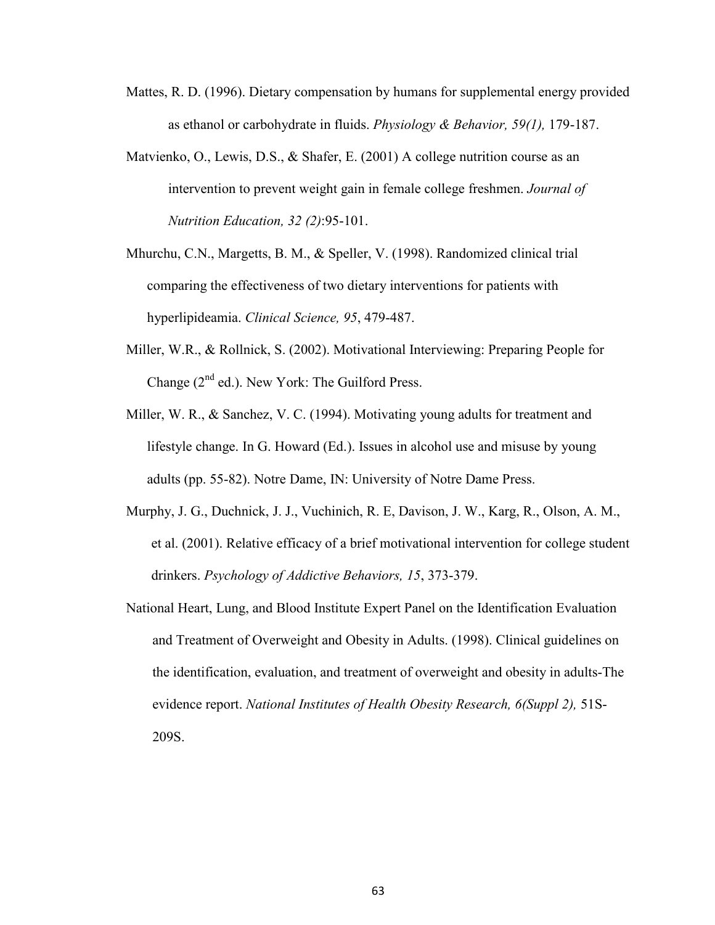- Mattes, R. D. (1996). Dietary compensation by humans for supplemental energy provided as ethanol or carbohydrate in fluids. *Physiology & Behavior, 59(1),* 179-187.
- Matvienko, O., Lewis, D.S., & Shafer, E. (2001) A college nutrition course as an intervention to prevent weight gain in female college freshmen. *Journal of Nutrition Education, 32 (2)*:95-101.
- Mhurchu, C.N., Margetts, B. M., & Speller, V. (1998). Randomized clinical trial comparing the effectiveness of two dietary interventions for patients with hyperlipideamia. *Clinical Science, 95*, 479-487.
- Miller, W.R., & Rollnick, S. (2002). Motivational Interviewing: Preparing People for Change  $(2^{nd}$  ed.). New York: The Guilford Press.
- Miller, W. R., & Sanchez, V. C. (1994). Motivating young adults for treatment and lifestyle change. In G. Howard (Ed.). Issues in alcohol use and misuse by young adults (pp. 55-82). Notre Dame, IN: University of Notre Dame Press.
- Murphy, J. G., Duchnick, J. J., Vuchinich, R. E, Davison, J. W., Karg, R., Olson, A. M., et al. (2001). Relative efficacy of a brief motivational intervention for college student drinkers. *Psychology of Addictive Behaviors, 15*, 373-379.
- National Heart, Lung, and Blood Institute Expert Panel on the Identification Evaluation and Treatment of Overweight and Obesity in Adults. (1998). Clinical guidelines on the identification, evaluation, and treatment of overweight and obesity in adults-The evidence report. *National Institutes of Health Obesity Research, 6(Suppl 2),* 51S-209S.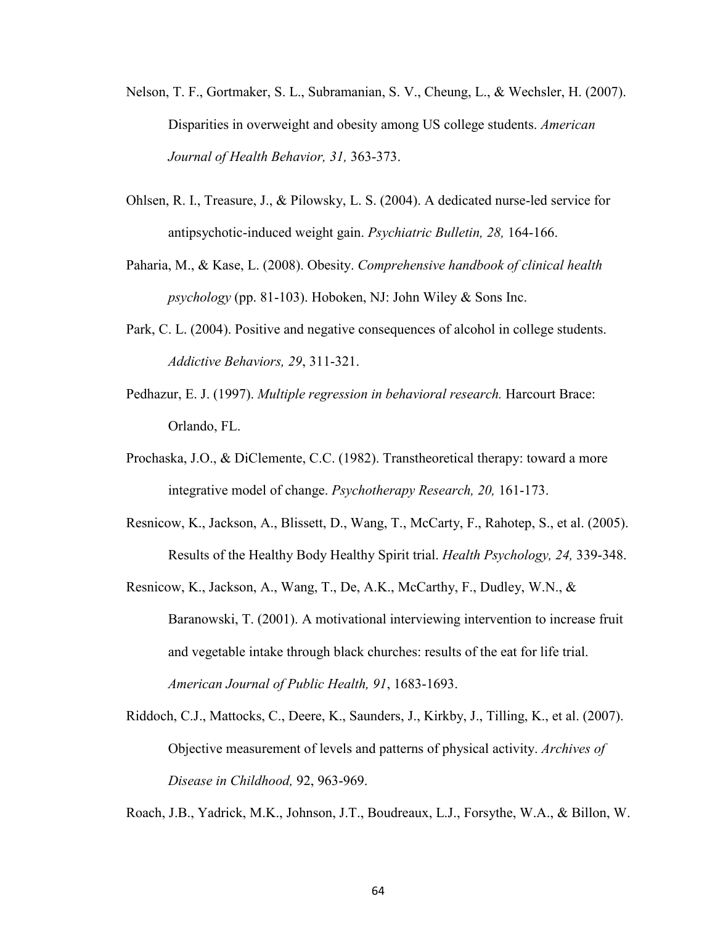- Nelson, T. F., Gortmaker, S. L., Subramanian, S. V., Cheung, L., & Wechsler, H. (2007). Disparities in overweight and obesity among US college students. *American Journal of Health Behavior, 31,* 363-373.
- Ohlsen, R. I., Treasure, J., & Pilowsky, L. S. (2004). A dedicated nurse-led service for antipsychotic-induced weight gain. *Psychiatric Bulletin, 28,* 164-166.
- Paharia, M., & Kase, L. (2008). Obesity. *Comprehensive handbook of clinical health psychology* (pp. 81-103). Hoboken, NJ: John Wiley & Sons Inc.
- Park, C. L. (2004). Positive and negative consequences of alcohol in college students. *Addictive Behaviors, 29*, 311-321.
- Pedhazur, E. J. (1997). *Multiple regression in behavioral research.* Harcourt Brace: Orlando, FL.
- Prochaska, J.O., & DiClemente, C.C. (1982). Transtheoretical therapy: toward a more integrative model of change. *Psychotherapy Research, 20,* 161-173.
- Resnicow, K., Jackson, A., Blissett, D., Wang, T., McCarty, F., Rahotep, S., et al. (2005). Results of the Healthy Body Healthy Spirit trial. *Health Psychology, 24,* 339-348.
- Resnicow, K., Jackson, A., Wang, T., De, A.K., McCarthy, F., Dudley, W.N., & Baranowski, T. (2001). A motivational interviewing intervention to increase fruit and vegetable intake through black churches: results of the eat for life trial. *American Journal of Public Health, 91*, 1683-1693.
- Riddoch, C.J., Mattocks, C., Deere, K., Saunders, J., Kirkby, J., Tilling, K., et al. (2007). Objective measurement of levels and patterns of physical activity. *Archives of Disease in Childhood,* 92, 963-969.

Roach, J.B., Yadrick, M.K., Johnson, J.T., Boudreaux, L.J., Forsythe, W.A., & Billon, W.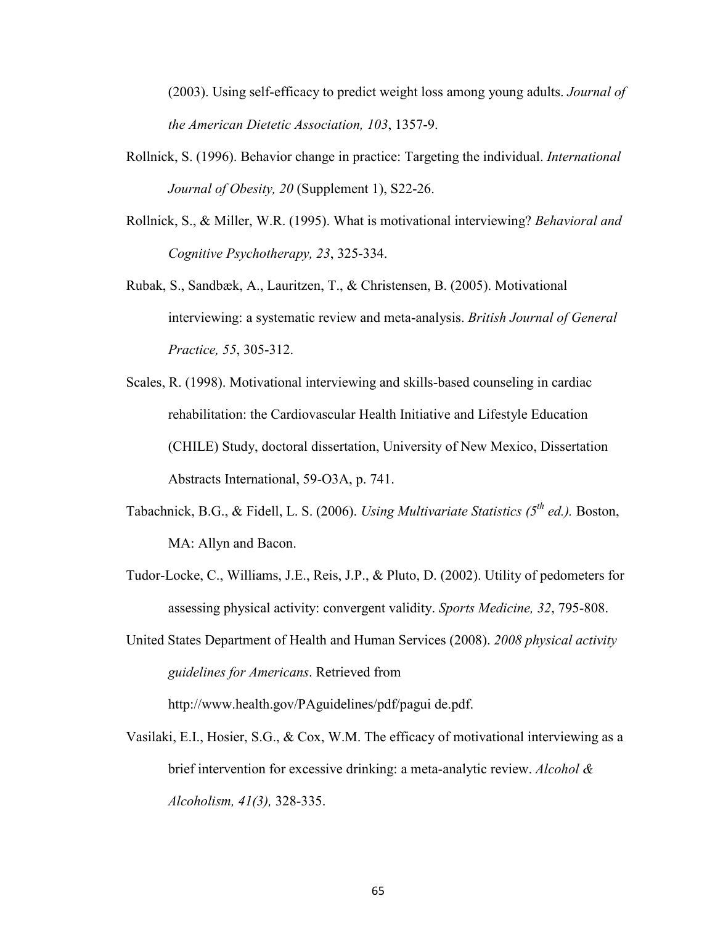(2003). Using self-efficacy to predict weight loss among young adults. *Journal of the American Dietetic Association, 103*, 1357-9.

- Rollnick, S. (1996). Behavior change in practice: Targeting the individual. *International Journal of Obesity, 20* (Supplement 1), S22-26.
- Rollnick, S., & Miller, W.R. (1995). What is motivational interviewing? *Behavioral and Cognitive Psychotherapy, 23*, 325-334.
- Rubak, S., Sandbæk, A., Lauritzen, T., & Christensen, B. (2005). Motivational interviewing: a systematic review and meta-analysis. *British Journal of General Practice, 55*, 305-312.
- Scales, R. (1998). Motivational interviewing and skills-based counseling in cardiac rehabilitation: the Cardiovascular Health Initiative and Lifestyle Education (CHILE) Study, doctoral dissertation, University of New Mexico, Dissertation Abstracts International, 59-O3A, p. 741.
- Tabachnick, B.G., & Fidell, L. S. (2006). *Using Multivariate Statistics (5th ed.).* Boston, MA: Allyn and Bacon.
- Tudor-Locke, C., Williams, J.E., Reis, J.P., & Pluto, D. (2002). Utility of pedometers for assessing physical activity: convergent validity. *Sports Medicine, 32*, 795-808.
- United States Department of Health and Human Services (2008). *2008 physical activity guidelines for Americans*. Retrieved from

http://www.health.gov/PAguidelines/pdf/pagui de.pdf.

Vasilaki, E.I., Hosier, S.G., & Cox, W.M. The efficacy of motivational interviewing as a brief intervention for excessive drinking: a meta-analytic review. *Alcohol & Alcoholism, 41(3),* 328-335.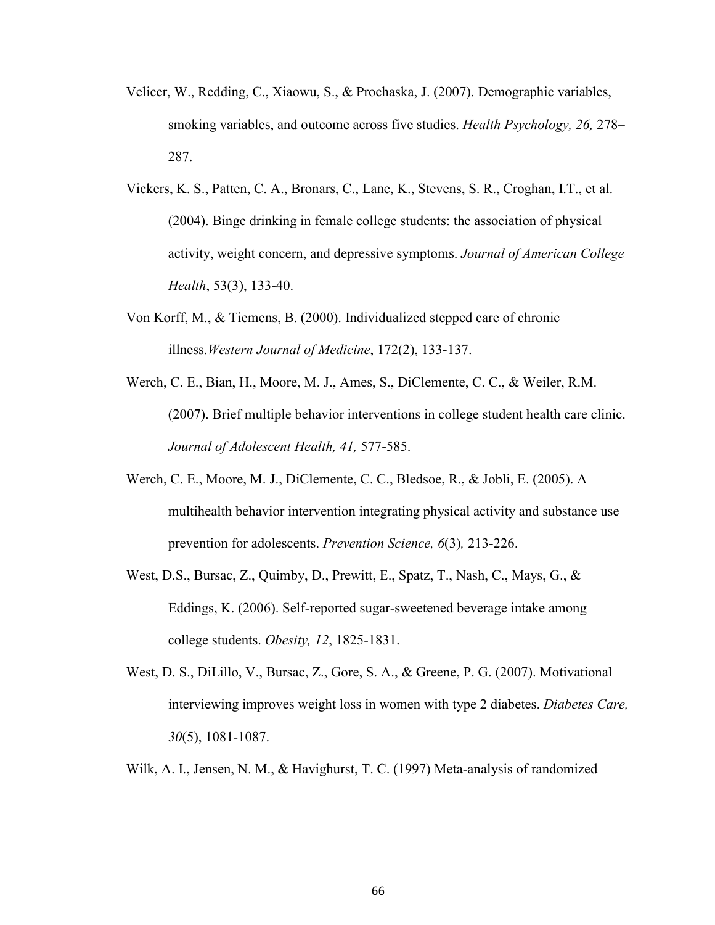- Velicer, W., Redding, C., Xiaowu, S., & Prochaska, J. (2007). Demographic variables, smoking variables, and outcome across five studies. *Health Psychology, 26,* 278– 287.
- Vickers, K. S., Patten, C. A., Bronars, C., Lane, K., Stevens, S. R., Croghan, I.T., et al. (2004). Binge drinking in female college students: the association of physical activity, weight concern, and depressive symptoms. *Journal of American College Health*, 53(3), 133-40.
- Von Korff, M., & Tiemens, B. (2000). Individualized stepped care of chronic illness.*Western Journal of Medicine*, 172(2), 133-137.
- Werch, C. E., Bian, H., Moore, M. J., Ames, S., DiClemente, C. C., & Weiler, R.M. (2007). Brief multiple behavior interventions in college student health care clinic. *Journal of Adolescent Health, 41,* 577-585.
- Werch, C. E., Moore, M. J., DiClemente, C. C., Bledsoe, R., & Jobli, E. (2005). A multihealth behavior intervention integrating physical activity and substance use prevention for adolescents. *Prevention Science, 6*(3)*,* 213-226.
- West, D.S., Bursac, Z., Quimby, D., Prewitt, E., Spatz, T., Nash, C., Mays, G., & Eddings, K. (2006). Self-reported sugar-sweetened beverage intake among college students. *Obesity, 12*, 1825-1831.
- West, D. S., DiLillo, V., Bursac, Z., Gore, S. A., & Greene, P. G. (2007). Motivational interviewing improves weight loss in women with type 2 diabetes. *Diabetes Care, 30*(5), 1081-1087.
- Wilk, A. I., Jensen, N. M., & Havighurst, T. C. (1997) Meta-analysis of randomized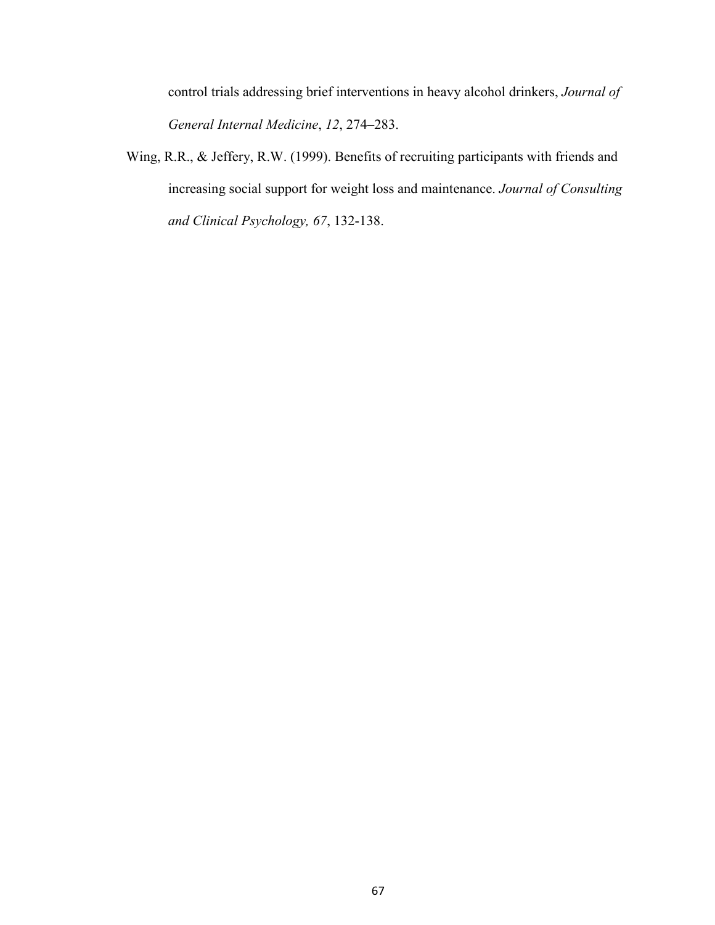control trials addressing brief interventions in heavy alcohol drinkers, *Journal of General Internal Medicine*, *12*, 274–283.

Wing, R.R., & Jeffery, R.W. (1999). Benefits of recruiting participants with friends and increasing social support for weight loss and maintenance. *Journal of Consulting and Clinical Psychology, 67*, 132-138.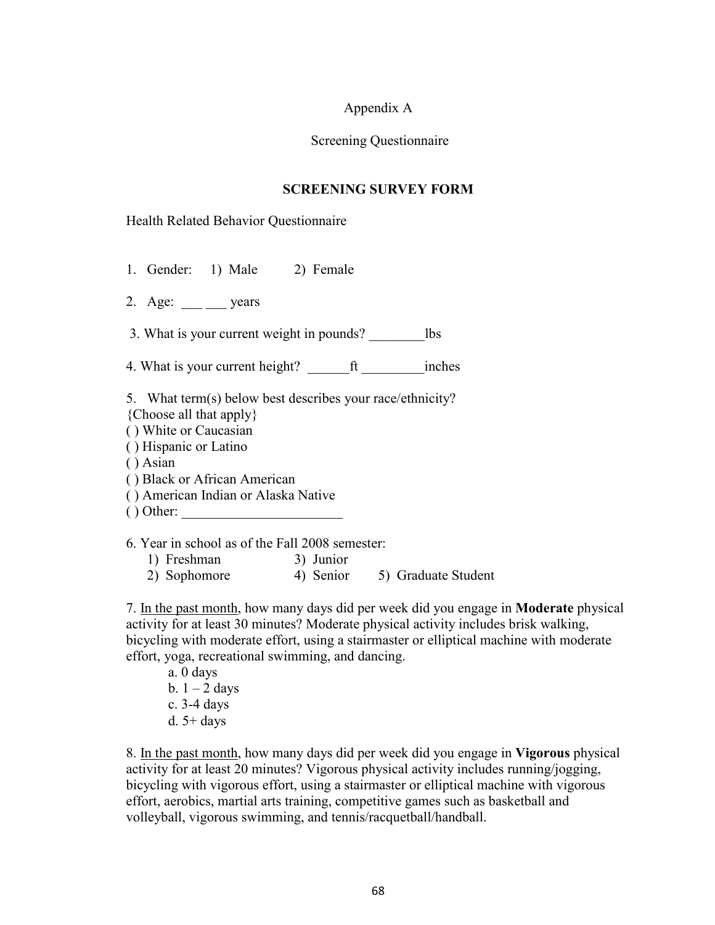### Appendix A

### Screening Questionnaire

### **SCREENING SURVEY FORM**

### Health Related Behavior Questionnaire

- 1. Gender: 1) Male 2) Female
- 2. Age:  $\_\_\_\_\_\_\_\$  years

3. What is your current weight in pounds? lbs

4. What is your current height? \_\_\_\_\_\_ft \_\_\_\_\_\_\_\_\_inches

5. What term(s) below best describes your race/ethnicity? {Choose all that apply}

- ( ) White or Caucasian
- ( ) Hispanic or Latino
- ( ) Asian
- ( ) Black or African American
- ( ) American Indian or Alaska Native
- ( ) Other: \_\_\_\_\_\_\_\_\_\_\_\_\_\_\_\_\_\_\_\_\_\_\_

6. Year in school as of the Fall 2008 semester:

- 1) Freshman 3) Junior
- 2) Sophomore 4) Senior 5) Graduate Student

7. In the past month, how many days did per week did you engage in **Moderate** physical activity for at least 30 minutes? Moderate physical activity includes brisk walking, bicycling with moderate effort, using a stairmaster or elliptical machine with moderate effort, yoga, recreational swimming, and dancing.

 a. 0 days b.  $1 - 2$  days c. 3-4 days d.  $5+$  days

8. In the past month, how many days did per week did you engage in **Vigorous** physical activity for at least 20 minutes? Vigorous physical activity includes running/jogging, bicycling with vigorous effort, using a stairmaster or elliptical machine with vigorous effort, aerobics, martial arts training, competitive games such as basketball and volleyball, vigorous swimming, and tennis/racquetball/handball.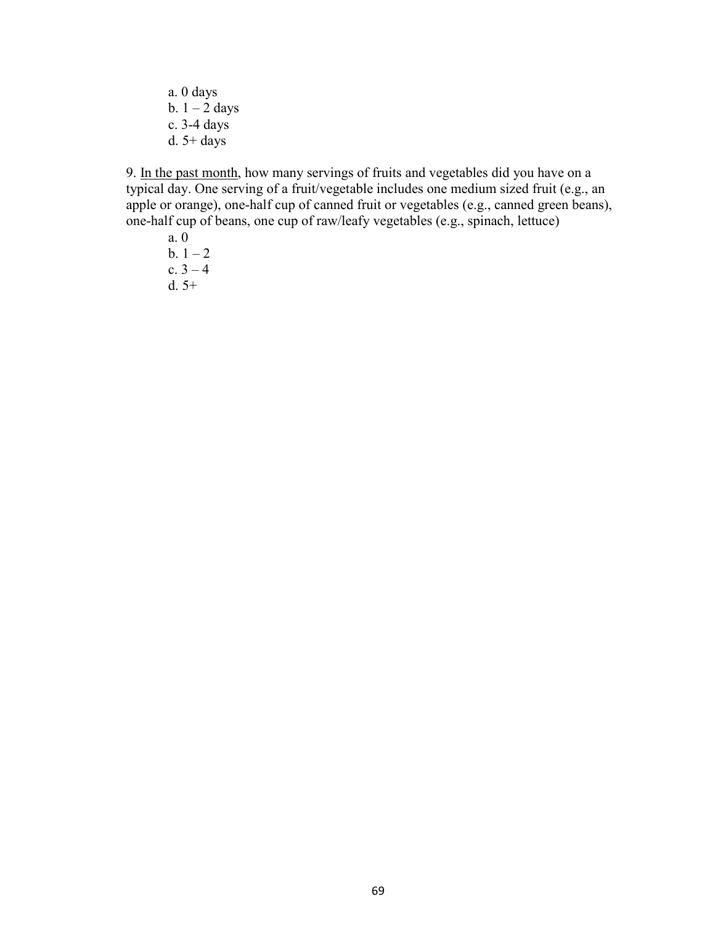a. 0 days b.  $1 - 2$  days c. 3-4 days d. 5+ days

9. In the past month, how many servings of fruits and vegetables did you have on a typical day. One serving of a fruit/vegetable includes one medium sized fruit (e.g., an apple or orange), one-half cup of canned fruit or vegetables (e.g., canned green beans), one-half cup of beans, one cup of raw/leafy vegetables (e.g., spinach, lettuce)

 a. 0  $b. 1 - 2$ c.  $3 - 4$ d. 5+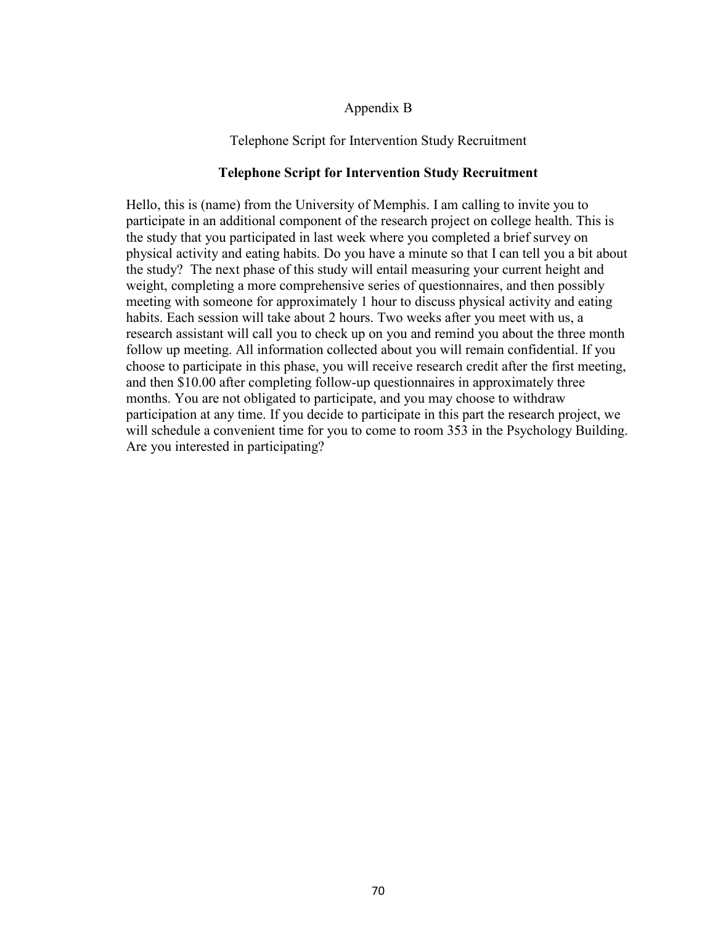### Appendix B

### Telephone Script for Intervention Study Recruitment

### **Telephone Script for Intervention Study Recruitment**

Hello, this is (name) from the University of Memphis. I am calling to invite you to participate in an additional component of the research project on college health. This is the study that you participated in last week where you completed a brief survey on physical activity and eating habits. Do you have a minute so that I can tell you a bit about the study? The next phase of this study will entail measuring your current height and weight, completing a more comprehensive series of questionnaires, and then possibly meeting with someone for approximately 1 hour to discuss physical activity and eating habits. Each session will take about 2 hours. Two weeks after you meet with us, a research assistant will call you to check up on you and remind you about the three month follow up meeting. All information collected about you will remain confidential. If you choose to participate in this phase, you will receive research credit after the first meeting, and then \$10.00 after completing follow-up questionnaires in approximately three months. You are not obligated to participate, and you may choose to withdraw participation at any time. If you decide to participate in this part the research project, we will schedule a convenient time for you to come to room 353 in the Psychology Building. Are you interested in participating?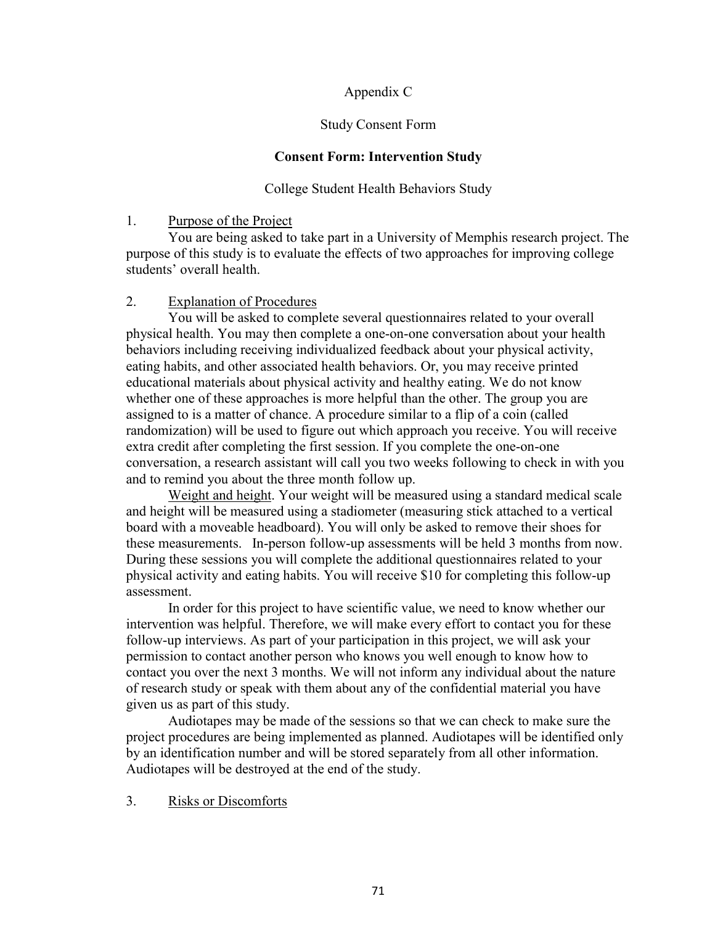### Appendix C

### Study Consent Form

### **Consent Form: Intervention Study**

### College Student Health Behaviors Study

### 1. Purpose of the Project

 You are being asked to take part in a University of Memphis research project. The purpose of this study is to evaluate the effects of two approaches for improving college students' overall health.

### 2. Explanation of Procedures

 You will be asked to complete several questionnaires related to your overall physical health. You may then complete a one-on-one conversation about your health behaviors including receiving individualized feedback about your physical activity, eating habits, and other associated health behaviors. Or, you may receive printed educational materials about physical activity and healthy eating. We do not know whether one of these approaches is more helpful than the other. The group you are assigned to is a matter of chance. A procedure similar to a flip of a coin (called randomization) will be used to figure out which approach you receive. You will receive extra credit after completing the first session. If you complete the one-on-one conversation, a research assistant will call you two weeks following to check in with you and to remind you about the three month follow up.

 Weight and height. Your weight will be measured using a standard medical scale and height will be measured using a stadiometer (measuring stick attached to a vertical board with a moveable headboard). You will only be asked to remove their shoes for these measurements. In-person follow-up assessments will be held 3 months from now. During these sessions you will complete the additional questionnaires related to your physical activity and eating habits. You will receive \$10 for completing this follow-up assessment.

In order for this project to have scientific value, we need to know whether our intervention was helpful. Therefore, we will make every effort to contact you for these follow-up interviews. As part of your participation in this project, we will ask your permission to contact another person who knows you well enough to know how to contact you over the next 3 months. We will not inform any individual about the nature of research study or speak with them about any of the confidential material you have given us as part of this study.

 Audiotapes may be made of the sessions so that we can check to make sure the project procedures are being implemented as planned. Audiotapes will be identified only by an identification number and will be stored separately from all other information. Audiotapes will be destroyed at the end of the study.

### 3. Risks or Discomforts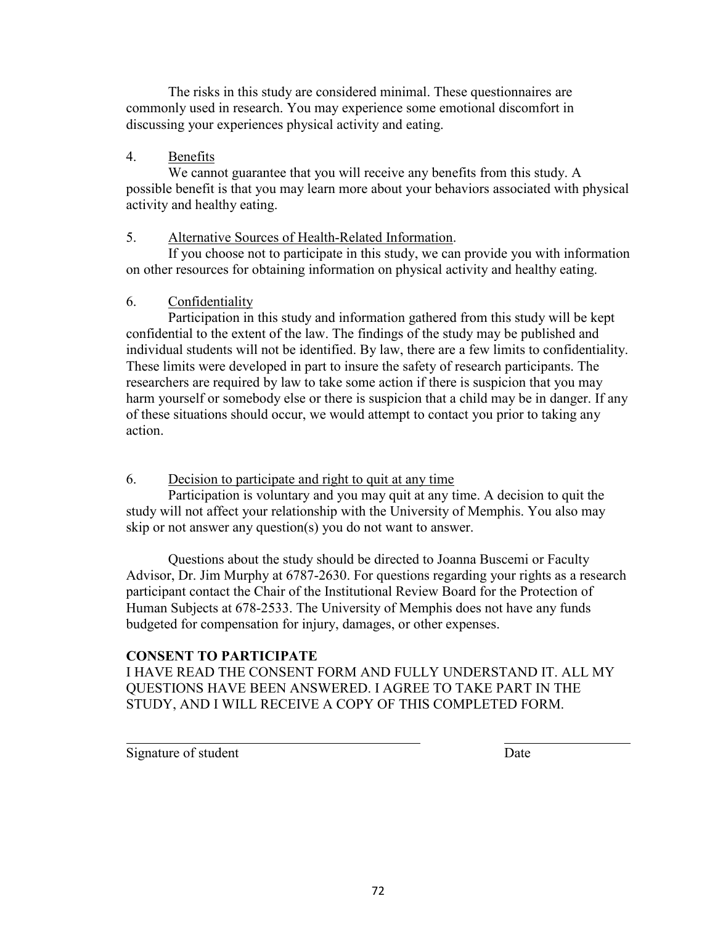The risks in this study are considered minimal. These questionnaires are commonly used in research. You may experience some emotional discomfort in discussing your experiences physical activity and eating.

### 4. Benefits

 We cannot guarantee that you will receive any benefits from this study. A possible benefit is that you may learn more about your behaviors associated with physical activity and healthy eating.

### 5. Alternative Sources of Health-Related Information.

 If you choose not to participate in this study, we can provide you with information on other resources for obtaining information on physical activity and healthy eating.

### 6. Confidentiality

 Participation in this study and information gathered from this study will be kept confidential to the extent of the law. The findings of the study may be published and individual students will not be identified. By law, there are a few limits to confidentiality. These limits were developed in part to insure the safety of research participants. The researchers are required by law to take some action if there is suspicion that you may harm yourself or somebody else or there is suspicion that a child may be in danger. If any of these situations should occur, we would attempt to contact you prior to taking any action.

### 6. Decision to participate and right to quit at any time

 Participation is voluntary and you may quit at any time. A decision to quit the study will not affect your relationship with the University of Memphis. You also may skip or not answer any question(s) you do not want to answer.

 Questions about the study should be directed to Joanna Buscemi or Faculty Advisor, Dr. Jim Murphy at 6787-2630. For questions regarding your rights as a research participant contact the Chair of the Institutional Review Board for the Protection of Human Subjects at 678-2533. The University of Memphis does not have any funds budgeted for compensation for injury, damages, or other expenses.

### **CONSENT TO PARTICIPATE**

I HAVE READ THE CONSENT FORM AND FULLY UNDERSTAND IT. ALL MY QUESTIONS HAVE BEEN ANSWERED. I AGREE TO TAKE PART IN THE STUDY, AND I WILL RECEIVE A COPY OF THIS COMPLETED FORM.

Signature of student Date

 $\overline{a}$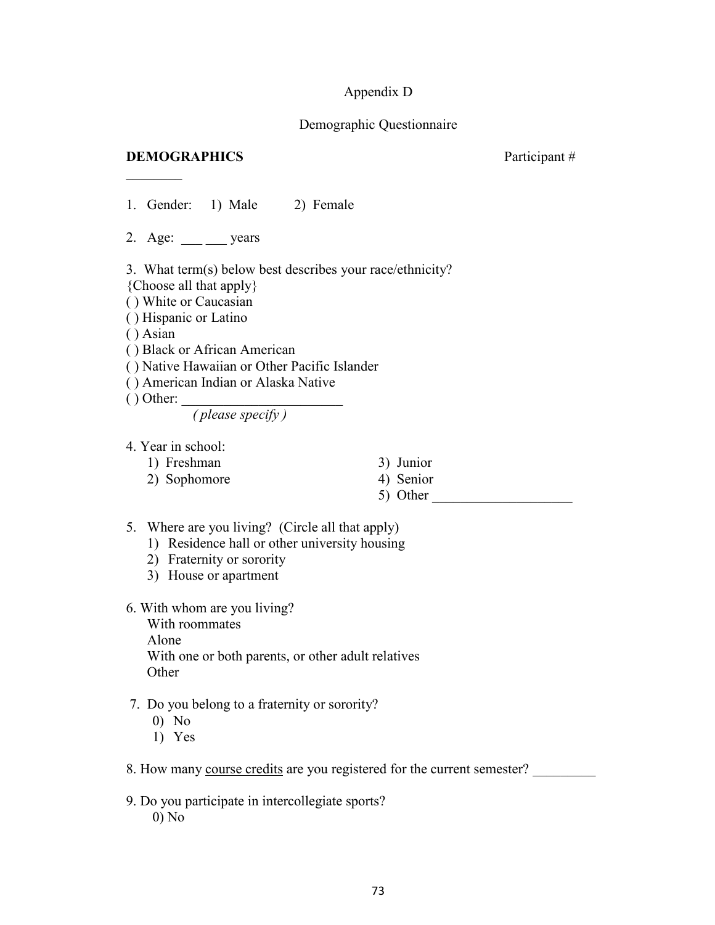### Appendix D

### Demographic Questionnaire

### **DEMOGRAPHICS** Participant #

 $\frac{1}{2}$ 

1. Gender: 1) Male 2) Female

2. Age: years

3. What term(s) below best describes your race/ethnicity?

{Choose all that apply}

( ) White or Caucasian

( ) Hispanic or Latino

( ) Asian

( ) Black or African American

( ) Native Hawaiian or Other Pacific Islander

( ) American Indian or Alaska Native

 $( )$  Other:  $\_$ 

*( please specify )*

- 4. Year in school:
	- 1) Freshman 3) Junior

2) Sophomore 4) Senior

- 
- 5) Other
- 5. Where are you living? (Circle all that apply)
	- 1) Residence hall or other university housing
	- 2) Fraternity or sorority
	- 3) House or apartment
- 6. With whom are you living?

With roommates Alone With one or both parents, or other adult relatives **Other** 

- 7. Do you belong to a fraternity or sorority?
	- 0) No
	- 1) Yes
- 8. How many course credits are you registered for the current semester?
- 9. Do you participate in intercollegiate sports? 0) No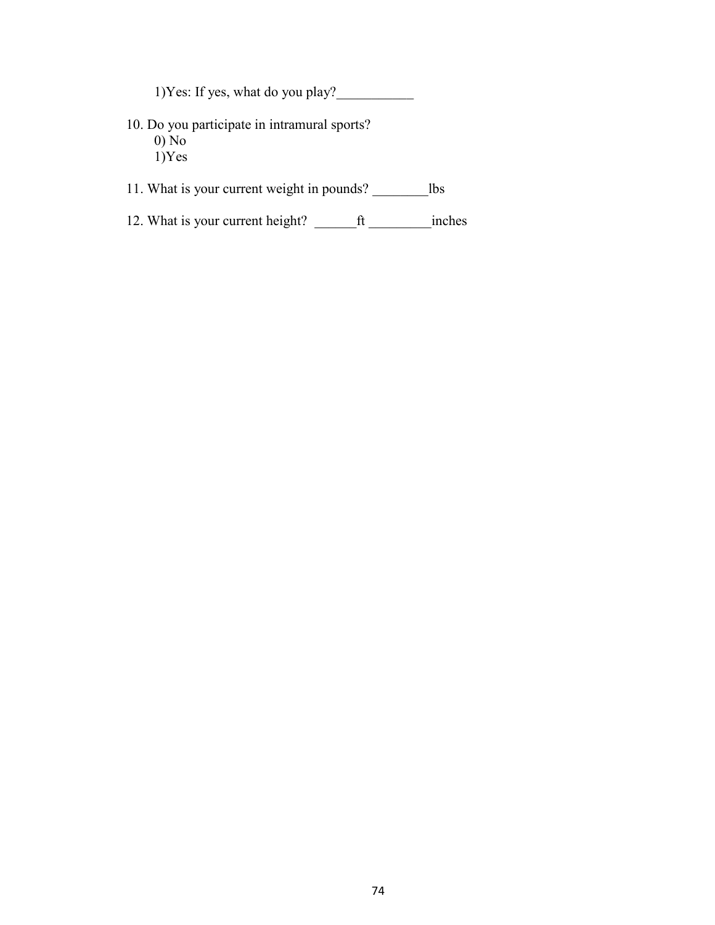1)Yes: If yes, what do you play?

- 10. Do you participate in intramural sports? 0) No  $1)$ Yes
- 11. What is your current weight in pounds? \_\_\_\_\_\_\_\_lbs
- 12. What is your current height? \_\_\_\_\_\_\_\_ft \_\_\_\_\_\_\_\_\_\_inches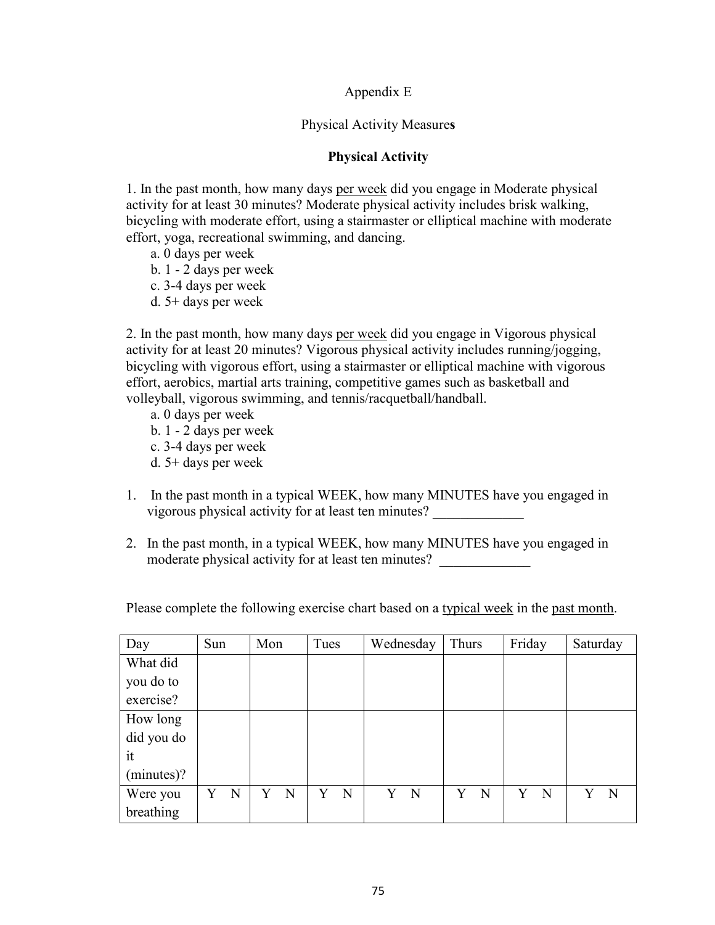### Appendix E

### Physical Activity Measure**s**

### **Physical Activity**

1. In the past month, how many days per week did you engage in Moderate physical activity for at least 30 minutes? Moderate physical activity includes brisk walking, bicycling with moderate effort, using a stairmaster or elliptical machine with moderate effort, yoga, recreational swimming, and dancing.

- a. 0 days per week
- b. 1 2 days per week
- c. 3-4 days per week
- d. 5+ days per week

2. In the past month, how many days per week did you engage in Vigorous physical activity for at least 20 minutes? Vigorous physical activity includes running/jogging, bicycling with vigorous effort, using a stairmaster or elliptical machine with vigorous effort, aerobics, martial arts training, competitive games such as basketball and volleyball, vigorous swimming, and tennis/racquetball/handball.

- a. 0 days per week
- b. 1 2 days per week
- c. 3-4 days per week
- d. 5+ days per week
- 1. In the past month in a typical WEEK, how many MINUTES have you engaged in vigorous physical activity for at least ten minutes? \_\_\_\_\_\_\_\_\_\_\_\_\_
- 2. In the past month, in a typical WEEK, how many MINUTES have you engaged in moderate physical activity for at least ten minutes?

Please complete the following exercise chart based on a typical week in the past month.

| Day        | Sun |   | Mon |   | Tues |   | Wednesday |             | Thurs |   | Friday |   | Saturday |   |
|------------|-----|---|-----|---|------|---|-----------|-------------|-------|---|--------|---|----------|---|
| What did   |     |   |     |   |      |   |           |             |       |   |        |   |          |   |
| you do to  |     |   |     |   |      |   |           |             |       |   |        |   |          |   |
| exercise?  |     |   |     |   |      |   |           |             |       |   |        |   |          |   |
| How long   |     |   |     |   |      |   |           |             |       |   |        |   |          |   |
| did you do |     |   |     |   |      |   |           |             |       |   |        |   |          |   |
| it         |     |   |     |   |      |   |           |             |       |   |        |   |          |   |
| (minutes)? |     |   |     |   |      |   |           |             |       |   |        |   |          |   |
| Were you   | Y   | N | Y   | N | Y    | N | Y         | $\mathbf N$ | Y     | N | Y      | N | Y        | N |
| breathing  |     |   |     |   |      |   |           |             |       |   |        |   |          |   |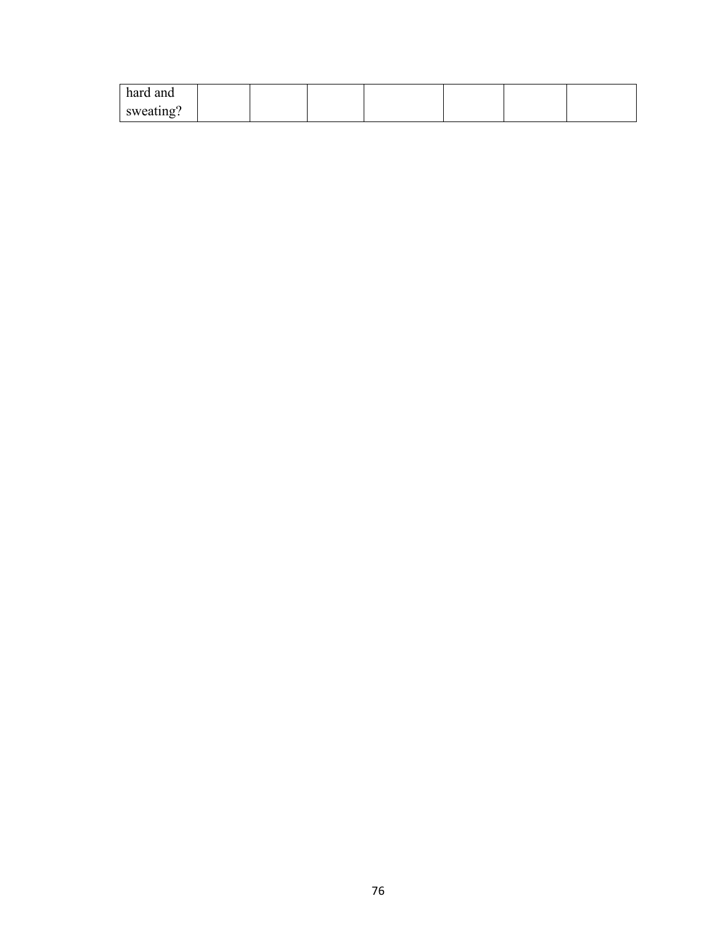| hard and  |  |  |  |  |
|-----------|--|--|--|--|
| sweating? |  |  |  |  |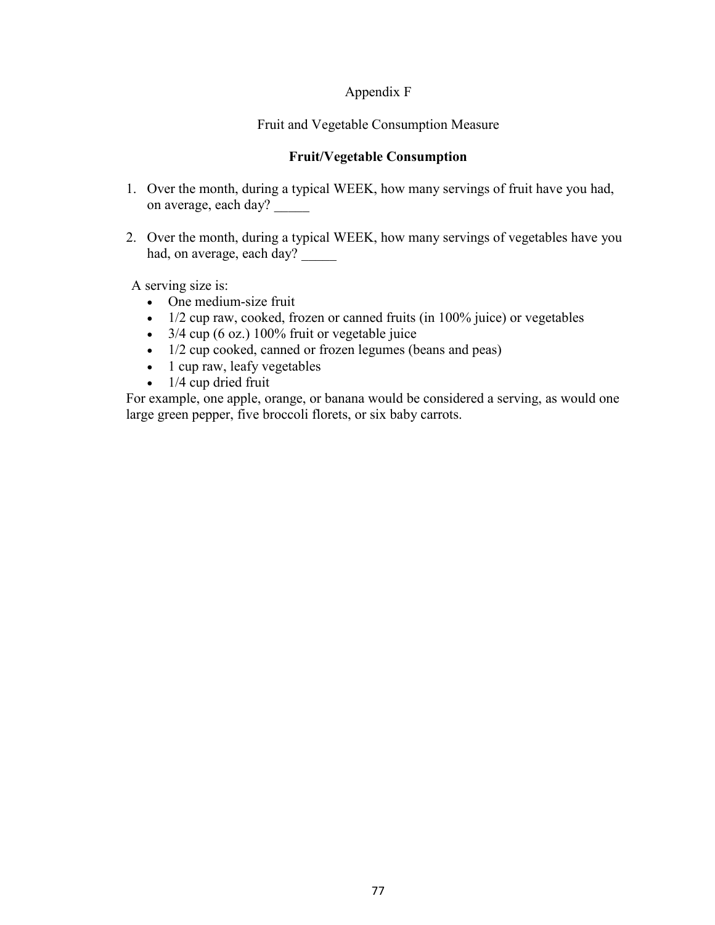### Appendix F

Fruit and Vegetable Consumption Measure

### **Fruit/Vegetable Consumption**

- 1. Over the month, during a typical WEEK, how many servings of fruit have you had, on average, each day?
- 2. Over the month, during a typical WEEK, how many servings of vegetables have you had, on average, each day?

A serving size is:

- One medium-size fruit
- 1/2 cup raw, cooked, frozen or canned fruits (in 100% juice) or vegetables
- $3/4$  cup (6 oz.) 100% fruit or vegetable juice
- 1/2 cup cooked, canned or frozen legumes (beans and peas)
- 1 cup raw, leafy vegetables
- $\bullet$  1/4 cup dried fruit

For example, one apple, orange, or banana would be considered a serving, as would one large green pepper, five broccoli florets, or six baby carrots.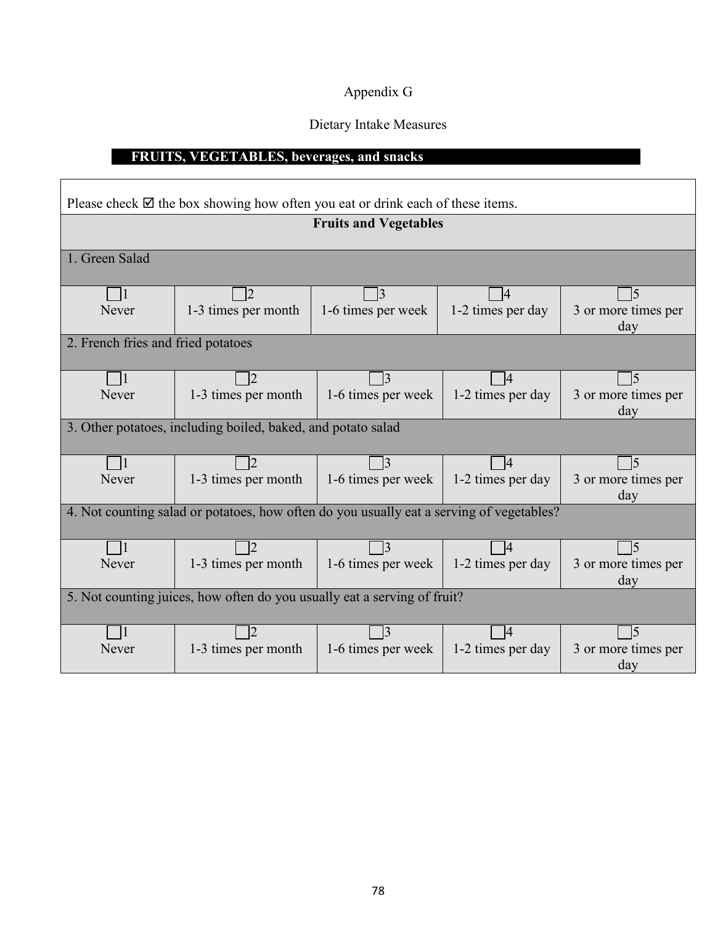### Appendix G

### Dietary Intake Measures

### **FRUITS, VEGETABLES, beverages, and snacks**

 $\overline{\Gamma}$ 

|                                                              | Please check $\boxtimes$ the box showing how often you eat or drink each of these items. |                              |                   |                            |  |  |  |  |
|--------------------------------------------------------------|------------------------------------------------------------------------------------------|------------------------------|-------------------|----------------------------|--|--|--|--|
|                                                              |                                                                                          | <b>Fruits and Vegetables</b> |                   |                            |  |  |  |  |
| 1. Green Salad                                               |                                                                                          |                              |                   |                            |  |  |  |  |
| -11                                                          | $\overline{2}$                                                                           | $\vert 3 \vert$              | $\Box$            | 15                         |  |  |  |  |
| Never                                                        | 1-3 times per month                                                                      | 1-6 times per week           | 1-2 times per day | 3 or more times per<br>day |  |  |  |  |
| 2. French fries and fried potatoes                           |                                                                                          |                              |                   |                            |  |  |  |  |
|                                                              |                                                                                          |                              |                   |                            |  |  |  |  |
|                                                              |                                                                                          | $\vert 3 \vert$              | 14                | 15                         |  |  |  |  |
| Never                                                        | 1-3 times per month                                                                      | 1-6 times per week           | 1-2 times per day | 3 or more times per<br>day |  |  |  |  |
| 3. Other potatoes, including boiled, baked, and potato salad |                                                                                          |                              |                   |                            |  |  |  |  |
| $\Box$                                                       | 12                                                                                       | $\exists$ 3                  | $\overline{4}$    | <sup>5</sup>               |  |  |  |  |
| Never                                                        | 1-3 times per month                                                                      | 1-6 times per week           | 1-2 times per day | 3 or more times per<br>day |  |  |  |  |
|                                                              | 4. Not counting salad or potatoes, how often do you usually eat a serving of vegetables? |                              |                   |                            |  |  |  |  |
|                                                              | 2                                                                                        | $\vert 3 \vert$              | $\overline{4}$    | <sup>5</sup>               |  |  |  |  |
| Never                                                        | 1-3 times per month                                                                      | 1-6 times per week           | 1-2 times per day | 3 or more times per        |  |  |  |  |
|                                                              |                                                                                          |                              |                   | day                        |  |  |  |  |
|                                                              | 5. Not counting juices, how often do you usually eat a serving of fruit?                 |                              |                   |                            |  |  |  |  |
| $\vert$ 1                                                    | 2                                                                                        | $\overline{3}$               | $\vert 4 \vert$   | 15                         |  |  |  |  |
| Never                                                        | 1-3 times per month                                                                      | 1-6 times per week           | 1-2 times per day | 3 or more times per        |  |  |  |  |
|                                                              |                                                                                          |                              |                   | day                        |  |  |  |  |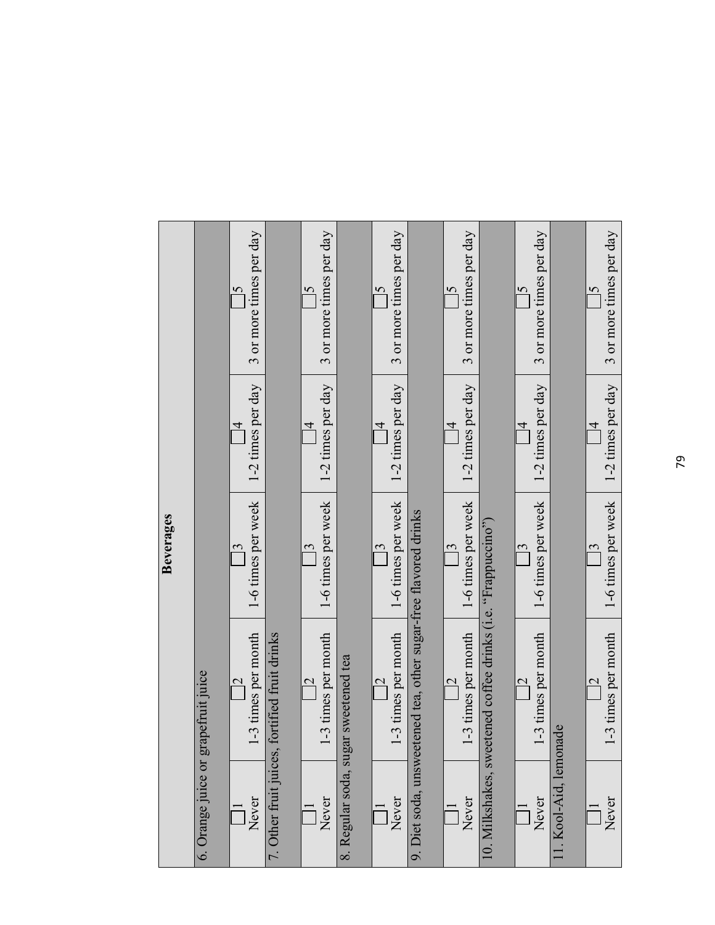|                                     |                                                                 | Beverages                                       |                                     |                                           |
|-------------------------------------|-----------------------------------------------------------------|-------------------------------------------------|-------------------------------------|-------------------------------------------|
| 6. Orange juice or grapefruit juice |                                                                 |                                                 |                                     |                                           |
| Never                               | -3 times per month<br>$\overline{\mathbf{C}}$                   | 1-6 times per week<br>$\overline{\mathfrak{c}}$ | 1-2 times per day<br>$\overline{4}$ | 3 or more times per day<br>$\overline{5}$ |
| 7. Other fruit juices,              | fortified fruit drinks                                          |                                                 |                                     |                                           |
| Never                               | -3 times per month<br>$\mathcal{C}$                             | 1-6 times per week<br>$\mathfrak{c}$            | 1-2 times per day<br>$\overline{4}$ | 3 or more times per day<br>$\overline{5}$ |
|                                     | 8. Regular soda, sugar sweetened tea                            |                                                 |                                     |                                           |
| Never                               | -3 times per month<br>$\mathrel{\sim}$                          | 1-6 times per week<br>$\mathbf{\hat{S}}$        | 1-2 times per day<br>$\overline{4}$ | 3 or more times per day<br>$\overline{6}$ |
|                                     | 9. Diet soda, unsweetened tea, other sugar-free flavored drinks |                                                 |                                     |                                           |
| Never                               | -3 times per month<br>$\overline{\mathbf{C}}$                   | 1-6 times per week<br>$\overline{\mathbf{c}}$   | 1-2 times per day<br>$\overline{4}$ | 3 or more times per day<br>$\overline{5}$ |
|                                     | 10. Milkshakes, sweetened coffee drinks (i.e. "Frappuccino")    |                                                 |                                     |                                           |
| Never                               | -3 times per month<br>$\overline{\mathbf{C}}$                   | 1-6 times per week                              | 1-2 times per day<br>$\overline{4}$ | 3 or more times per day<br>$\overline{5}$ |
| 11. Kool-Aid, lemonade              |                                                                 |                                                 |                                     |                                           |
| Never                               | -3 times per month<br>$\mathrel{\sim}$                          | 1-6 times per week<br>3                         | 1-2 times per day<br>$\overline{4}$ | 3 or more times per day<br>$\overline{5}$ |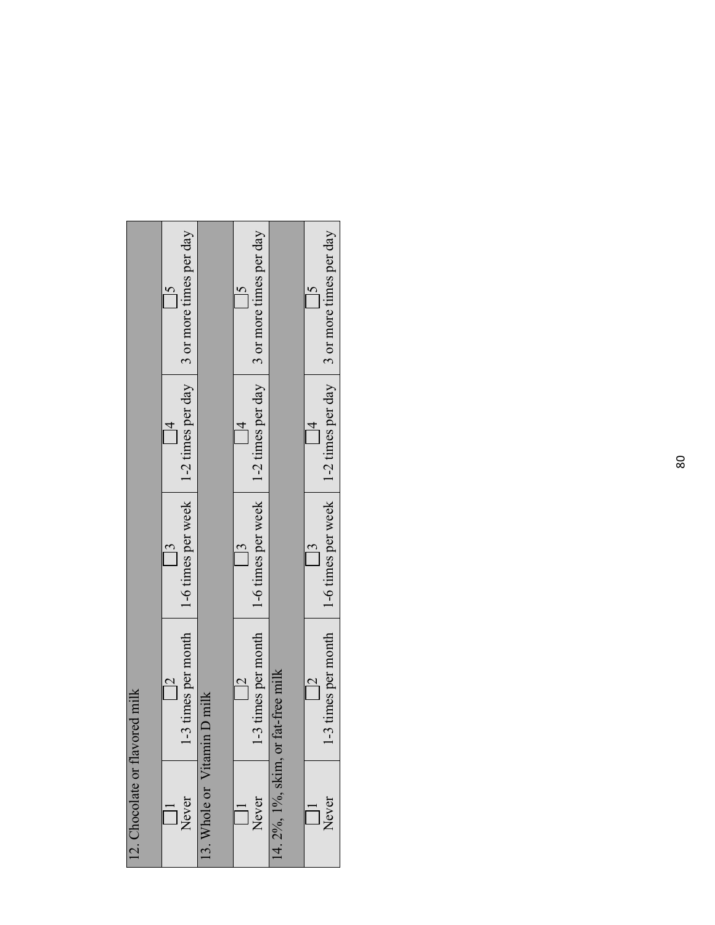| 12. Chocolate or flavored milk |                          |               |                                                                                                                                                                     |
|--------------------------------|--------------------------|---------------|---------------------------------------------------------------------------------------------------------------------------------------------------------------------|
| Never                          |                          |               | -3 times per month $\begin{vmatrix} 1 & -6 \\ 1 & -6 \end{vmatrix}$ times per week $\begin{vmatrix} 1 & -2 \\ 1 & -2 \end{vmatrix}$ times per day are times per day |
| 13. Whole or Vitamin           | n D milk                 |               |                                                                                                                                                                     |
| Never                          | $\overline{\mathcal{C}}$ |               | -3 times per month $\vert$ 1-6 times per week $\vert$ 1-2 times per day $\vert$ 3 or more times per day                                                             |
| $14.2\%$ , $1\%$ , skim, or    | fat-free milk            |               |                                                                                                                                                                     |
| Never                          |                          | $\frac{3}{2}$ | -3 times per month $\vert$ 1-6 times per week $\vert$ 1-2 times per day $\vert$ 3 or more times per day                                                             |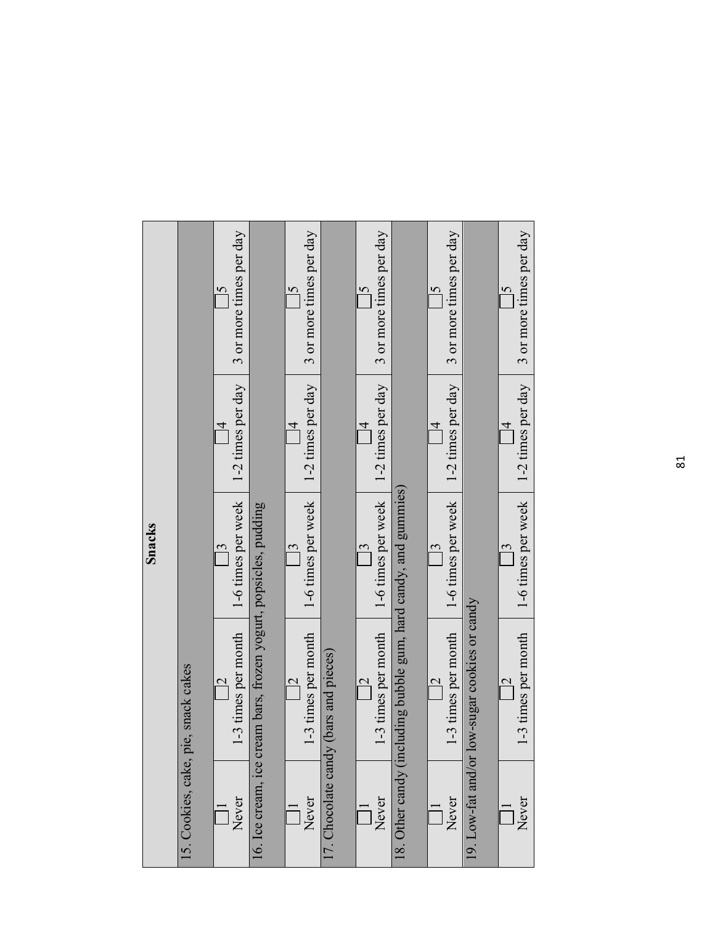|        |                                     | 3 or more times per day                         |                                                                  | 3 or more times per day<br>$\overline{6}$ |                                       | 3 or more times per day             |                                             | 3 or more times per day<br>$\overline{5}$     |                           | 3 or more times per day             |
|--------|-------------------------------------|-------------------------------------------------|------------------------------------------------------------------|-------------------------------------------|---------------------------------------|-------------------------------------|---------------------------------------------|-----------------------------------------------|---------------------------|-------------------------------------|
|        |                                     | 1-2 times per day<br>$\overline{4}$             |                                                                  | 1-2 times per day<br>$\overline{4}$       |                                       | 1-2 times per day<br>$\overline{4}$ |                                             | 1-2 times per day<br>$\overline{4}$           |                           | 1-2 times per day<br>$\overline{4}$ |
| Snacks |                                     | 1-6 times per week<br>$\overline{\mathfrak{c}}$ |                                                                  | 1-6 times per week                        |                                       | 1-6 times per week                  |                                             | 1-6 times per week<br>$\overline{\mathbf{c}}$ |                           | 1-6 times per week                  |
|        |                                     | 1-3 times per month<br>$\overline{\mathbf{c}}$  | 16. Ice cream, ice cream bars, frozen yogurt, popsicles, pudding | 1-3 times per month                       | 17. Chocolate candy (bars and pieces) | 1-3 times per month                 | luding bubble gum, hard candy, and gummies) | 1-3 times per month<br>$\overline{C}$         | ow-sugar cookies or candy | 1-3 times per month                 |
|        | 15. Cookies, cake, pie, snack cakes | Never                                           |                                                                  | Never                                     |                                       | Never                               | 18. Other candy (inc.                       | Never                                         | 19. Low-fat and/or 1      | Never                               |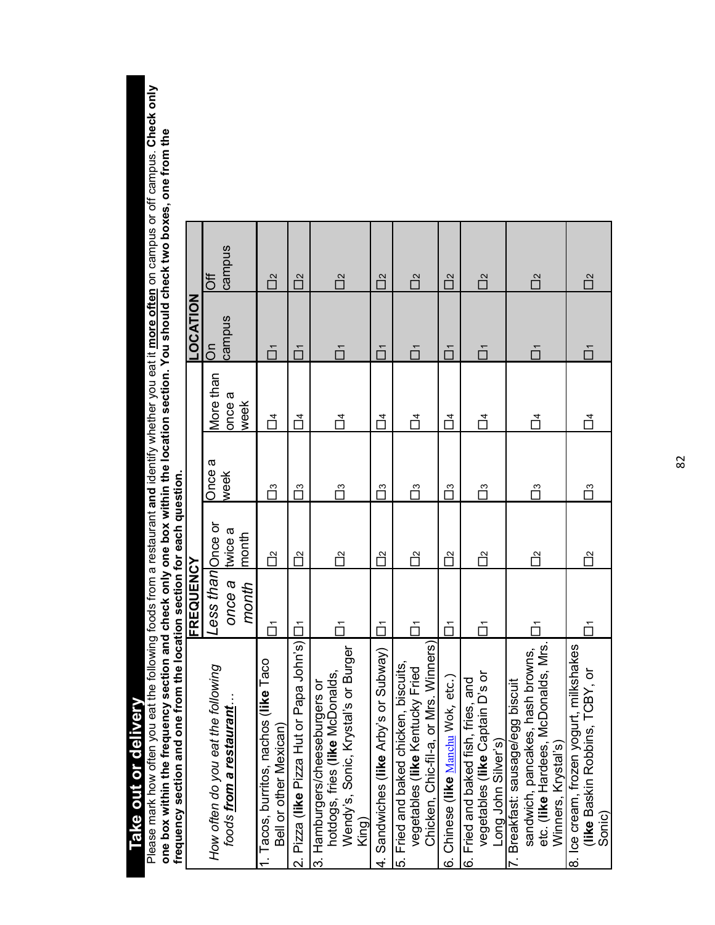**Take out or delivery**  Take out or delivery

Please mark how often you eat the following foods from a restaurant and identify whether you eat it <u>more often</u> on campus or off campus. Check only<br>one box within the frequency section and check only one box within the lo Please mark how often you eat the following foods from a restaurant **and** identify whether you eat it **more often** on campus or off campus. **Check only one box within the frequency section and check only one box within the location section. You should check two boxes, one from the frequency section and one from the location section for each question.** 

| <b>THIS STATE THAT IS TO THE THIS IS A THIS IS A THIS IS A THIS IS A THIS IS A THIS IS A THIS IS A THIS IS A THIS IS A THIS IS A THIS IS A THIS IS A THIS IS A THIS IS A THIS IS A THIS IS A THIS IS A THIS IS A THIS IS AN ISLA</b><br>in Anno in an in anno |                   |         |        |                  |               |        |
|---------------------------------------------------------------------------------------------------------------------------------------------------------------------------------------------------------------------------------------------------------------|-------------------|---------|--------|------------------|---------------|--------|
|                                                                                                                                                                                                                                                               | FREQUENCY         |         |        |                  | LOCATION      |        |
| the following<br>How often do you eat                                                                                                                                                                                                                         | Less than Once or |         | Once a | More than        | $\frac{5}{2}$ | 5f     |
| foods from a restaurant.                                                                                                                                                                                                                                      | once a            | twice a | week   | once a           | campus        | campus |
|                                                                                                                                                                                                                                                               | month             | month   |        | week             |               |        |
| Tacos, burritos, nachos (like Taco<br>Bell or other Mexican)                                                                                                                                                                                                  | ŏ                 | 'n      | Π      | $\overline{\Pi}$ | ň             | Π      |
| 2. Pizza (like Pizza Hut or Papa John's)                                                                                                                                                                                                                      | č                 | ò       | ő      | $\vec{\Box}$     | ň             | ñ      |
| Wendy's, Sonic, Krystal's or Burger<br>hotdogs, fries (like McDonalds,<br>3. Hamburgers/cheeseburgers or<br>King)                                                                                                                                             | ň                 | ñ       | Π      | Ц4               | ň             | ñ      |
| 4. Sandwiches (like Arby's or Subway)                                                                                                                                                                                                                         | ń                 | ñ       | Γñ     | $\vec{\Box}$     | ň             | Π      |
| Chicken, Chic-fil-a, or Mrs. Winners)<br>5. Fried and baked chicken, biscuits,<br>vegetables (like Kentucky Fried                                                                                                                                             | ň                 | ñ       | 'n     | $\vec{\Box}$     | ň             | ñ      |
| 6. Chinese (like Manchu Wok, etc.)                                                                                                                                                                                                                            | ň                 | ñ       | Π      | Ц<br>Ч           | ň             | ñ      |
| vegetables (like Captain D's or<br>6. Fried and baked fish, fries, and<br>Long John Silver's)                                                                                                                                                                 | ň                 | ų       | Π      | ų                | ň             | ñΡ     |
| sandwich, pancakes, hash browns,<br>etc. (like Hardees, McDonalds, Mrs.<br>egg biscuit<br>Winners, Krystal's)<br>'. Breakfast: sausage/                                                                                                                       |                   | ñ       | Π      | Ц<br>Ч           | ň             | ñΡ     |
| ogurt, milkshakes<br>ns, TCBY, or<br>(like Baskin Robbi<br>8. Ice cream, frozen yo<br>Sonic)                                                                                                                                                                  |                   | ñ       | Π      | $\vec{\Box}$     | ň             | ñ      |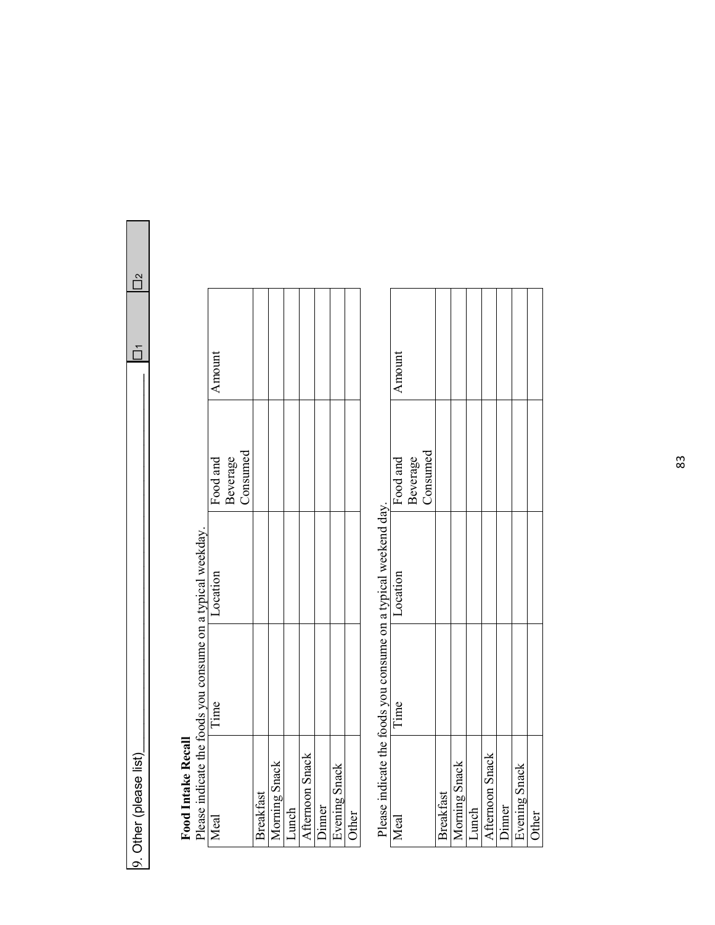0. Other (please left) be to leave a list) when  $\frac{1}{2}$  is the contract of  $\frac{1}{2}$  is the contract of  $\frac{1}{2}$ 9. Other (please list)

 $\frac{1}{\Box}$  $\overline{\square}$ 

### **Food Intake Recall**

Amount Beverage Consumed Food and Meal Time Location Food and Please indicate the foods you consume on a typical weekday. Food Intake Recall<br>Please indicate the foods you consume on a typical weekday. Location Time Afternoon Snack Afternoon Snack Morning Snack Morning Snack Dinner<br>Evening Snack Evening Snack Breakfast Lunch Ivey

Please indicate the foods you consume on a typical weekend day. Please indicate the foods you consume on a typical weekend day.

Other

| Meal             | Time | Location | Food and             | Amount |
|------------------|------|----------|----------------------|--------|
|                  |      |          |                      |        |
|                  |      |          | Beverage<br>Consumed |        |
| <b>Breakfast</b> |      |          |                      |        |
| Morning Snack    |      |          |                      |        |
| Lunch            |      |          |                      |        |
| Afternoon Snack  |      |          |                      |        |
| Dinner           |      |          |                      |        |
| Evening Snack    |      |          |                      |        |
| Other            |      |          |                      |        |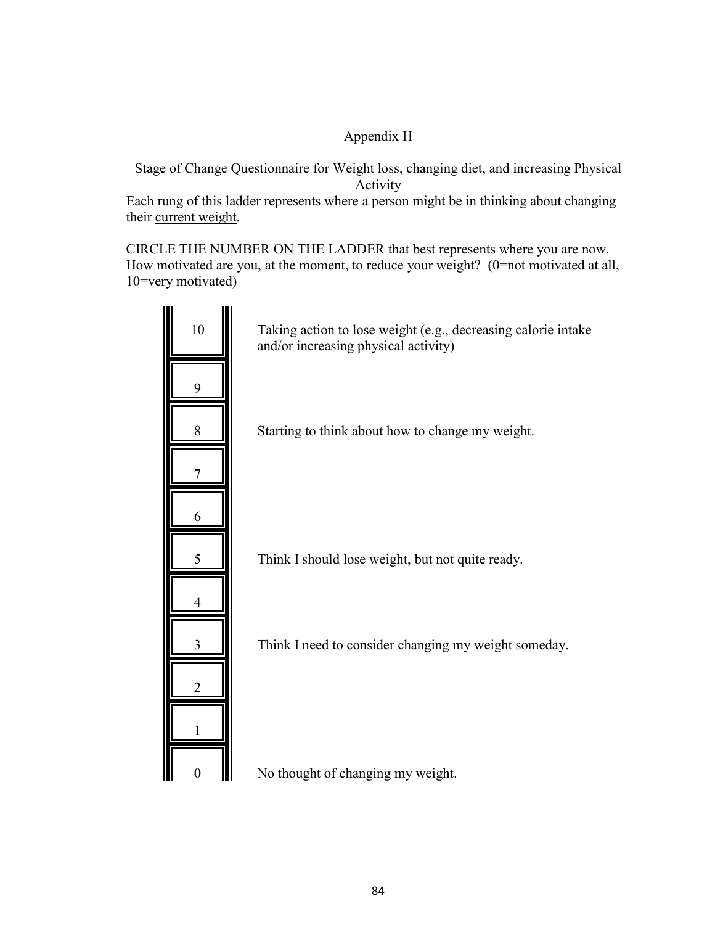### Appendix H

Stage of Change Questionnaire for Weight loss, changing diet, and increasing Physical Activity

Each rung of this ladder represents where a person might be in thinking about changing their current weight.

CIRCLE THE NUMBER ON THE LADDER that best represents where you are now. How motivated are you, at the moment, to reduce your weight? (0=not motivated at all, 10=very motivated)

| 10               | Taking action to lose weight (e.g., decreasing calorie intake<br>and/or increasing physical activity) |
|------------------|-------------------------------------------------------------------------------------------------------|
| 9                |                                                                                                       |
| 8                | Starting to think about how to change my weight.                                                      |
| 7                |                                                                                                       |
| 6                |                                                                                                       |
| 5                | Think I should lose weight, but not quite ready.                                                      |
|                  |                                                                                                       |
| 3                | Think I need to consider changing my weight someday.                                                  |
| 2                |                                                                                                       |
|                  |                                                                                                       |
| $\boldsymbol{0}$ | No thought of changing my weight.                                                                     |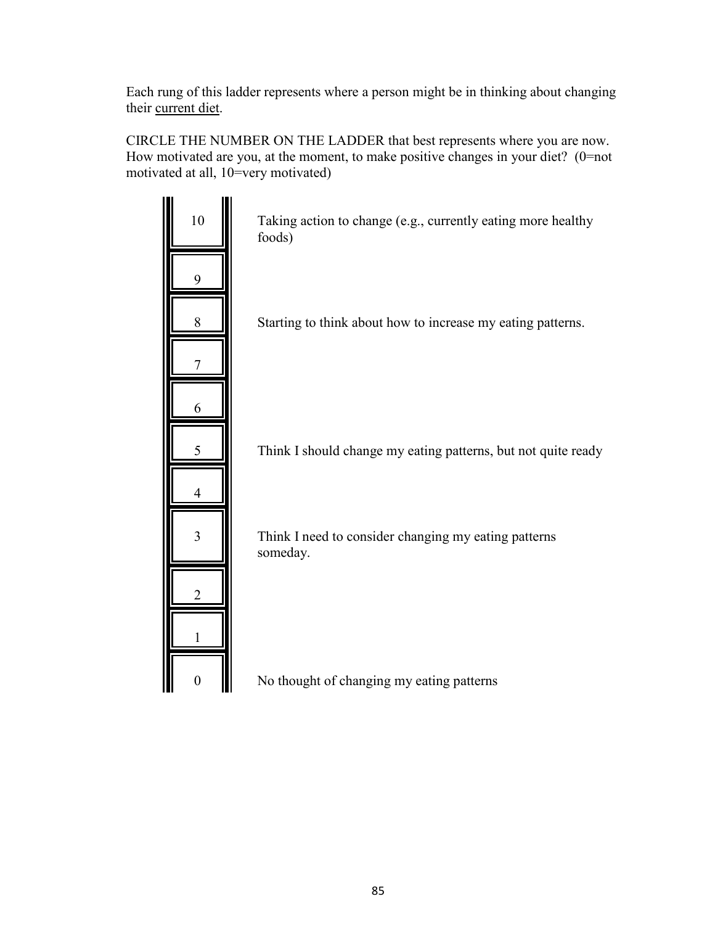Each rung of this ladder represents where a person might be in thinking about changing their current diet.

CIRCLE THE NUMBER ON THE LADDER that best represents where you are now. How motivated are you, at the moment, to make positive changes in your diet? (0=not motivated at all, 10=very motivated)

| 10             | Taking action to change (e.g., currently eating more healthy<br>foods) |
|----------------|------------------------------------------------------------------------|
| 9              |                                                                        |
| 8              | Starting to think about how to increase my eating patterns.            |
|                |                                                                        |
| 6              |                                                                        |
|                | Think I should change my eating patterns, but not quite ready          |
|                |                                                                        |
| $\overline{3}$ | Think I need to consider changing my eating patterns<br>someday.       |
|                |                                                                        |
|                |                                                                        |
|                |                                                                        |

 $\begin{array}{|c|c|} \hline \text{~~&} \text{No thought of changing my eating patterns} \end{array}$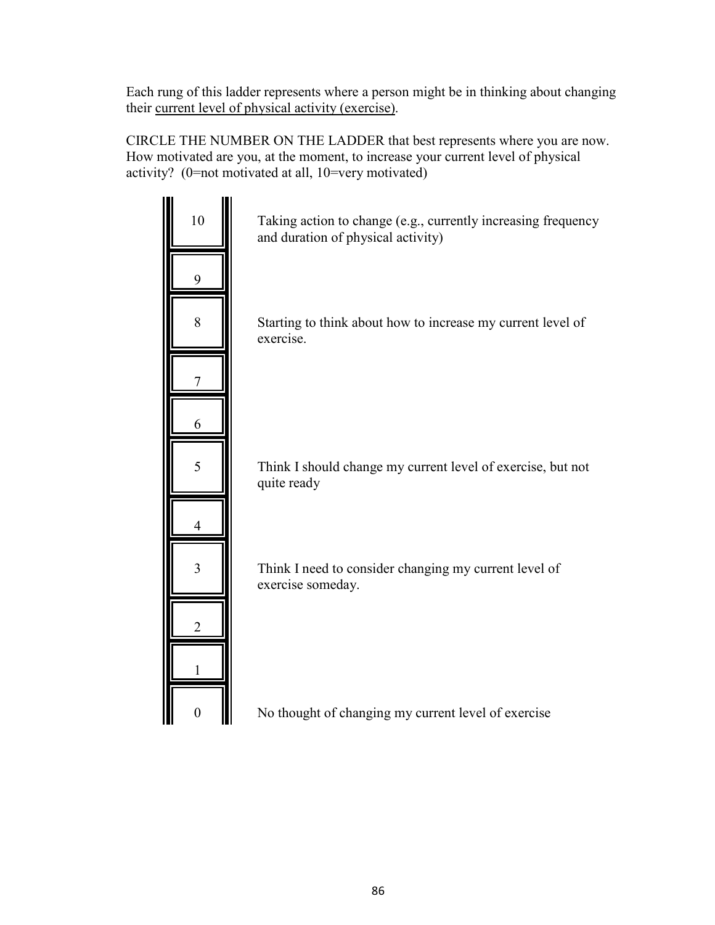Each rung of this ladder represents where a person might be in thinking about changing their current level of physical activity (exercise).

CIRCLE THE NUMBER ON THE LADDER that best represents where you are now. How motivated are you, at the moment, to increase your current level of physical activity? (0=not motivated at all, 10=very motivated)



0 No thought of changing my current level of exercise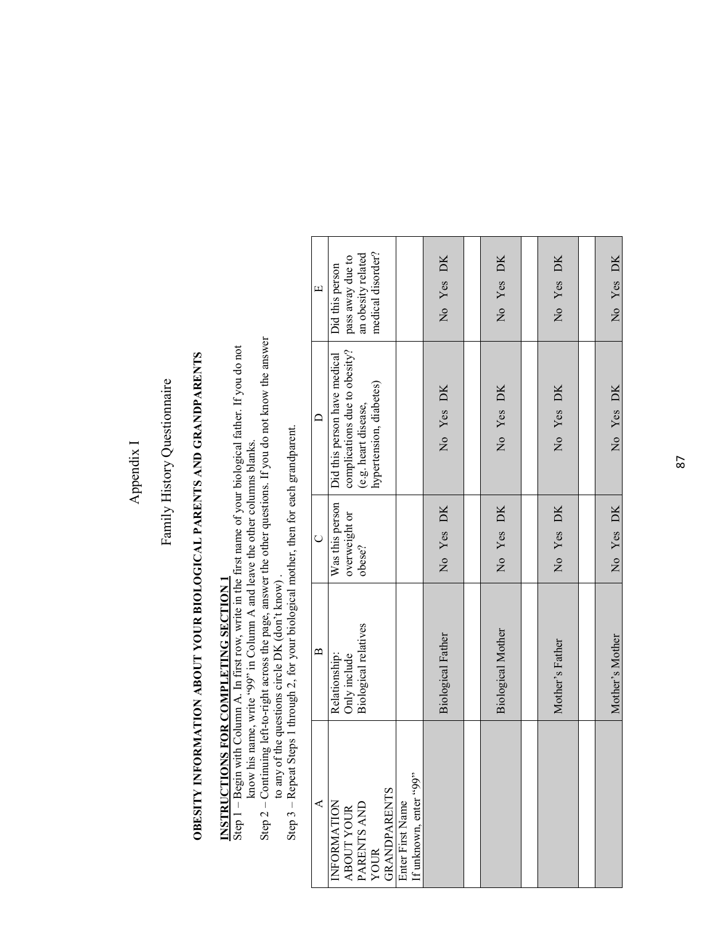### Appendix I Appendix I

### Family History Questionnaire Family History Questionnaire

## OBESITY INFORMATION ABOUT YOUR BIOLOGICAL PARENTS AND GRANDPARENTS **OBESITY INFORMATION ABOUT YOUR BIOLOGICAL PARENTS AND GRANDPARENTS**

## **INSTRUCTIONS FOR COMPLETING SECTION 1 INSTRUCTIONS FOR COMPLETING SECTION 1**

Step 1 - Begin with Column A. In first row, write in the first name of your biological father. If you do not Step 1 – Begin with Column A. In first row, write in the first name of your biological father. If you do not know his name, write "99" in Column A and leave the other columns blanks. know his name, write "99" in Column A and leave the other columns blanks.

Step  $2$  – Continuing left-to-right across the page, answer the other questions. If you do not know the answer to any of the questions circle DK (don't know). Step 2 – Continuing left-to-right across the page, answer the other questions. If you do not know the answer

Step 3 – Repeat Steps 1 through 2, for your biological mother, then for each grandparent. Step 3 - Repeat Steps 1 through 2, for your biological mother, then for each grandparent. to any of the questions circle DK (don't know) .

| $\Box$            | medical disorder?<br>an obesity related<br>pass away due to<br>Did this person                                   |                                            | No Yes DK                | No Yes DK                | No Yes DK       | No Yes DK       |
|-------------------|------------------------------------------------------------------------------------------------------------------|--------------------------------------------|--------------------------|--------------------------|-----------------|-----------------|
|                   | complications due to obesity?<br>Did this person have medical<br>hypertension, diabetes)<br>(e.g. heart disease, |                                            | No Yes DK                | No Yes DK                | No Yes DK       | No Yes DK       |
| $\cup$            | Was this person<br>overweight or<br>obese?                                                                       |                                            | No Yes DK                | No Yes DK                | No Yes DK       | No Yes DK       |
| $\mathbf{\Omega}$ | Biological relatives<br>Relationship:<br>Only include                                                            |                                            | <b>Biological Father</b> | <b>Biological Mother</b> | Mother's Father | Mother's Mother |
| ⋖                 | INFORMATION<br>  ABOUT YOUR<br>  PARENTS AND<br>  YOUR<br>GRANDPARENTS                                           | If unknown, enter "99"<br>Enter First Name |                          |                          |                 |                 |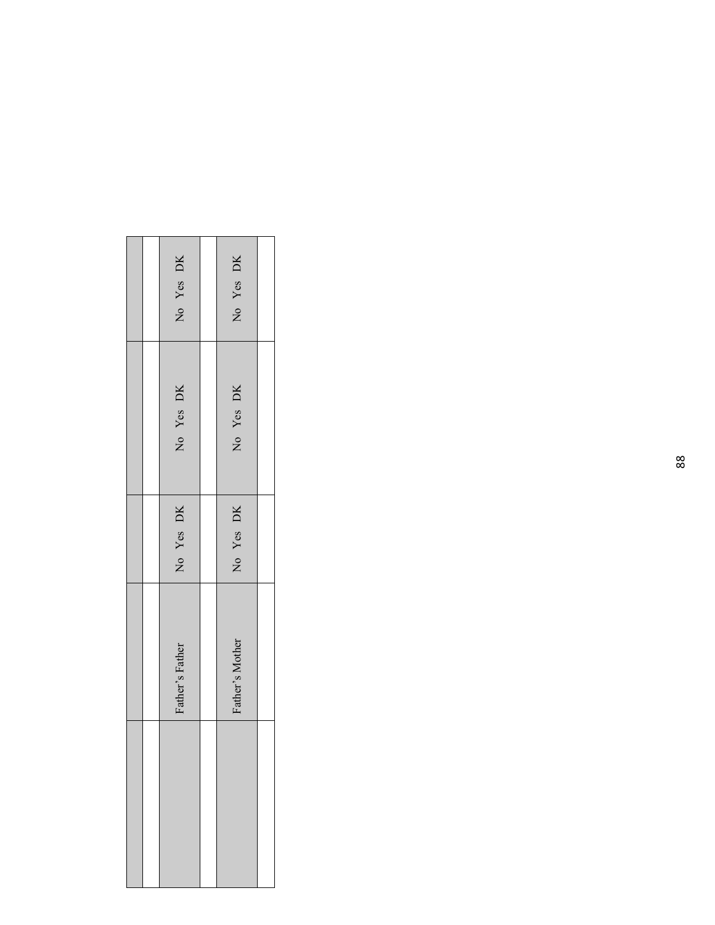|  | DK<br>Yes<br>$\overline{R}$ | DK<br>Yes<br>$\overline{R}$ |  |
|--|-----------------------------|-----------------------------|--|
|  | No Yes DK                   | No Yes DK                   |  |
|  | Yes DK<br>$\overline{a}$    | No Yes DK                   |  |
|  | Father's Father             | Father's Mother             |  |
|  |                             |                             |  |

Г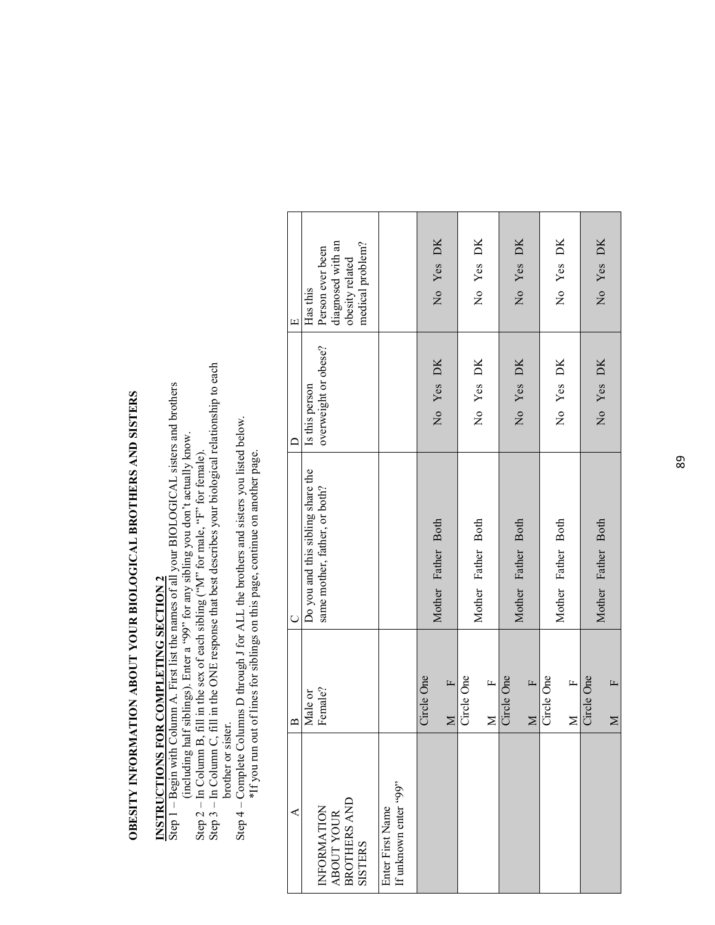## **OBESITY INFORMATION ABOUT YOUR BIOLOGICAL BROTHERS AND SISTERS**  OBESITY INFORMATION ABOUT YOUR BIOLOGICAL BROTHERS AND SISTERS

# **INSTRUCTIONS FOR COMPLETING SECTION 2**

**INSTRUCTIONS FOR COMPLETING SECTION 2**<br>Step 1 – Begin with Column A. First list the names of all your BIOLOGICAL sisters and brothers Step 1 – Begin with Column A. First list the names of all your BIOLOGICAL sisters and brothers (including half siblings). Enter a "99" for any sibling you don't actually know. (including half siblings). Enter a "99" for any sibling you don't actually know.

- Step 2 In Column B, fill in the sex of each sibling (" $M$ " for male, "F" for female).
- Step 2 In Column B, fill in the sex of each sibling ("N" for male, "F" for female).<br>Step 3 In Column C, fill in the ONE response that best describes your biological relationship to each Step 3 – In Column C, fill in the ONE response that best describes your biological relationship to each brother or sister. brother or sister.
	- Step 4 Complete Columns D through J for ALL the brothers and sisters you listed below. Step  $4$  – Complete Columns D through J for ALL the brothers and sisters you listed below.<br>\*If you run out of lines for siblings on this page, continue on another page. \*If you run out of lines for siblings on this page, continue on another page.

| ⋖                                                    | $\mathbf{\Omega}$      | $\overline{C}$                    | $\subset$            | $\Box$                                |
|------------------------------------------------------|------------------------|-----------------------------------|----------------------|---------------------------------------|
|                                                      | Male or                | Do you and this sibling share the | Is this person       | Has this                              |
| INFORMATION<br>ABOUT YOUR<br>BROTHERS AND<br>SISTERS | Female?                | same mother, father, or both?     | overweight or obese? | diagnosed with an<br>Person ever been |
|                                                      |                        |                                   |                      | obesity related                       |
|                                                      |                        |                                   |                      | medical problem?                      |
| Enter First Name                                     |                        |                                   |                      |                                       |
| If unknown enter "99"                                |                        |                                   |                      |                                       |
|                                                      | Circle One             |                                   |                      |                                       |
|                                                      | $\mathbf{r}$<br>$\geq$ | Mother Father Both                | No Yes DK            | No Yes DK                             |
|                                                      | Circle One             |                                   |                      |                                       |
|                                                      |                        | Mother Father Both                | No Yes DK            | No Yes DK                             |
|                                                      | $M$ F                  |                                   |                      |                                       |
|                                                      | Circle One             |                                   |                      |                                       |
|                                                      |                        | Mother Father Both                | No Yes DK            | No Yes DK                             |
|                                                      | $\mathbf{r}$<br>$\geq$ |                                   |                      |                                       |
|                                                      | Circle One             |                                   |                      |                                       |
|                                                      |                        | Mother Father Both                | No Yes DK            | No Yes DK                             |
|                                                      | $\mathbf{r}$<br>$\geq$ |                                   |                      |                                       |
|                                                      | Circle One             |                                   |                      |                                       |
|                                                      |                        | Mother Father Both                | No Yes DK            | No Yes DK                             |
|                                                      | $\mathbf{r}$<br>$\geq$ |                                   |                      |                                       |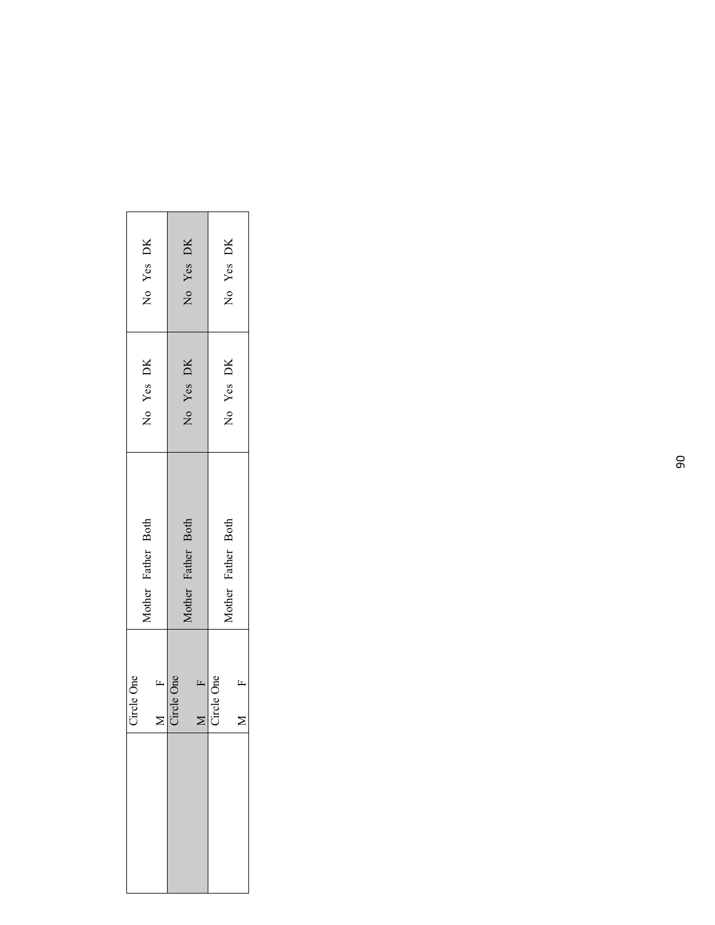| No Yes DK<br>No Yes DK     | No Yes DK<br>Yes DK<br>$\overline{a}$ | No Yes DK<br>No Yes DK     |  |
|----------------------------|---------------------------------------|----------------------------|--|
| Mother Father Both         | Mother Father Both                    | Mother Father Both         |  |
| Circle One<br>$\mathbf{r}$ | Circle One<br>$\mathbf{r}$            | Circle One<br>$\mathbf{r}$ |  |
|                            |                                       |                            |  |